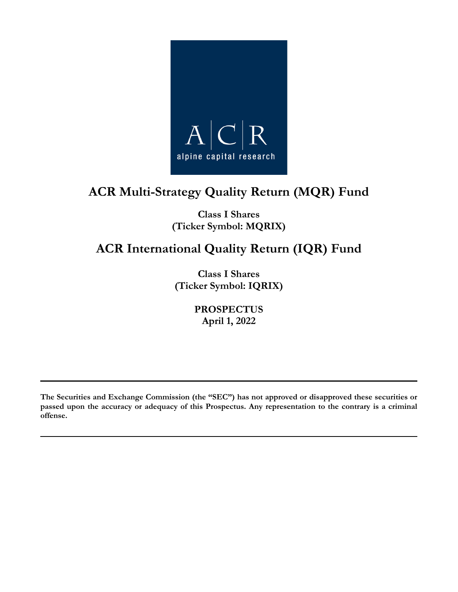

# **ACR Multi-Strategy Quality Return (MQR) Fund**

**Class I Shares (Ticker Symbol: MQRIX)**

# **ACR International Quality Return (IQR) Fund**

**Class I Shares (Ticker Symbol: IQRIX)**

> **PROSPECTUS April 1, 2022**

**The Securities and Exchange Commission (the "SEC") has not approved or disapproved these securities or passed upon the accuracy or adequacy of this Prospectus. Any representation to the contrary is a criminal offense.**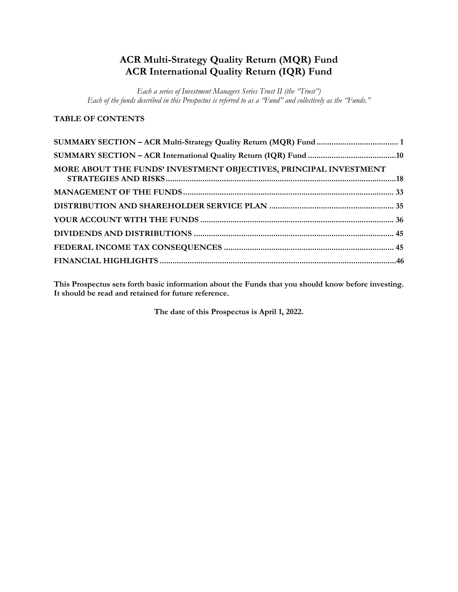# **ACR Multi-Strategy Quality Return (MQR) Fund ACR International Quality Return (IQR) Fund**

*Each a series of Investment Managers Series Trust II (the "Trust") Each of the funds described in this Prospectus is referred to as a "Fund" and collectively as the "Funds."*

# **TABLE OF CONTENTS**

| MORE ABOUT THE FUNDS' INVESTMENT OBJECTIVES, PRINCIPAL INVESTMENT |  |
|-------------------------------------------------------------------|--|
|                                                                   |  |
|                                                                   |  |
|                                                                   |  |
|                                                                   |  |
|                                                                   |  |
|                                                                   |  |

**This Prospectus sets forth basic information about the Funds that you should know before investing. It should be read and retained for future reference.**

**The date of this Prospectus is April 1, 2022.**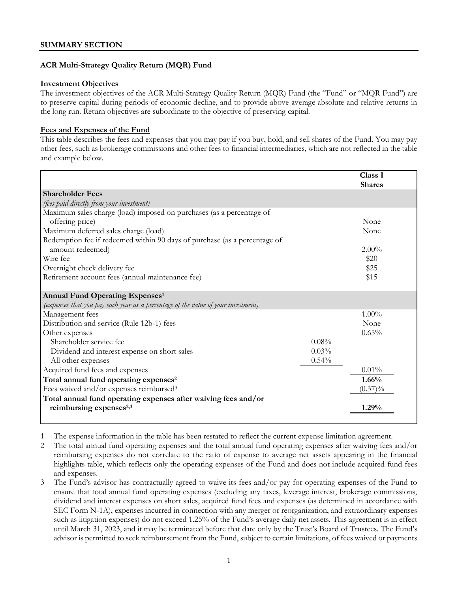# **ACR Multi-Strategy Quality Return (MQR) Fund**

#### **Investment Objectives**

The investment objectives of the ACR Multi-Strategy Quality Return (MQR) Fund (the "Fund" or "MQR Fund") are to preserve capital during periods of economic decline, and to provide above average absolute and relative returns in the long run. Return objectives are subordinate to the objective of preserving capital.

# **Fees and Expenses of the Fund**

This table describes the fees and expenses that you may pay if you buy, hold, and sell shares of the Fund. You may pay other fees, such as brokerage commissions and other fees to financial intermediaries, which are not reflected in the table and example below.

|                                                                                   |       | Class I       |
|-----------------------------------------------------------------------------------|-------|---------------|
| <b>Shareholder Fees</b>                                                           |       | <b>Shares</b> |
| (fees paid directly from your investment)                                         |       |               |
| Maximum sales charge (load) imposed on purchases (as a percentage of              |       |               |
| offering price)                                                                   |       | None          |
| Maximum deferred sales charge (load)                                              |       | None          |
| Redemption fee if redeemed within 90 days of purchase (as a percentage of         |       |               |
| amount redeemed)                                                                  |       | $2.00\%$      |
| Wire fee                                                                          |       | \$20          |
| Overnight check delivery fee                                                      |       | \$25          |
| Retirement account fees (annual maintenance fee)                                  |       | \$15          |
|                                                                                   |       |               |
| Annual Fund Operating Expenses <sup>1</sup>                                       |       |               |
| (expenses that you pay each year as a percentage of the value of your investment) |       |               |
| Management fees                                                                   |       | $1.00\%$      |
| Distribution and service (Rule 12b-1) fees                                        |       | None          |
| Other expenses                                                                    |       | 0.65%         |
| Shareholder service fee                                                           | 0.08% |               |
| Dividend and interest expense on short sales                                      | 0.03% |               |
| All other expenses                                                                | 0.54% |               |
| Acquired fund fees and expenses                                                   |       | 0.01%         |
| Total annual fund operating expenses <sup>2</sup>                                 |       | 1.66%         |
| Fees waived and/or expenses reimbursed <sup>3</sup>                               |       | $(0.37)\%$    |
| Total annual fund operating expenses after waiving fees and/or                    |       |               |
| reimbursing expenses <sup>2,3</sup>                                               |       | 1.29%         |
|                                                                                   |       |               |

1 The expense information in the table has been restated to reflect the current expense limitation agreement.

2 The total annual fund operating expenses and the total annual fund operating expenses after waiving fees and/or reimbursing expenses do not correlate to the ratio of expense to average net assets appearing in the financial highlights table, which reflects only the operating expenses of the Fund and does not include acquired fund fees and expenses.

3 The Fund's advisor has contractually agreed to waive its fees and/or pay for operating expenses of the Fund to ensure that total annual fund operating expenses (excluding any taxes, leverage interest, brokerage commissions, dividend and interest expenses on short sales, acquired fund fees and expenses (as determined in accordance with SEC Form N-1A), expenses incurred in connection with any merger or reorganization, and extraordinary expenses such as litigation expenses) do not exceed 1.25% of the Fund's average daily net assets. This agreement is in effect until March 31, 2023, and it may be terminated before that date only by the Trust's Board of Trustees. The Fund's advisor is permitted to seek reimbursement from the Fund, subject to certain limitations, of fees waived or payments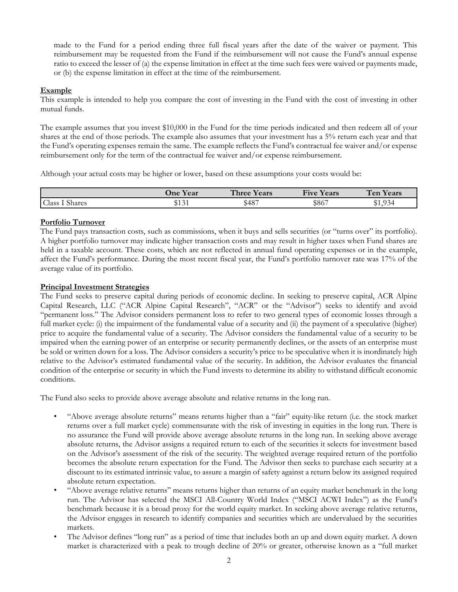made to the Fund for a period ending three full fiscal years after the date of the waiver or payment. This reimbursement may be requested from the Fund if the reimbursement will not cause the Fund's annual expense ratio to exceed the lesser of (a) the expense limitation in effect at the time such fees were waived or payments made, or (b) the expense limitation in effect at the time of the reimbursement.

# **Example**

This example is intended to help you compare the cost of investing in the Fund with the cost of investing in other mutual funds.

The example assumes that you invest \$10,000 in the Fund for the time periods indicated and then redeem all of your shares at the end of those periods. The example also assumes that your investment has a 5% return each year and that the Fund's operating expenses remain the same. The example reflects the Fund's contractual fee waiver and/or expense reimbursement only for the term of the contractual fee waiver and/or expense reimbursement.

Although your actual costs may be higher or lower, based on these assumptions your costs would be:

|                 | <b>One Year</b>            | Three Y<br>Years | $\mathbf{r}$<br><b>Five</b><br><b>Years</b> | Ten<br><b>Years</b> |
|-----------------|----------------------------|------------------|---------------------------------------------|---------------------|
| Class<br>Shares | $\cdot$ A $\sim$<br>ັນເປັນ | \$487            | \$867                                       | Q24<br>ッエ、ノフコ       |

# **Portfolio Turnover**

The Fund pays transaction costs, such as commissions, when it buys and sells securities (or "turns over" its portfolio). A higher portfolio turnover may indicate higher transaction costs and may result in higher taxes when Fund shares are held in a taxable account. These costs, which are not reflected in annual fund operating expenses or in the example, affect the Fund's performance. During the most recent fiscal year, the Fund's portfolio turnover rate was 17% of the average value of its portfolio.

# **Principal Investment Strategies**

The Fund seeks to preserve capital during periods of economic decline. In seeking to preserve capital, ACR Alpine Capital Research, LLC ("ACR Alpine Capital Research", "ACR" or the "Advisor") seeks to identify and avoid "permanent loss." The Advisor considers permanent loss to refer to two general types of economic losses through a full market cycle: (i) the impairment of the fundamental value of a security and (ii) the payment of a speculative (higher) price to acquire the fundamental value of a security. The Advisor considers the fundamental value of a security to be impaired when the earning power of an enterprise or security permanently declines, or the assets of an enterprise must be sold or written down for a loss. The Advisor considers a security's price to be speculative when it is inordinately high relative to the Advisor's estimated fundamental value of the security. In addition, the Advisor evaluates the financial condition of the enterprise or security in which the Fund invests to determine its ability to withstand difficult economic conditions.

The Fund also seeks to provide above average absolute and relative returns in the long run.

- "Above average absolute returns" means returns higher than a "fair" equity-like return (i.e. the stock market returns over a full market cycle) commensurate with the risk of investing in equities in the long run. There is no assurance the Fund will provide above average absolute returns in the long run. In seeking above average absolute returns, the Advisor assigns a required return to each of the securities it selects for investment based on the Advisor's assessment of the risk of the security. The weighted average required return of the portfolio becomes the absolute return expectation for the Fund. The Advisor then seeks to purchase each security at a discount to its estimated intrinsic value, to assure a margin of safety against a return below its assigned required absolute return expectation.
- "Above average relative returns" means returns higher than returns of an equity market benchmark in the long run. The Advisor has selected the MSCI All-Country World Index ("MSCI ACWI Index") as the Fund's benchmark because it is a broad proxy for the world equity market. In seeking above average relative returns, the Advisor engages in research to identify companies and securities which are undervalued by the securities markets.
- The Advisor defines "long run" as a period of time that includes both an up and down equity market. A down market is characterized with a peak to trough decline of 20% or greater, otherwise known as a "full market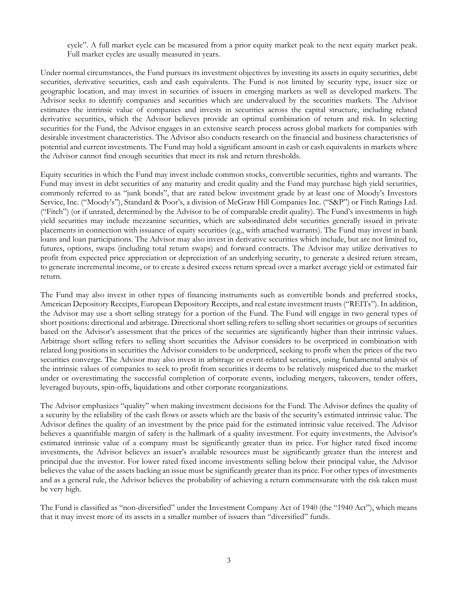cycle". A full market cycle can be measured from a prior equity market peak to the next equity market peak. Full market cycles are usually measured in years.

Under normal circumstances, the Fund pursues its investment objectives by investing its assets in equity securities, debt securities, derivative securities, cash and cash equivalents. The Fund is not limited by security type, issuer size or geographic location, and may invest in securities of issuers in emerging markets as well as developed markets. The Advisor seeks to identify companies and securities which are undervalued by the securities markets. The Advisor estimates the intrinsic value of companies and invests in securities across the capital structure, including related derivative securities, which the Advisor believes provide an optimal combination of return and risk. In selecting securities for the Fund, the Advisor engages in an extensive search process across global markets for companies with desirable investment characteristics. The Advisor also conducts research on the financial and business characteristics of potential and current investments. The Fund may hold a significant amount in cash or cash equivalents in markets where the Advisor cannot find enough securities that meet its risk and return thresholds.

Equity securities in which the Fund may invest include common stocks, convertible securities, rights and warrants. The Fund may invest in debt securities of any maturity and credit quality and the Fund may purchase high yield securities, commonly referred to as "junk bonds", that are rated below investment grade by at least one of Moody's Investors Service, Inc. ("Moody's"), Standard & Poor's, a division of McGraw Hill Companies Inc. ("S&P") or Fitch Ratings Ltd. ("Fitch") (or if unrated, determined by the Advisor to be of comparable credit quality). The Fund's investments in high yield securities may include mezzanine securities, which are subordinated debt securities generally issued in private placements in connection with issuance of equity securities (e.g., with attached warrants). The Fund may invest in bank loans and loan participations. The Advisor may also invest in derivative securities which include, but are not limited to, futures, options, swaps (including total return swaps) and forward contracts. The Advisor may utilize derivatives to profit from expected price appreciation or depreciation of an underlying security, to generate a desired return stream, to generate incremental income, or to create a desired excess return spread over a market average yield or estimated fair return.

The Fund may also invest in other types of financing instruments such as convertible bonds and preferred stocks, American Depository Receipts, European Depository Receipts, and real estate investment trusts ("REITs"). In addition, the Advisor may use a short selling strategy for a portion of the Fund. The Fund will engage in two general types of short positions: directional and arbitrage. Directional short selling refers to selling short securities or groups of securities based on the Advisor's assessment that the prices of the securities are significantly higher than their intrinsic values. Arbitrage short selling refers to selling short securities the Advisor considers to be overpriced in combination with related long positions in securities the Advisor considers to be underpriced, seeking to profit when the prices of the two securities converge. The Advisor may also invest in arbitrage or event-related securities, using fundamental analysis of the intrinsic values of companies to seek to profit from securities it deems to be relatively mispriced due to the market under or overestimating the successful completion of corporate events, including mergers, takeovers, tender offers, leveraged buyouts, spin-offs, liquidations and other corporate reorganizations.

The Advisor emphasizes "quality" when making investment decisions for the Fund. The Advisor defines the quality of a security by the reliability of the cash flows or assets which are the basis of the security's estimated intrinsic value. The Advisor defines the quality of an investment by the price paid for the estimated intrinsic value received. The Advisor believes a quantifiable margin of safety is the hallmark of a quality investment. For equity investments, the Advisor's estimated intrinsic value of a company must be significantly greater than its price. For higher rated fixed income investments, the Advisor believes an issuer's available resources must be significantly greater than the interest and principal due the investor. For lower rated fixed income investments selling below their principal value, the Advisor believes the value of the assets backing an issue must be significantly greater than its price. For other types of investments and as a general rule, the Advisor believes the probability of achieving a return commensurate with the risk taken must be very high.

The Fund is classified as "non-diversified" under the Investment Company Act of 1940 (the "1940 Act"), which means that it may invest more of its assets in a smaller number of issuers than "diversified" funds.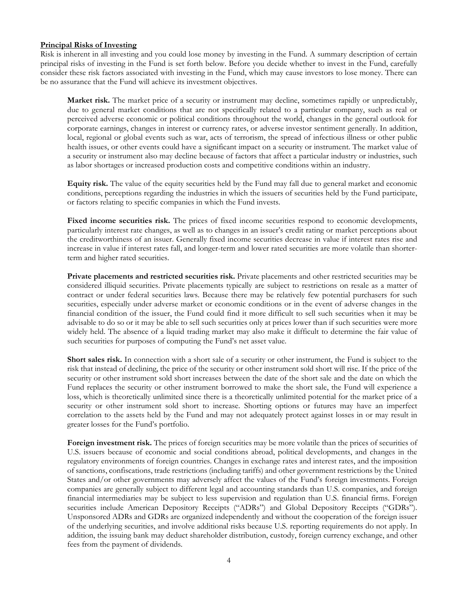#### **Principal Risks of Investing**

Risk is inherent in all investing and you could lose money by investing in the Fund. A summary description of certain principal risks of investing in the Fund is set forth below. Before you decide whether to invest in the Fund, carefully consider these risk factors associated with investing in the Fund, which may cause investors to lose money. There can be no assurance that the Fund will achieve its investment objectives.

**Market risk.** The market price of a security or instrument may decline, sometimes rapidly or unpredictably, due to general market conditions that are not specifically related to a particular company, such as real or perceived adverse economic or political conditions throughout the world, changes in the general outlook for corporate earnings, changes in interest or currency rates, or adverse investor sentiment generally. In addition, local, regional or global events such as war, acts of terrorism, the spread of infectious illness or other public health issues, or other events could have a significant impact on a security or instrument. The market value of a security or instrument also may decline because of factors that affect a particular industry or industries, such as labor shortages or increased production costs and competitive conditions within an industry.

**Equity risk.** The value of the equity securities held by the Fund may fall due to general market and economic conditions, perceptions regarding the industries in which the issuers of securities held by the Fund participate, or factors relating to specific companies in which the Fund invests.

Fixed income securities risk. The prices of fixed income securities respond to economic developments, particularly interest rate changes, as well as to changes in an issuer's credit rating or market perceptions about the creditworthiness of an issuer. Generally fixed income securities decrease in value if interest rates rise and increase in value if interest rates fall, and longer-term and lower rated securities are more volatile than shorterterm and higher rated securities.

**Private placements and restricted securities risk.** Private placements and other restricted securities may be considered illiquid securities. Private placements typically are subject to restrictions on resale as a matter of contract or under federal securities laws. Because there may be relatively few potential purchasers for such securities, especially under adverse market or economic conditions or in the event of adverse changes in the financial condition of the issuer, the Fund could find it more difficult to sell such securities when it may be advisable to do so or it may be able to sell such securities only at prices lower than if such securities were more widely held. The absence of a liquid trading market may also make it difficult to determine the fair value of such securities for purposes of computing the Fund's net asset value.

**Short sales risk.** In connection with a short sale of a security or other instrument, the Fund is subject to the risk that instead of declining, the price of the security or other instrument sold short will rise. If the price of the security or other instrument sold short increases between the date of the short sale and the date on which the Fund replaces the security or other instrument borrowed to make the short sale, the Fund will experience a loss, which is theoretically unlimited since there is a theoretically unlimited potential for the market price of a security or other instrument sold short to increase. Shorting options or futures may have an imperfect correlation to the assets held by the Fund and may not adequately protect against losses in or may result in greater losses for the Fund's portfolio.

**Foreign investment risk.** The prices of foreign securities may be more volatile than the prices of securities of U.S. issuers because of economic and social conditions abroad, political developments, and changes in the regulatory environments of foreign countries. Changes in exchange rates and interest rates, and the imposition of sanctions, confiscations, trade restrictions (including tariffs) and other government restrictions by the United States and/or other governments may adversely affect the values of the Fund's foreign investments. Foreign companies are generally subject to different legal and accounting standards than U.S. companies, and foreign financial intermediaries may be subject to less supervision and regulation than U.S. financial firms. Foreign securities include American Depository Receipts ("ADRs") and Global Depository Receipts ("GDRs"). Unsponsored ADRs and GDRs are organized independently and without the cooperation of the foreign issuer of the underlying securities, and involve additional risks because U.S. reporting requirements do not apply. In addition, the issuing bank may deduct shareholder distribution, custody, foreign currency exchange, and other fees from the payment of dividends.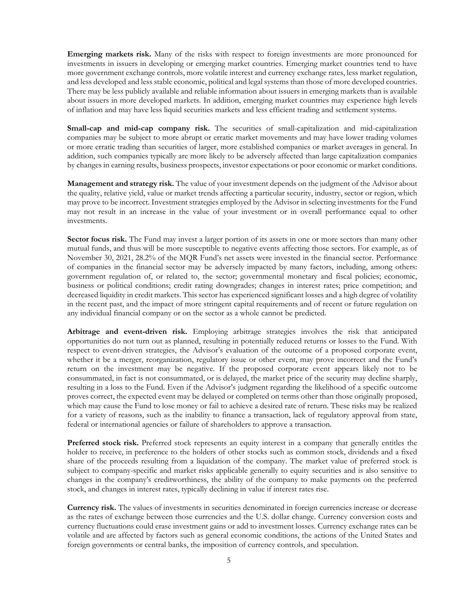**Emerging markets risk.** Many of the risks with respect to foreign investments are more pronounced for investments in issuers in developing or emerging market countries. Emerging market countries tend to have more government exchange controls, more volatile interest and currency exchange rates, less market regulation, and less developed and less stable economic, political and legal systems than those of more developed countries. There may be less publicly available and reliable information about issuers in emerging markets than is available about issuers in more developed markets. In addition, emerging market countries may experience high levels of inflation and may have less liquid securities markets and less efficient trading and settlement systems.

**Small-cap and mid-cap company risk.** The securities of small-capitalization and mid-capitalization companies may be subject to more abrupt or erratic market movements and may have lower trading volumes or more erratic trading than securities of larger, more established companies or market averages in general. In addition, such companies typically are more likely to be adversely affected than large capitalization companies by changes in earning results, business prospects, investor expectations or poor economic or market conditions.

**Management and strategy risk.** The value of your investment depends on the judgment of the Advisor about the quality, relative yield, value or market trends affecting a particular security, industry, sector or region, which may prove to be incorrect. Investment strategies employed by the Advisor in selecting investments for the Fund may not result in an increase in the value of your investment or in overall performance equal to other investments.

**Sector focus risk.** The Fund may invest a larger portion of its assets in one or more sectors than many other mutual funds, and thus will be more susceptible to negative events affecting those sectors. For example, as of November 30, 2021, 28.2% of the MQR Fund's net assets were invested in the financial sector. Performance of companies in the financial sector may be adversely impacted by many factors, including, among others: government regulation of, or related to, the sector; governmental monetary and fiscal policies; economic, business or political conditions; credit rating downgrades; changes in interest rates; price competition; and decreased liquidity in credit markets. This sector has experienced significant losses and a high degree of volatility in the recent past, and the impact of more stringent capital requirements and of recent or future regulation on any individual financial company or on the sector as a whole cannot be predicted.

**Arbitrage and event-driven risk.** Employing arbitrage strategies involves the risk that anticipated opportunities do not turn out as planned, resulting in potentially reduced returns or losses to the Fund. With respect to event-driven strategies, the Advisor's evaluation of the outcome of a proposed corporate event, whether it be a merger, reorganization, regulatory issue or other event, may prove incorrect and the Fund's return on the investment may be negative. If the proposed corporate event appears likely not to be consummated, in fact is not consummated, or is delayed, the market price of the security may decline sharply, resulting in a loss to the Fund. Even if the Advisor's judgment regarding the likelihood of a specific outcome proves correct, the expected event may be delayed or completed on terms other than those originally proposed, which may cause the Fund to lose money or fail to achieve a desired rate of return. These risks may be realized for a variety of reasons, such as the inability to finance a transaction, lack of regulatory approval from state, federal or international agencies or failure of shareholders to approve a transaction.

**Preferred stock risk.** Preferred stock represents an equity interest in a company that generally entitles the holder to receive, in preference to the holders of other stocks such as common stock, dividends and a fixed share of the proceeds resulting from a liquidation of the company. The market value of preferred stock is subject to company-specific and market risks applicable generally to equity securities and is also sensitive to changes in the company's creditworthiness, the ability of the company to make payments on the preferred stock, and changes in interest rates, typically declining in value if interest rates rise.

**Currency risk.** The values of investments in securities denominated in foreign currencies increase or decrease as the rates of exchange between those currencies and the U.S. dollar change. Currency conversion costs and currency fluctuations could erase investment gains or add to investment losses. Currency exchange rates can be volatile and are affected by factors such as general economic conditions, the actions of the United States and foreign governments or central banks, the imposition of currency controls, and speculation.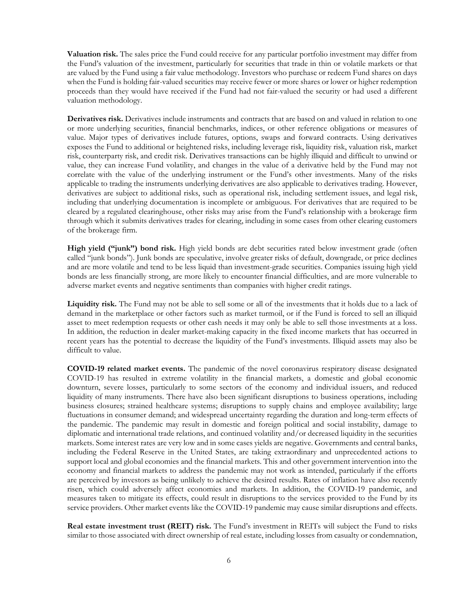**Valuation risk.** The sales price the Fund could receive for any particular portfolio investment may differ from the Fund's valuation of the investment, particularly for securities that trade in thin or volatile markets or that are valued by the Fund using a fair value methodology. Investors who purchase or redeem Fund shares on days when the Fund is holding fair-valued securities may receive fewer or more shares or lower or higher redemption proceeds than they would have received if the Fund had not fair-valued the security or had used a different valuation methodology.

**Derivatives risk.** Derivatives include instruments and contracts that are based on and valued in relation to one or more underlying securities, financial benchmarks, indices, or other reference obligations or measures of value. Major types of derivatives include futures, options, swaps and forward contracts. Using derivatives exposes the Fund to additional or heightened risks, including leverage risk, liquidity risk, valuation risk, market risk, counterparty risk, and credit risk. Derivatives transactions can be highly illiquid and difficult to unwind or value, they can increase Fund volatility, and changes in the value of a derivative held by the Fund may not correlate with the value of the underlying instrument or the Fund's other investments. Many of the risks applicable to trading the instruments underlying derivatives are also applicable to derivatives trading. However, derivatives are subject to additional risks, such as operational risk, including settlement issues, and legal risk, including that underlying documentation is incomplete or ambiguous. For derivatives that are required to be cleared by a regulated clearinghouse, other risks may arise from the Fund's relationship with a brokerage firm through which it submits derivatives trades for clearing, including in some cases from other clearing customers of the brokerage firm.

**High yield ("junk") bond risk.** High yield bonds are debt securities rated below investment grade (often called "junk bonds"). Junk bonds are speculative, involve greater risks of default, downgrade, or price declines and are more volatile and tend to be less liquid than investment-grade securities. Companies issuing high yield bonds are less financially strong, are more likely to encounter financial difficulties, and are more vulnerable to adverse market events and negative sentiments than companies with higher credit ratings.

**Liquidity risk.** The Fund may not be able to sell some or all of the investments that it holds due to a lack of demand in the marketplace or other factors such as market turmoil, or if the Fund is forced to sell an illiquid asset to meet redemption requests or other cash needs it may only be able to sell those investments at a loss. In addition, the reduction in dealer market-making capacity in the fixed income markets that has occurred in recent years has the potential to decrease the liquidity of the Fund's investments. Illiquid assets may also be difficult to value.

**COVID-19 related market events.** The pandemic of the novel coronavirus respiratory disease designated COVID-19 has resulted in extreme volatility in the financial markets, a domestic and global economic downturn, severe losses, particularly to some sectors of the economy and individual issuers, and reduced liquidity of many instruments. There have also been significant disruptions to business operations, including business closures; strained healthcare systems; disruptions to supply chains and employee availability; large fluctuations in consumer demand; and widespread uncertainty regarding the duration and long-term effects of the pandemic. The pandemic may result in domestic and foreign political and social instability, damage to diplomatic and international trade relations, and continued volatility and/or decreased liquidity in the securities markets. Some interest rates are very low and in some cases yields are negative. Governments and central banks, including the Federal Reserve in the United States, are taking extraordinary and unprecedented actions to support local and global economies and the financial markets. This and other government intervention into the economy and financial markets to address the pandemic may not work as intended, particularly if the efforts are perceived by investors as being unlikely to achieve the desired results. Rates of inflation have also recently risen, which could adversely affect economies and markets. In addition, the COVID-19 pandemic, and measures taken to mitigate its effects, could result in disruptions to the services provided to the Fund by its service providers. Other market events like the COVID-19 pandemic may cause similar disruptions and effects.

**Real estate investment trust (REIT) risk.** The Fund's investment in REITs will subject the Fund to risks similar to those associated with direct ownership of real estate, including losses from casualty or condemnation,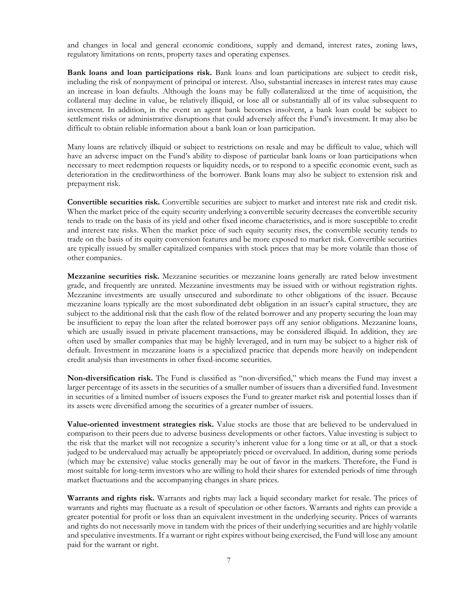and changes in local and general economic conditions, supply and demand, interest rates, zoning laws, regulatory limitations on rents, property taxes and operating expenses.

**Bank loans and loan participations risk.** Bank loans and loan participations are subject to credit risk, including the risk of nonpayment of principal or interest. Also, substantial increases in interest rates may cause an increase in loan defaults. Although the loans may be fully collateralized at the time of acquisition, the collateral may decline in value, be relatively illiquid, or lose all or substantially all of its value subsequent to investment. In addition, in the event an agent bank becomes insolvent, a bank loan could be subject to settlement risks or administrative disruptions that could adversely affect the Fund's investment. It may also be difficult to obtain reliable information about a bank loan or loan participation.

Many loans are relatively illiquid or subject to restrictions on resale and may be difficult to value, which will have an adverse impact on the Fund's ability to dispose of particular bank loans or loan participations when necessary to meet redemption requests or liquidity needs, or to respond to a specific economic event, such as deterioration in the creditworthiness of the borrower. Bank loans may also be subject to extension risk and prepayment risk.

**Convertible securities risk.** Convertible securities are subject to market and interest rate risk and credit risk. When the market price of the equity security underlying a convertible security decreases the convertible security tends to trade on the basis of its yield and other fixed income characteristics, and is more susceptible to credit and interest rate risks. When the market price of such equity security rises, the convertible security tends to trade on the basis of its equity conversion features and be more exposed to market risk. Convertible securities are typically issued by smaller capitalized companies with stock prices that may be more volatile than those of other companies.

**Mezzanine securities risk.** Mezzanine securities or mezzanine loans generally are rated below investment grade, and frequently are unrated. Mezzanine investments may be issued with or without registration rights. Mezzanine investments are usually unsecured and subordinate to other obligations of the issuer. Because mezzanine loans typically are the most subordinated debt obligation in an issuer's capital structure, they are subject to the additional risk that the cash flow of the related borrower and any property securing the loan may be insufficient to repay the loan after the related borrower pays off any senior obligations. Mezzanine loans, which are usually issued in private placement transactions, may be considered illiquid. In addition, they are often used by smaller companies that may be highly leveraged, and in turn may be subject to a higher risk of default. Investment in mezzanine loans is a specialized practice that depends more heavily on independent credit analysis than investments in other fixed-income securities.

**Non-diversification risk.** The Fund is classified as "non-diversified," which means the Fund may invest a larger percentage of its assets in the securities of a smaller number of issuers than a diversified fund. Investment in securities of a limited number of issuers exposes the Fund to greater market risk and potential losses than if its assets were diversified among the securities of a greater number of issuers.

**Value-oriented investment strategies risk.** Value stocks are those that are believed to be undervalued in comparison to their peers due to adverse business developments or other factors. Value investing is subject to the risk that the market will not recognize a security's inherent value for a long time or at all, or that a stock judged to be undervalued may actually be appropriately priced or overvalued. In addition, during some periods (which may be extensive) value stocks generally may be out of favor in the markets. Therefore, the Fund is most suitable for long-term investors who are willing to hold their shares for extended periods of time through market fluctuations and the accompanying changes in share prices.

**Warrants and rights risk.** Warrants and rights may lack a liquid secondary market for resale. The prices of warrants and rights may fluctuate as a result of speculation or other factors. Warrants and rights can provide a greater potential for profit or loss than an equivalent investment in the underlying security. Prices of warrants and rights do not necessarily move in tandem with the prices of their underlying securities and are highly volatile and speculative investments. If a warrant or right expires without being exercised, the Fund will lose any amount paid for the warrant or right.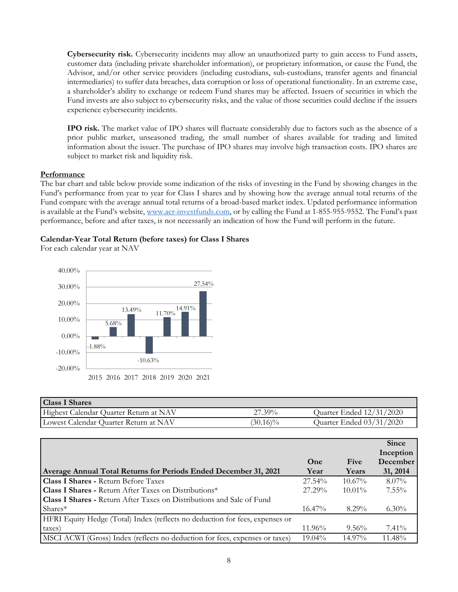**Cybersecurity risk.** Cybersecurity incidents may allow an unauthorized party to gain access to Fund assets, customer data (including private shareholder information), or proprietary information, or cause the Fund, the Advisor, and/or other service providers (including custodians, sub-custodians, transfer agents and financial intermediaries) to suffer data breaches, data corruption or loss of operational functionality. In an extreme case, a shareholder's ability to exchange or redeem Fund shares may be affected. Issuers of securities in which the Fund invests are also subject to cybersecurity risks, and the value of those securities could decline if the issuers experience cybersecurity incidents.

**IPO risk.** The market value of IPO shares will fluctuate considerably due to factors such as the absence of a prior public market, unseasoned trading, the small number of shares available for trading and limited information about the issuer. The purchase of IPO shares may involve high transaction costs. IPO shares are subject to market risk and liquidity risk.

#### **Performance**

The bar chart and table below provide some indication of the risks of investing in the Fund by showing changes in the Fund's performance from year to year for Class I shares and by showing how the average annual total returns of the Fund compare with the average annual total returns of a broad-based market index. Updated performance information is available at the Fund's website, [www.acr-investfunds.com,](http://www.acr-investfunds.com/) or by calling the Fund at 1-855-955-9552. The Fund's past performance, before and after taxes, is not necessarily an indication of how the Fund will perform in the future.

#### **Calendar-Year Total Return (before taxes) for Class I Shares**

For each calendar year at NAV



| <b>Class I Shares</b>                  |             |                          |
|----------------------------------------|-------------|--------------------------|
| Highest Calendar Quarter Return at NAV | 27.39%      | Quarter Ended 12/31/2020 |
| Lowest Calendar Quarter Return at NAV  | $(30.16)\%$ | Quarter Ended 03/31/2020 |

|                                                                              |           |           | <b>Since</b> |
|------------------------------------------------------------------------------|-----------|-----------|--------------|
|                                                                              |           |           | Inception    |
|                                                                              | One       | Five      | December     |
| Average Annual Total Returns for Periods Ended December 31, 2021             | Year      | Years     | 31, 2014     |
| <b>Class I Shares - Return Before Taxes</b>                                  | $27.54\%$ | $10.67\%$ | $8.07\%$     |
| <b>Class I Shares - Return After Taxes on Distributions*</b>                 | $27.29\%$ | $10.01\%$ | $7.55\%$     |
| <b>Class I Shares - Return After Taxes on Distributions and Sale of Fund</b> |           |           |              |
| $Shares*$                                                                    | $16.47\%$ | $8.29\%$  | $6.30\%$     |
| HFRI Equity Hedge (Total) Index (reflects no deduction for fees, expenses or |           |           |              |
| taxes)                                                                       | $11.96\%$ | $9.56\%$  | $7.41\%$     |
| MSCI ACWI (Gross) Index (reflects no deduction for fees, expenses or taxes)  | $19.04\%$ | $14.97\%$ | $11.48\%$    |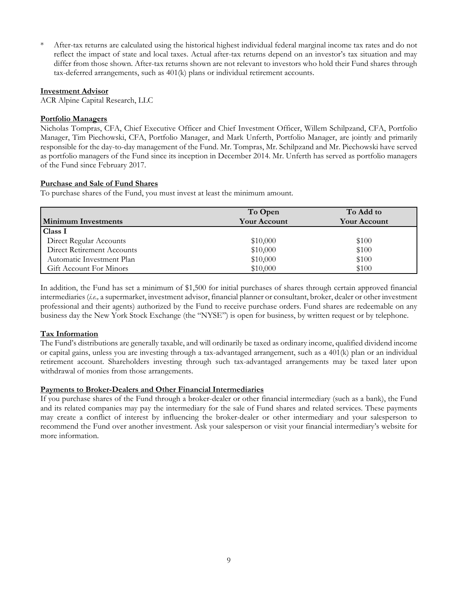After-tax returns are calculated using the historical highest individual federal marginal income tax rates and do not reflect the impact of state and local taxes. Actual after-tax returns depend on an investor's tax situation and may differ from those shown. After-tax returns shown are not relevant to investors who hold their Fund shares through tax-deferred arrangements, such as 401(k) plans or individual retirement accounts.

## **Investment Advisor**

ACR Alpine Capital Research, LLC

## **Portfolio Managers**

Nicholas Tompras, CFA, Chief Executive Officer and Chief Investment Officer, Willem Schilpzand, CFA, Portfolio Manager, Tim Piechowski, CFA, Portfolio Manager, and Mark Unferth, Portfolio Manager, are jointly and primarily responsible for the day-to-day management of the Fund. Mr. Tompras, Mr. Schilpzand and Mr. Piechowski have served as portfolio managers of the Fund since its inception in December 2014. Mr. Unferth has served as portfolio managers of the Fund since February 2017.

# **Purchase and Sale of Fund Shares**

To purchase shares of the Fund, you must invest at least the minimum amount.

|                            | To Open             | To Add to           |
|----------------------------|---------------------|---------------------|
| <b>Minimum Investments</b> | <b>Your Account</b> | <b>Your Account</b> |
| Class I                    |                     |                     |
| Direct Regular Accounts    | \$10,000            | \$100               |
| Direct Retirement Accounts | \$10,000            | \$100               |
| Automatic Investment Plan  | \$10,000            | \$100               |
| Gift Account For Minors    | \$10,000            | \$100               |

In addition, the Fund has set a minimum of \$1,500 for initial purchases of shares through certain approved financial intermediaries (*i.e.,* a supermarket, investment advisor, financial planner or consultant, broker, dealer or other investment professional and their agents) authorized by the Fund to receive purchase orders. Fund shares are redeemable on any business day the New York Stock Exchange (the "NYSE") is open for business, by written request or by telephone.

# **Tax Information**

The Fund's distributions are generally taxable, and will ordinarily be taxed as ordinary income, qualified dividend income or capital gains, unless you are investing through a tax-advantaged arrangement, such as a 401(k) plan or an individual retirement account. Shareholders investing through such tax-advantaged arrangements may be taxed later upon withdrawal of monies from those arrangements.

# **Payments to Broker-Dealers and Other Financial Intermediaries**

If you purchase shares of the Fund through a broker-dealer or other financial intermediary (such as a bank), the Fund and its related companies may pay the intermediary for the sale of Fund shares and related services. These payments may create a conflict of interest by influencing the broker-dealer or other intermediary and your salesperson to recommend the Fund over another investment. Ask your salesperson or visit your financial intermediary's website for more information.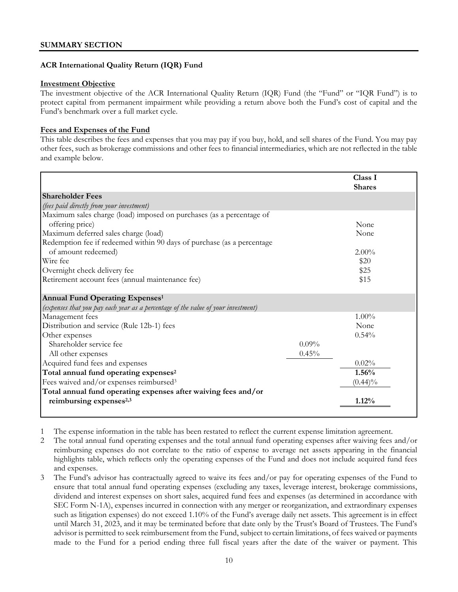# **ACR International Quality Return (IQR) Fund**

#### **Investment Objective**

The investment objective of the ACR International Quality Return (IQR) Fund (the "Fund" or "IQR Fund") is to protect capital from permanent impairment while providing a return above both the Fund's cost of capital and the Fund's benchmark over a full market cycle.

# **Fees and Expenses of the Fund**

This table describes the fees and expenses that you may pay if you buy, hold, and sell shares of the Fund. You may pay other fees, such as brokerage commissions and other fees to financial intermediaries, which are not reflected in the table and example below.

|                                                                                   |          | Class I<br><b>Shares</b> |
|-----------------------------------------------------------------------------------|----------|--------------------------|
| <b>Shareholder Fees</b>                                                           |          |                          |
| (fees paid directly from your investment)                                         |          |                          |
| Maximum sales charge (load) imposed on purchases (as a percentage of              |          |                          |
| offering price)                                                                   |          | None                     |
| Maximum deferred sales charge (load)                                              |          | None                     |
| Redemption fee if redeemed within 90 days of purchase (as a percentage            |          |                          |
| of amount redeemed)                                                               |          | $2.00\%$                 |
| Wire fee                                                                          |          | \$20                     |
| Overnight check delivery fee                                                      |          | \$25                     |
| Retirement account fees (annual maintenance fee)                                  |          | \$15                     |
| <b>Annual Fund Operating Expenses1</b>                                            |          |                          |
| (expenses that you pay each year as a percentage of the value of your investment) |          |                          |
| Management fees                                                                   |          | $1.00\%$                 |
| Distribution and service (Rule 12b-1) fees                                        |          | None                     |
| Other expenses                                                                    |          | 0.54%                    |
| Shareholder service fee                                                           | $0.09\%$ |                          |
| All other expenses                                                                | 0.45%    |                          |
| Acquired fund fees and expenses                                                   |          | 0.02%                    |
| Total annual fund operating expenses <sup>2</sup>                                 |          | 1.56%                    |
| Fees waived and/or expenses reimbursed <sup>3</sup>                               |          | $(0.44)\%$               |
| Total annual fund operating expenses after waiving fees and/or                    |          |                          |
| reimbursing expenses <sup>2,3</sup>                                               |          | 1.12%                    |
|                                                                                   |          |                          |

1 The expense information in the table has been restated to reflect the current expense limitation agreement.

2 The total annual fund operating expenses and the total annual fund operating expenses after waiving fees and/or reimbursing expenses do not correlate to the ratio of expense to average net assets appearing in the financial highlights table, which reflects only the operating expenses of the Fund and does not include acquired fund fees and expenses.

3 The Fund's advisor has contractually agreed to waive its fees and/or pay for operating expenses of the Fund to ensure that total annual fund operating expenses (excluding any taxes, leverage interest, brokerage commissions, dividend and interest expenses on short sales, acquired fund fees and expenses (as determined in accordance with SEC Form N-1A), expenses incurred in connection with any merger or reorganization, and extraordinary expenses such as litigation expenses) do not exceed 1.10% of the Fund's average daily net assets. This agreement is in effect until March 31, 2023, and it may be terminated before that date only by the Trust's Board of Trustees. The Fund's advisor is permitted to seek reimbursement from the Fund, subject to certain limitations, of fees waived or payments made to the Fund for a period ending three full fiscal years after the date of the waiver or payment. This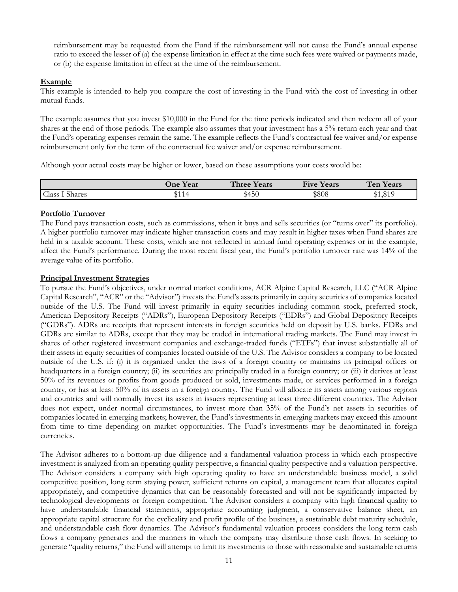reimbursement may be requested from the Fund if the reimbursement will not cause the Fund's annual expense ratio to exceed the lesser of (a) the expense limitation in effect at the time such fees were waived or payments made, or (b) the expense limitation in effect at the time of the reimbursement.

## **Example**

This example is intended to help you compare the cost of investing in the Fund with the cost of investing in other mutual funds.

The example assumes that you invest \$10,000 in the Fund for the time periods indicated and then redeem all of your shares at the end of those periods. The example also assumes that your investment has a 5% return each year and that the Fund's operating expenses remain the same. The example reflects the Fund's contractual fee waiver and/or expense reimbursement only for the term of the contractual fee waiver and/or expense reimbursement.

Although your actual costs may be higher or lower, based on these assumptions your costs would be:

|                 | $\mathbf{v}$<br><b>J</b> ne<br>Y ear | $ -$<br><b>nd</b><br>hree :<br>Years | $\mathbf{r}$<br>$ -$<br>ears)<br>Hve | $\mathbf{r}$<br>en<br>í ears |
|-----------------|--------------------------------------|--------------------------------------|--------------------------------------|------------------------------|
| Class<br>Shares | 114                                  | \$450                                | \$808                                | 01C                          |

#### **Portfolio Turnover**

The Fund pays transaction costs, such as commissions, when it buys and sells securities (or "turns over" its portfolio). A higher portfolio turnover may indicate higher transaction costs and may result in higher taxes when Fund shares are held in a taxable account. These costs, which are not reflected in annual fund operating expenses or in the example, affect the Fund's performance. During the most recent fiscal year, the Fund's portfolio turnover rate was 14% of the average value of its portfolio.

#### **Principal Investment Strategies**

To pursue the Fund's objectives, under normal market conditions, ACR Alpine Capital Research, LLC ("ACR Alpine Capital Research", "ACR" or the "Advisor") invests the Fund's assets primarily in equity securities of companies located outside of the U.S. The Fund will invest primarily in equity securities including common stock, preferred stock, American Depository Receipts ("ADRs"), European Depository Receipts ("EDRs") and Global Depository Receipts ("GDRs"). ADRs are receipts that represent interests in foreign securities held on deposit by U.S. banks. EDRs and GDRs are similar to ADRs, except that they may be traded in international trading markets. The Fund may invest in shares of other registered investment companies and exchange-traded funds ("ETFs") that invest substantially all of their assets in equity securities of companies located outside of the U.S. The Advisor considers a company to be located outside of the U.S. if: (i) it is organized under the laws of a foreign country or maintains its principal offices or headquarters in a foreign country; (ii) its securities are principally traded in a foreign country; or (iii) it derives at least 50% of its revenues or profits from goods produced or sold, investments made, or services performed in a foreign country, or has at least 50% of its assets in a foreign country. The Fund will allocate its assets among various regions and countries and will normally invest its assets in issuers representing at least three different countries. The Advisor does not expect, under normal circumstances, to invest more than 35% of the Fund's net assets in securities of companies located in emerging markets; however, the Fund's investments in emerging markets may exceed this amount from time to time depending on market opportunities. The Fund's investments may be denominated in foreign currencies.

The Advisor adheres to a bottom-up due diligence and a fundamental valuation process in which each prospective investment is analyzed from an operating quality perspective, a financial quality perspective and a valuation perspective. The Advisor considers a company with high operating quality to have an understandable business model, a solid competitive position, long term staying power, sufficient returns on capital, a management team that allocates capital appropriately, and competitive dynamics that can be reasonably forecasted and will not be significantly impacted by technological developments or foreign competition. The Advisor considers a company with high financial quality to have understandable financial statements, appropriate accounting judgment, a conservative balance sheet, an appropriate capital structure for the cyclicality and profit profile of the business, a sustainable debt maturity schedule, and understandable cash flow dynamics. The Advisor's fundamental valuation process considers the long term cash flows a company generates and the manners in which the company may distribute those cash flows. In seeking to generate "quality returns," the Fund will attempt to limit its investments to those with reasonable and sustainable returns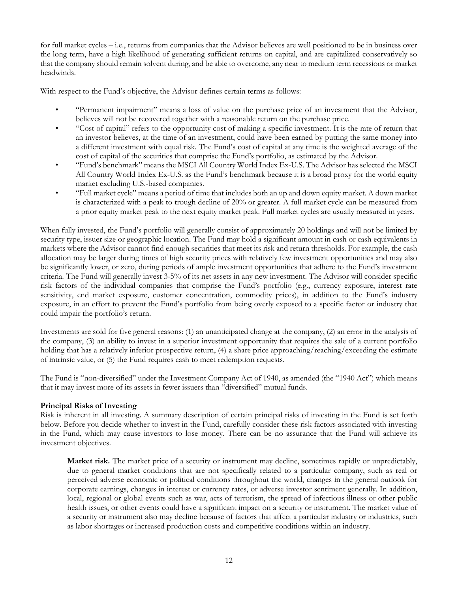for full market cycles – i.e., returns from companies that the Advisor believes are well positioned to be in business over the long term, have a high likelihood of generating sufficient returns on capital, and are capitalized conservatively so that the company should remain solvent during, and be able to overcome, any near to medium term recessions or market headwinds.

With respect to the Fund's objective, the Advisor defines certain terms as follows:

- "Permanent impairment" means a loss of value on the purchase price of an investment that the Advisor, believes will not be recovered together with a reasonable return on the purchase price.
- "Cost of capital" refers to the opportunity cost of making a specific investment. It is the rate of return that an investor believes, at the time of an investment, could have been earned by putting the same money into a different investment with equal risk. The Fund's cost of capital at any time is the weighted average of the cost of capital of the securities that comprise the Fund's portfolio, as estimated by the Advisor.
- "Fund's benchmark" means the MSCI All Country World Index Ex-U.S. The Advisor has selected the MSCI All Country World Index Ex-U.S. as the Fund's benchmark because it is a broad proxy for the world equity market excluding U.S.-based companies.
- "Full market cycle" means a period of time that includes both an up and down equity market. A down market is characterized with a peak to trough decline of 20% or greater. A full market cycle can be measured from a prior equity market peak to the next equity market peak. Full market cycles are usually measured in years.

When fully invested, the Fund's portfolio will generally consist of approximately 20 holdings and will not be limited by security type, issuer size or geographic location. The Fund may hold a significant amount in cash or cash equivalents in markets where the Advisor cannot find enough securities that meet its risk and return thresholds. For example, the cash allocation may be larger during times of high security prices with relatively few investment opportunities and may also be significantly lower, or zero, during periods of ample investment opportunities that adhere to the Fund's investment criteria. The Fund will generally invest 3-5% of its net assets in any new investment. The Advisor will consider specific risk factors of the individual companies that comprise the Fund's portfolio (e.g., currency exposure, interest rate sensitivity, end market exposure, customer concentration, commodity prices), in addition to the Fund's industry exposure, in an effort to prevent the Fund's portfolio from being overly exposed to a specific factor or industry that could impair the portfolio's return.

Investments are sold for five general reasons: (1) an unanticipated change at the company, (2) an error in the analysis of the company, (3) an ability to invest in a superior investment opportunity that requires the sale of a current portfolio holding that has a relatively inferior prospective return, (4) a share price approaching/reaching/exceeding the estimate of intrinsic value, or (5) the Fund requires cash to meet redemption requests.

The Fund is "non-diversified" under the Investment Company Act of 1940, as amended (the "1940 Act") which means that it may invest more of its assets in fewer issuers than "diversified" mutual funds.

# **Principal Risks of Investing**

Risk is inherent in all investing. A summary description of certain principal risks of investing in the Fund is set forth below. Before you decide whether to invest in the Fund, carefully consider these risk factors associated with investing in the Fund, which may cause investors to lose money. There can be no assurance that the Fund will achieve its investment objectives.

**Market risk.** The market price of a security or instrument may decline, sometimes rapidly or unpredictably, due to general market conditions that are not specifically related to a particular company, such as real or perceived adverse economic or political conditions throughout the world, changes in the general outlook for corporate earnings, changes in interest or currency rates, or adverse investor sentiment generally. In addition, local, regional or global events such as war, acts of terrorism, the spread of infectious illness or other public health issues, or other events could have a significant impact on a security or instrument. The market value of a security or instrument also may decline because of factors that affect a particular industry or industries, such as labor shortages or increased production costs and competitive conditions within an industry.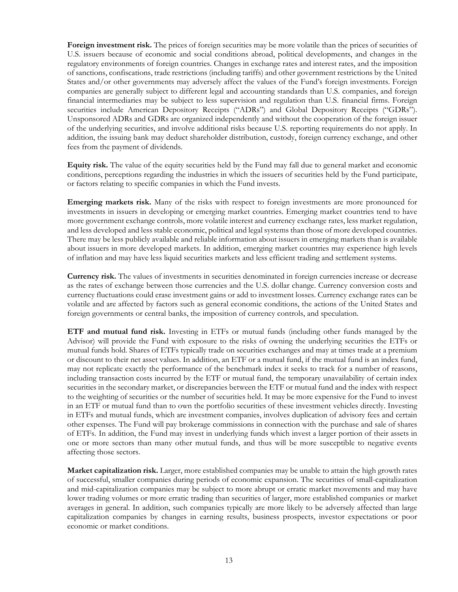**Foreign investment risk.** The prices of foreign securities may be more volatile than the prices of securities of U.S. issuers because of economic and social conditions abroad, political developments, and changes in the regulatory environments of foreign countries. Changes in exchange rates and interest rates, and the imposition of sanctions, confiscations, trade restrictions (including tariffs) and other government restrictions by the United States and/or other governments may adversely affect the values of the Fund's foreign investments. Foreign companies are generally subject to different legal and accounting standards than U.S. companies, and foreign financial intermediaries may be subject to less supervision and regulation than U.S. financial firms. Foreign securities include American Depository Receipts ("ADRs") and Global Depository Receipts ("GDRs"). Unsponsored ADRs and GDRs are organized independently and without the cooperation of the foreign issuer of the underlying securities, and involve additional risks because U.S. reporting requirements do not apply. In addition, the issuing bank may deduct shareholder distribution, custody, foreign currency exchange, and other fees from the payment of dividends.

**Equity risk.** The value of the equity securities held by the Fund may fall due to general market and economic conditions, perceptions regarding the industries in which the issuers of securities held by the Fund participate, or factors relating to specific companies in which the Fund invests.

**Emerging markets risk.** Many of the risks with respect to foreign investments are more pronounced for investments in issuers in developing or emerging market countries. Emerging market countries tend to have more government exchange controls, more volatile interest and currency exchange rates, less market regulation, and less developed and less stable economic, political and legal systems than those of more developed countries. There may be less publicly available and reliable information about issuers in emerging markets than is available about issuers in more developed markets. In addition, emerging market countries may experience high levels of inflation and may have less liquid securities markets and less efficient trading and settlement systems.

**Currency risk.** The values of investments in securities denominated in foreign currencies increase or decrease as the rates of exchange between those currencies and the U.S. dollar change. Currency conversion costs and currency fluctuations could erase investment gains or add to investment losses. Currency exchange rates can be volatile and are affected by factors such as general economic conditions, the actions of the United States and foreign governments or central banks, the imposition of currency controls, and speculation.

**ETF and mutual fund risk.** Investing in ETFs or mutual funds (including other funds managed by the Advisor) will provide the Fund with exposure to the risks of owning the underlying securities the ETFs or mutual funds hold. Shares of ETFs typically trade on securities exchanges and may at times trade at a premium or discount to their net asset values. In addition, an ETF or a mutual fund, if the mutual fund is an index fund, may not replicate exactly the performance of the benchmark index it seeks to track for a number of reasons, including transaction costs incurred by the ETF or mutual fund, the temporary unavailability of certain index securities in the secondary market, or discrepancies between the ETF or mutual fund and the index with respect to the weighting of securities or the number of securities held. It may be more expensive for the Fund to invest in an ETF or mutual fund than to own the portfolio securities of these investment vehicles directly. Investing in ETFs and mutual funds, which are investment companies, involves duplication of advisory fees and certain other expenses. The Fund will pay brokerage commissions in connection with the purchase and sale of shares of ETFs. In addition, the Fund may invest in underlying funds which invest a larger portion of their assets in one or more sectors than many other mutual funds, and thus will be more susceptible to negative events affecting those sectors.

**Market capitalization risk.** Larger, more established companies may be unable to attain the high growth rates of successful, smaller companies during periods of economic expansion. The securities of small-capitalization and mid-capitalization companies may be subject to more abrupt or erratic market movements and may have lower trading volumes or more erratic trading than securities of larger, more established companies or market averages in general. In addition, such companies typically are more likely to be adversely affected than large capitalization companies by changes in earning results, business prospects, investor expectations or poor economic or market conditions.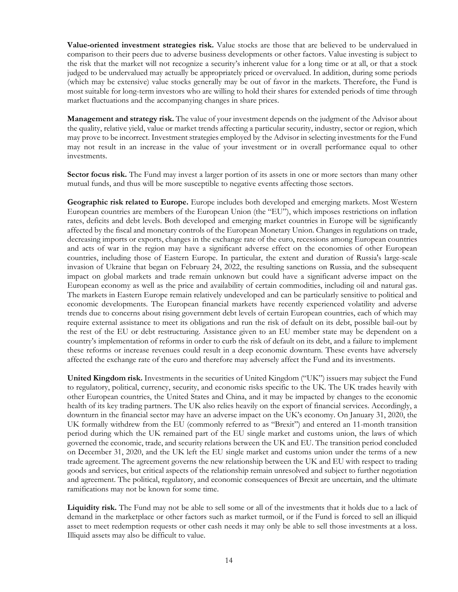**Value-oriented investment strategies risk.** Value stocks are those that are believed to be undervalued in comparison to their peers due to adverse business developments or other factors. Value investing is subject to the risk that the market will not recognize a security's inherent value for a long time or at all, or that a stock judged to be undervalued may actually be appropriately priced or overvalued. In addition, during some periods (which may be extensive) value stocks generally may be out of favor in the markets. Therefore, the Fund is most suitable for long-term investors who are willing to hold their shares for extended periods of time through market fluctuations and the accompanying changes in share prices.

**Management and strategy risk.** The value of your investment depends on the judgment of the Advisor about the quality, relative yield, value or market trends affecting a particular security, industry, sector or region, which may prove to be incorrect. Investment strategies employed by the Advisor in selecting investments for the Fund may not result in an increase in the value of your investment or in overall performance equal to other investments.

**Sector focus risk.** The Fund may invest a larger portion of its assets in one or more sectors than many other mutual funds, and thus will be more susceptible to negative events affecting those sectors.

**Geographic risk related to Europe.** Europe includes both developed and emerging markets. Most Western European countries are members of the European Union (the "EU"), which imposes restrictions on inflation rates, deficits and debt levels. Both developed and emerging market countries in Europe will be significantly affected by the fiscal and monetary controls of the European Monetary Union. Changes in regulations on trade, decreasing imports or exports, changes in the exchange rate of the euro, recessions among European countries and acts of war in the region may have a significant adverse effect on the economies of other European countries, including those of Eastern Europe. In particular, the extent and duration of Russia's large-scale invasion of Ukraine that began on February 24, 2022, the resulting sanctions on Russia, and the subsequent impact on global markets and trade remain unknown but could have a significant adverse impact on the European economy as well as the price and availability of certain commodities, including oil and natural gas. The markets in Eastern Europe remain relatively undeveloped and can be particularly sensitive to political and economic developments. The European financial markets have recently experienced volatility and adverse trends due to concerns about rising government debt levels of certain European countries, each of which may require external assistance to meet its obligations and run the risk of default on its debt, possible bail-out by the rest of the EU or debt restructuring. Assistance given to an EU member state may be dependent on a country's implementation of reforms in order to curb the risk of default on its debt, and a failure to implement these reforms or increase revenues could result in a deep economic downturn. These events have adversely affected the exchange rate of the euro and therefore may adversely affect the Fund and its investments.

**United Kingdom risk.** Investments in the securities of United Kingdom ("UK") issuers may subject the Fund to regulatory, political, currency, security, and economic risks specific to the UK. The UK trades heavily with other European countries, the United States and China, and it may be impacted by changes to the economic health of its key trading partners. The UK also relies heavily on the export of financial services. Accordingly, a downturn in the financial sector may have an adverse impact on the UK's economy. On January 31, 2020, the UK formally withdrew from the EU (commonly referred to as "Brexit") and entered an 11-month transition period during which the UK remained part of the EU single market and customs union, the laws of which governed the economic, trade, and security relations between the UK and EU. The transition period concluded on December 31, 2020, and the UK left the EU single market and customs union under the terms of a new trade agreement. The agreement governs the new relationship between the UK and EU with respect to trading goods and services, but critical aspects of the relationship remain unresolved and subject to further negotiation and agreement. The political, regulatory, and economic consequences of Brexit are uncertain, and the ultimate ramifications may not be known for some time.

**Liquidity risk.** The Fund may not be able to sell some or all of the investments that it holds due to a lack of demand in the marketplace or other factors such as market turmoil, or if the Fund is forced to sell an illiquid asset to meet redemption requests or other cash needs it may only be able to sell those investments at a loss. Illiquid assets may also be difficult to value.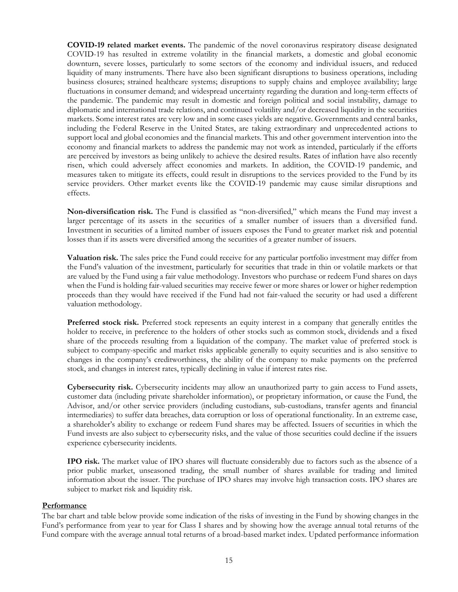**COVID-19 related market events.** The pandemic of the novel coronavirus respiratory disease designated COVID-19 has resulted in extreme volatility in the financial markets, a domestic and global economic downturn, severe losses, particularly to some sectors of the economy and individual issuers, and reduced liquidity of many instruments. There have also been significant disruptions to business operations, including business closures; strained healthcare systems; disruptions to supply chains and employee availability; large fluctuations in consumer demand; and widespread uncertainty regarding the duration and long-term effects of the pandemic. The pandemic may result in domestic and foreign political and social instability, damage to diplomatic and international trade relations, and continued volatility and/or decreased liquidity in the securities markets. Some interest rates are very low and in some cases yields are negative. Governments and central banks, including the Federal Reserve in the United States, are taking extraordinary and unprecedented actions to support local and global economies and the financial markets. This and other government intervention into the economy and financial markets to address the pandemic may not work as intended, particularly if the efforts are perceived by investors as being unlikely to achieve the desired results. Rates of inflation have also recently risen, which could adversely affect economies and markets. In addition, the COVID-19 pandemic, and measures taken to mitigate its effects, could result in disruptions to the services provided to the Fund by its service providers. Other market events like the COVID-19 pandemic may cause similar disruptions and effects.

**Non-diversification risk.** The Fund is classified as "non-diversified," which means the Fund may invest a larger percentage of its assets in the securities of a smaller number of issuers than a diversified fund. Investment in securities of a limited number of issuers exposes the Fund to greater market risk and potential losses than if its assets were diversified among the securities of a greater number of issuers.

**Valuation risk.** The sales price the Fund could receive for any particular portfolio investment may differ from the Fund's valuation of the investment, particularly for securities that trade in thin or volatile markets or that are valued by the Fund using a fair value methodology. Investors who purchase or redeem Fund shares on days when the Fund is holding fair-valued securities may receive fewer or more shares or lower or higher redemption proceeds than they would have received if the Fund had not fair-valued the security or had used a different valuation methodology.

**Preferred stock risk.** Preferred stock represents an equity interest in a company that generally entitles the holder to receive, in preference to the holders of other stocks such as common stock, dividends and a fixed share of the proceeds resulting from a liquidation of the company. The market value of preferred stock is subject to company-specific and market risks applicable generally to equity securities and is also sensitive to changes in the company's creditworthiness, the ability of the company to make payments on the preferred stock, and changes in interest rates, typically declining in value if interest rates rise.

**Cybersecurity risk.** Cybersecurity incidents may allow an unauthorized party to gain access to Fund assets, customer data (including private shareholder information), or proprietary information, or cause the Fund, the Advisor, and/or other service providers (including custodians, sub-custodians, transfer agents and financial intermediaries) to suffer data breaches, data corruption or loss of operational functionality. In an extreme case, a shareholder's ability to exchange or redeem Fund shares may be affected. Issuers of securities in which the Fund invests are also subject to cybersecurity risks, and the value of those securities could decline if the issuers experience cybersecurity incidents.

**IPO risk.** The market value of IPO shares will fluctuate considerably due to factors such as the absence of a prior public market, unseasoned trading, the small number of shares available for trading and limited information about the issuer. The purchase of IPO shares may involve high transaction costs. IPO shares are subject to market risk and liquidity risk.

# **Performance**

The bar chart and table below provide some indication of the risks of investing in the Fund by showing changes in the Fund's performance from year to year for Class I shares and by showing how the average annual total returns of the Fund compare with the average annual total returns of a broad-based market index. Updated performance information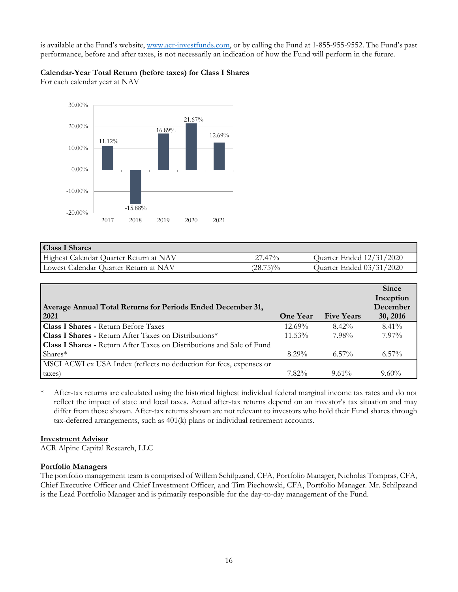is available at the Fund's website, [www.acr-investfunds.com,](http://www.acr-investfunds.com/) or by calling the Fund at 1-855-955-9552. The Fund's past performance, before and after taxes, is not necessarily an indication of how the Fund will perform in the future.

# **Calendar-Year Total Return (before taxes) for Class I Shares**

For each calendar year at NAV



| <b>Class I Shares</b>                  |             |                          |
|----------------------------------------|-------------|--------------------------|
| Highest Calendar Quarter Return at NAV | $27.47\%$   | Quarter Ended 12/31/2020 |
| Lowest Calendar Quarter Return at NAV  | $(28.75)\%$ | Quarter Ended 03/31/2020 |

|                                                                       |                 |                   | <b>Since</b> |
|-----------------------------------------------------------------------|-----------------|-------------------|--------------|
|                                                                       |                 |                   | Inception    |
| Average Annual Total Returns for Periods Ended December 31,           |                 |                   | December     |
| 2021                                                                  | <b>One Year</b> | <b>Five Years</b> | 30, 2016     |
| <b>Class I Shares - Return Before Taxes</b>                           | $12.69\%$       | $8.42\%$          | $8.41\%$     |
| <b>Class I Shares - Return After Taxes on Distributions*</b>          | $11.53\%$       | 7.98%             | $7.97\%$     |
| Class I Shares - Return After Taxes on Distributions and Sale of Fund |                 |                   |              |
| $Shares*$                                                             | $8.29\%$        | $6.57\%$          | $6.57\%$     |
| MSCI ACWI ex USA Index (reflects no deduction for fees, expenses or   |                 |                   |              |
| taxes)                                                                | $7.82\%$        | $9.61\%$          | $9.60\%$     |

\* After-tax returns are calculated using the historical highest individual federal marginal income tax rates and do not reflect the impact of state and local taxes. Actual after-tax returns depend on an investor's tax situation and may differ from those shown. After-tax returns shown are not relevant to investors who hold their Fund shares through tax-deferred arrangements, such as 401(k) plans or individual retirement accounts.

# **Investment Advisor**

ACR Alpine Capital Research, LLC

# **Portfolio Managers**

The portfolio management team is comprised of Willem Schilpzand, CFA, Portfolio Manager, Nicholas Tompras, CFA, Chief Executive Officer and Chief Investment Officer, and Tim Piechowski, CFA, Portfolio Manager. Mr. Schilpzand is the Lead Portfolio Manager and is primarily responsible for the day-to-day management of the Fund.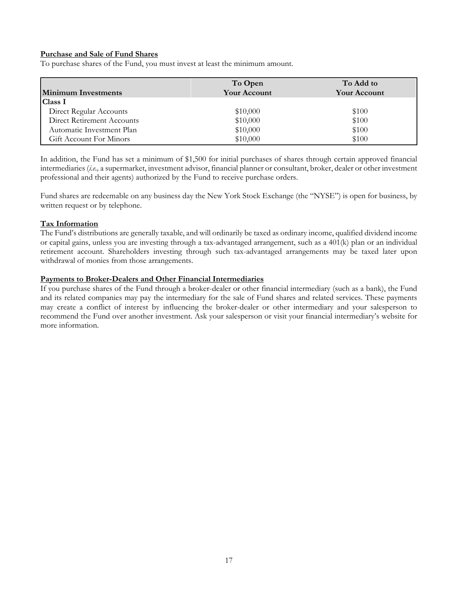# **Purchase and Sale of Fund Shares**

To purchase shares of the Fund, you must invest at least the minimum amount.

| <b>Minimum Investments</b>        | To Open<br><b>Your Account</b> | To Add to<br><b>Your Account</b> |
|-----------------------------------|--------------------------------|----------------------------------|
| Class I                           |                                |                                  |
| Direct Regular Accounts           | \$10,000                       | \$100                            |
| <b>Direct Retirement Accounts</b> | \$10,000                       | \$100                            |
| Automatic Investment Plan         | \$10,000                       | \$100                            |
| Gift Account For Minors           | \$10,000                       | \$100                            |

In addition, the Fund has set a minimum of \$1,500 for initial purchases of shares through certain approved financial intermediaries (*i.e.,* a supermarket, investment advisor, financial planner or consultant, broker, dealer or other investment professional and their agents) authorized by the Fund to receive purchase orders.

Fund shares are redeemable on any business day the New York Stock Exchange (the "NYSE") is open for business, by written request or by telephone.

#### **Tax Information**

The Fund's distributions are generally taxable, and will ordinarily be taxed as ordinary income, qualified dividend income or capital gains, unless you are investing through a tax-advantaged arrangement, such as a 401(k) plan or an individual retirement account. Shareholders investing through such tax-advantaged arrangements may be taxed later upon withdrawal of monies from those arrangements.

#### **Payments to Broker-Dealers and Other Financial Intermediaries**

If you purchase shares of the Fund through a broker-dealer or other financial intermediary (such as a bank), the Fund and its related companies may pay the intermediary for the sale of Fund shares and related services. These payments may create a conflict of interest by influencing the broker-dealer or other intermediary and your salesperson to recommend the Fund over another investment. Ask your salesperson or visit your financial intermediary's website for more information.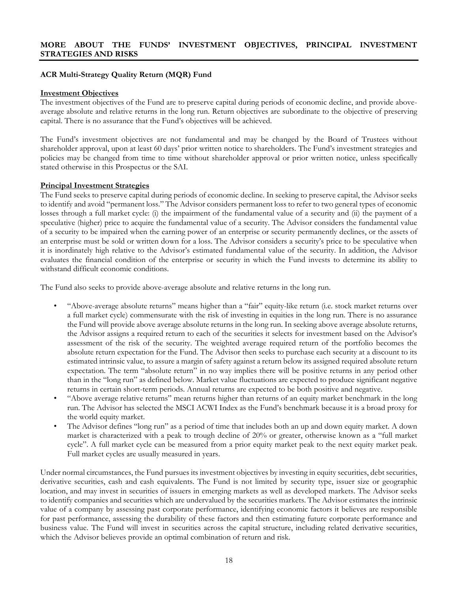# **ACR Multi-Strategy Quality Return (MQR) Fund**

#### **Investment Objectives**

The investment objectives of the Fund are to preserve capital during periods of economic decline, and provide aboveaverage absolute and relative returns in the long run. Return objectives are subordinate to the objective of preserving capital. There is no assurance that the Fund's objectives will be achieved.

The Fund's investment objectives are not fundamental and may be changed by the Board of Trustees without shareholder approval, upon at least 60 days' prior written notice to shareholders. The Fund's investment strategies and policies may be changed from time to time without shareholder approval or prior written notice, unless specifically stated otherwise in this Prospectus or the SAI.

#### **Principal Investment Strategies**

The Fund seeks to preserve capital during periods of economic decline. In seeking to preserve capital, the Advisor seeks to identify and avoid "permanent loss." The Advisor considers permanent loss to refer to two general types of economic losses through a full market cycle: (i) the impairment of the fundamental value of a security and (ii) the payment of a speculative (higher) price to acquire the fundamental value of a security. The Advisor considers the fundamental value of a security to be impaired when the earning power of an enterprise or security permanently declines, or the assets of an enterprise must be sold or written down for a loss. The Advisor considers a security's price to be speculative when it is inordinately high relative to the Advisor's estimated fundamental value of the security. In addition, the Advisor evaluates the financial condition of the enterprise or security in which the Fund invests to determine its ability to withstand difficult economic conditions.

The Fund also seeks to provide above-average absolute and relative returns in the long run.

- "Above-average absolute returns" means higher than a "fair" equity-like return (i.e. stock market returns over a full market cycle) commensurate with the risk of investing in equities in the long run. There is no assurance the Fund will provide above average absolute returns in the long run. In seeking above average absolute returns, the Advisor assigns a required return to each of the securities it selects for investment based on the Advisor's assessment of the risk of the security. The weighted average required return of the portfolio becomes the absolute return expectation for the Fund. The Advisor then seeks to purchase each security at a discount to its estimated intrinsic value, to assure a margin of safety against a return below its assigned required absolute return expectation. The term "absolute return" in no way implies there will be positive returns in any period other than in the "long run" as defined below. Market value fluctuations are expected to produce significant negative returns in certain short-term periods. Annual returns are expected to be both positive and negative.
- "Above average relative returns" mean returns higher than returns of an equity market benchmark in the long run. The Advisor has selected the MSCI ACWI Index as the Fund's benchmark because it is a broad proxy for the world equity market.
- The Advisor defines "long run" as a period of time that includes both an up and down equity market. A down market is characterized with a peak to trough decline of 20% or greater, otherwise known as a "full market cycle". A full market cycle can be measured from a prior equity market peak to the next equity market peak. Full market cycles are usually measured in years.

Under normal circumstances, the Fund pursues its investment objectives by investing in equity securities, debt securities, derivative securities, cash and cash equivalents. The Fund is not limited by security type, issuer size or geographic location, and may invest in securities of issuers in emerging markets as well as developed markets. The Advisor seeks to identify companies and securities which are undervalued by the securities markets. The Advisor estimates the intrinsic value of a company by assessing past corporate performance, identifying economic factors it believes are responsible for past performance, assessing the durability of these factors and then estimating future corporate performance and business value. The Fund will invest in securities across the capital structure, including related derivative securities, which the Advisor believes provide an optimal combination of return and risk.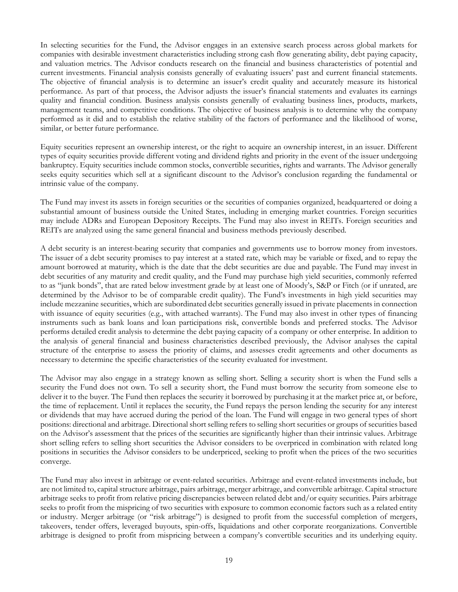In selecting securities for the Fund, the Advisor engages in an extensive search process across global markets for companies with desirable investment characteristics including strong cash flow generating ability, debt paying capacity, and valuation metrics. The Advisor conducts research on the financial and business characteristics of potential and current investments. Financial analysis consists generally of evaluating issuers' past and current financial statements. The objective of financial analysis is to determine an issuer's credit quality and accurately measure its historical performance. As part of that process, the Advisor adjusts the issuer's financial statements and evaluates its earnings quality and financial condition. Business analysis consists generally of evaluating business lines, products, markets, management teams, and competitive conditions. The objective of business analysis is to determine why the company performed as it did and to establish the relative stability of the factors of performance and the likelihood of worse, similar, or better future performance.

Equity securities represent an ownership interest, or the right to acquire an ownership interest, in an issuer. Different types of equity securities provide different voting and dividend rights and priority in the event of the issuer undergoing bankruptcy. Equity securities include common stocks, convertible securities, rights and warrants. The Advisor generally seeks equity securities which sell at a significant discount to the Advisor's conclusion regarding the fundamental or intrinsic value of the company.

The Fund may invest its assets in foreign securities or the securities of companies organized, headquartered or doing a substantial amount of business outside the United States, including in emerging market countries. Foreign securities may include ADRs and European Depository Receipts. The Fund may also invest in REITs. Foreign securities and REITs are analyzed using the same general financial and business methods previously described.

A debt security is an interest-bearing security that companies and governments use to borrow money from investors. The issuer of a debt security promises to pay interest at a stated rate, which may be variable or fixed, and to repay the amount borrowed at maturity, which is the date that the debt securities are due and payable. The Fund may invest in debt securities of any maturity and credit quality, and the Fund may purchase high yield securities, commonly referred to as "junk bonds", that are rated below investment grade by at least one of Moody's, S&P or Fitch (or if unrated, are determined by the Advisor to be of comparable credit quality). The Fund's investments in high yield securities may include mezzanine securities, which are subordinated debt securities generally issued in private placements in connection with issuance of equity securities (e.g., with attached warrants). The Fund may also invest in other types of financing instruments such as bank loans and loan participations risk, convertible bonds and preferred stocks. The Advisor performs detailed credit analysis to determine the debt paying capacity of a company or other enterprise. In addition to the analysis of general financial and business characteristics described previously, the Advisor analyses the capital structure of the enterprise to assess the priority of claims, and assesses credit agreements and other documents as necessary to determine the specific characteristics of the security evaluated for investment.

The Advisor may also engage in a strategy known as selling short. Selling a security short is when the Fund sells a security the Fund does not own. To sell a security short, the Fund must borrow the security from someone else to deliver it to the buyer. The Fund then replaces the security it borrowed by purchasing it at the market price at, or before, the time of replacement. Until it replaces the security, the Fund repays the person lending the security for any interest or dividends that may have accrued during the period of the loan. The Fund will engage in two general types of short positions: directional and arbitrage. Directional short selling refers to selling short securities or groups of securities based on the Advisor's assessment that the prices of the securities are significantly higher than their intrinsic values. Arbitrage short selling refers to selling short securities the Advisor considers to be overpriced in combination with related long positions in securities the Advisor considers to be underpriced, seeking to profit when the prices of the two securities converge.

The Fund may also invest in arbitrage or event-related securities. Arbitrage and event-related investments include, but are not limited to, capital structure arbitrage, pairs arbitrage, merger arbitrage, and convertible arbitrage. Capital structure arbitrage seeks to profit from relative pricing discrepancies between related debt and/or equity securities. Pairs arbitrage seeks to profit from the mispricing of two securities with exposure to common economic factors such as a related entity or industry. Merger arbitrage (or "risk arbitrage") is designed to profit from the successful completion of mergers, takeovers, tender offers, leveraged buyouts, spin-offs, liquidations and other corporate reorganizations. Convertible arbitrage is designed to profit from mispricing between a company's convertible securities and its underlying equity.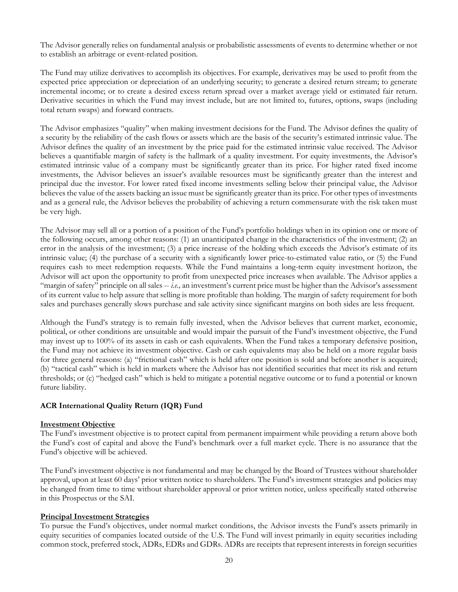The Advisor generally relies on fundamental analysis or probabilistic assessments of events to determine whether or not to establish an arbitrage or event-related position.

The Fund may utilize derivatives to accomplish its objectives. For example, derivatives may be used to profit from the expected price appreciation or depreciation of an underlying security; to generate a desired return stream; to generate incremental income; or to create a desired excess return spread over a market average yield or estimated fair return. Derivative securities in which the Fund may invest include, but are not limited to, futures, options, swaps (including total return swaps) and forward contracts.

The Advisor emphasizes "quality" when making investment decisions for the Fund. The Advisor defines the quality of a security by the reliability of the cash flows or assets which are the basis of the security's estimated intrinsic value. The Advisor defines the quality of an investment by the price paid for the estimated intrinsic value received. The Advisor believes a quantifiable margin of safety is the hallmark of a quality investment. For equity investments, the Advisor's estimated intrinsic value of a company must be significantly greater than its price. For higher rated fixed income investments, the Advisor believes an issuer's available resources must be significantly greater than the interest and principal due the investor. For lower rated fixed income investments selling below their principal value, the Advisor believes the value of the assets backing an issue must be significantly greater than its price. For other types of investments and as a general rule, the Advisor believes the probability of achieving a return commensurate with the risk taken must be very high.

The Advisor may sell all or a portion of a position of the Fund's portfolio holdings when in its opinion one or more of the following occurs, among other reasons: (1) an unanticipated change in the characteristics of the investment; (2) an error in the analysis of the investment; (3) a price increase of the holding which exceeds the Advisor's estimate of its intrinsic value; (4) the purchase of a security with a significantly lower price-to-estimated value ratio, or (5) the Fund requires cash to meet redemption requests. While the Fund maintains a long-term equity investment horizon, the Advisor will act upon the opportunity to profit from unexpected price increases when available. The Advisor applies a "margin of safety" principle on all sales -- *i.e.,* an investment's current price must be higher than the Advisor's assessment of its current value to help assure that selling is more profitable than holding. The margin of safety requirement for both sales and purchases generally slows purchase and sale activity since significant margins on both sides are less frequent.

Although the Fund's strategy is to remain fully invested, when the Advisor believes that current market, economic, political, or other conditions are unsuitable and would impair the pursuit of the Fund's investment objective, the Fund may invest up to 100% of its assets in cash or cash equivalents. When the Fund takes a temporary defensive position, the Fund may not achieve its investment objective. Cash or cash equivalents may also be held on a more regular basis for three general reasons: (a) "frictional cash" which is held after one position is sold and before another is acquired; (b) "tactical cash" which is held in markets where the Advisor has not identified securities that meet its risk and return thresholds; or (c) "hedged cash" which is held to mitigate a potential negative outcome or to fund a potential or known future liability.

# **ACR International Quality Return (IQR) Fund**

# **Investment Objective**

The Fund's investment objective is to protect capital from permanent impairment while providing a return above both the Fund's cost of capital and above the Fund's benchmark over a full market cycle. There is no assurance that the Fund's objective will be achieved.

The Fund's investment objective is not fundamental and may be changed by the Board of Trustees without shareholder approval, upon at least 60 days' prior written notice to shareholders. The Fund's investment strategies and policies may be changed from time to time without shareholder approval or prior written notice, unless specifically stated otherwise in this Prospectus or the SAI.

# **Principal Investment Strategies**

To pursue the Fund's objectives, under normal market conditions, the Advisor invests the Fund's assets primarily in equity securities of companies located outside of the U.S. The Fund will invest primarily in equity securities including common stock, preferred stock, ADRs, EDRs and GDRs. ADRs are receipts that represent interests in foreign securities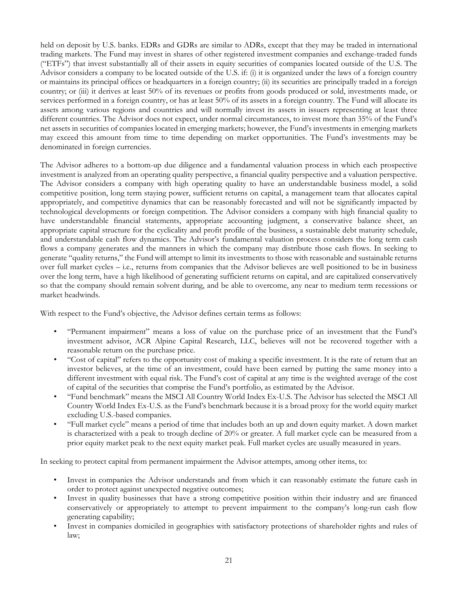held on deposit by U.S. banks. EDRs and GDRs are similar to ADRs, except that they may be traded in international trading markets. The Fund may invest in shares of other registered investment companies and exchange-traded funds ("ETFs") that invest substantially all of their assets in equity securities of companies located outside of the U.S. The Advisor considers a company to be located outside of the U.S. if: (i) it is organized under the laws of a foreign country or maintains its principal offices or headquarters in a foreign country; (ii) its securities are principally traded in a foreign country; or (iii) it derives at least 50% of its revenues or profits from goods produced or sold, investments made, or services performed in a foreign country, or has at least 50% of its assets in a foreign country. The Fund will allocate its assets among various regions and countries and will normally invest its assets in issuers representing at least three different countries. The Advisor does not expect, under normal circumstances, to invest more than 35% of the Fund's net assets in securities of companies located in emerging markets; however, the Fund's investments in emerging markets may exceed this amount from time to time depending on market opportunities. The Fund's investments may be denominated in foreign currencies.

The Advisor adheres to a bottom-up due diligence and a fundamental valuation process in which each prospective investment is analyzed from an operating quality perspective, a financial quality perspective and a valuation perspective. The Advisor considers a company with high operating quality to have an understandable business model, a solid competitive position, long term staying power, sufficient returns on capital, a management team that allocates capital appropriately, and competitive dynamics that can be reasonably forecasted and will not be significantly impacted by technological developments or foreign competition. The Advisor considers a company with high financial quality to have understandable financial statements, appropriate accounting judgment, a conservative balance sheet, an appropriate capital structure for the cyclicality and profit profile of the business, a sustainable debt maturity schedule, and understandable cash flow dynamics. The Advisor's fundamental valuation process considers the long term cash flows a company generates and the manners in which the company may distribute those cash flows. In seeking to generate "quality returns," the Fund will attempt to limit its investments to those with reasonable and sustainable returns over full market cycles – i.e., returns from companies that the Advisor believes are well positioned to be in business over the long term, have a high likelihood of generating sufficient returns on capital, and are capitalized conservatively so that the company should remain solvent during, and be able to overcome, any near to medium term recessions or market headwinds.

With respect to the Fund's objective, the Advisor defines certain terms as follows:

- "Permanent impairment" means a loss of value on the purchase price of an investment that the Fund's investment advisor, ACR Alpine Capital Research, LLC, believes will not be recovered together with a reasonable return on the purchase price.
- "Cost of capital" refers to the opportunity cost of making a specific investment. It is the rate of return that an investor believes, at the time of an investment, could have been earned by putting the same money into a different investment with equal risk. The Fund's cost of capital at any time is the weighted average of the cost of capital of the securities that comprise the Fund's portfolio, as estimated by the Advisor.
- "Fund benchmark" means the MSCI All Country World Index Ex-U.S. The Advisor has selected the MSCI All Country World Index Ex-U.S. as the Fund's benchmark because it is a broad proxy for the world equity market excluding U.S.-based companies.
- "Full market cycle" means a period of time that includes both an up and down equity market. A down market is characterized with a peak to trough decline of 20% or greater. A full market cycle can be measured from a prior equity market peak to the next equity market peak. Full market cycles are usually measured in years.

In seeking to protect capital from permanent impairment the Advisor attempts, among other items, to:

- Invest in companies the Advisor understands and from which it can reasonably estimate the future cash in order to protect against unexpected negative outcomes;
- Invest in quality businesses that have a strong competitive position within their industry and are financed conservatively or appropriately to attempt to prevent impairment to the company's long-run cash flow generating capability;
- Invest in companies domiciled in geographies with satisfactory protections of shareholder rights and rules of law;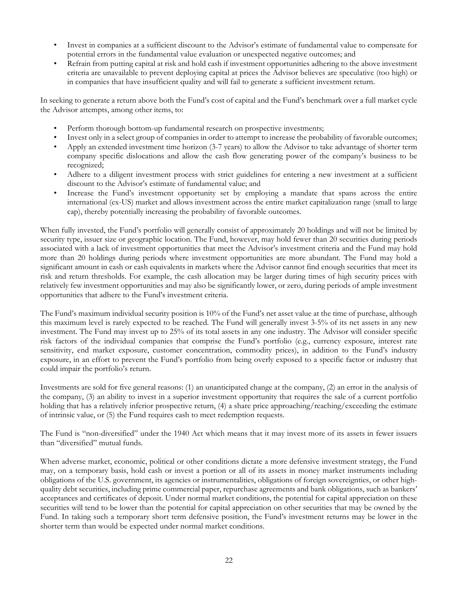- Invest in companies at a sufficient discount to the Advisor's estimate of fundamental value to compensate for potential errors in the fundamental value evaluation or unexpected negative outcomes; and
- Refrain from putting capital at risk and hold cash if investment opportunities adhering to the above investment criteria are unavailable to prevent deploying capital at prices the Advisor believes are speculative (too high) or in companies that have insufficient quality and will fail to generate a sufficient investment return.

In seeking to generate a return above both the Fund's cost of capital and the Fund's benchmark over a full market cycle the Advisor attempts, among other items, to:

- Perform thorough bottom-up fundamental research on prospective investments;
- Invest only in a select group of companies in order to attempt to increase the probability of favorable outcomes;
- Apply an extended investment time horizon (3-7 years) to allow the Advisor to take advantage of shorter term company specific dislocations and allow the cash flow generating power of the company's business to be recognized;
- Adhere to a diligent investment process with strict guidelines for entering a new investment at a sufficient discount to the Advisor's estimate of fundamental value; and
- Increase the Fund's investment opportunity set by employing a mandate that spans across the entire international (ex-US) market and allows investment across the entire market capitalization range (small to large cap), thereby potentially increasing the probability of favorable outcomes.

When fully invested, the Fund's portfolio will generally consist of approximately 20 holdings and will not be limited by security type, issuer size or geographic location. The Fund, however, may hold fewer than 20 securities during periods associated with a lack of investment opportunities that meet the Advisor's investment criteria and the Fund may hold more than 20 holdings during periods where investment opportunities are more abundant. The Fund may hold a significant amount in cash or cash equivalents in markets where the Advisor cannot find enough securities that meet its risk and return thresholds. For example, the cash allocation may be larger during times of high security prices with relatively few investment opportunities and may also be significantly lower, or zero, during periods of ample investment opportunities that adhere to the Fund's investment criteria.

The Fund's maximum individual security position is 10% of the Fund's net asset value at the time of purchase, although this maximum level is rarely expected to be reached. The Fund will generally invest 3-5% of its net assets in any new investment. The Fund may invest up to 25% of its total assets in any one industry. The Advisor will consider specific risk factors of the individual companies that comprise the Fund's portfolio (e.g., currency exposure, interest rate sensitivity, end market exposure, customer concentration, commodity prices), in addition to the Fund's industry exposure, in an effort to prevent the Fund's portfolio from being overly exposed to a specific factor or industry that could impair the portfolio's return.

Investments are sold for five general reasons: (1) an unanticipated change at the company, (2) an error in the analysis of the company, (3) an ability to invest in a superior investment opportunity that requires the sale of a current portfolio holding that has a relatively inferior prospective return, (4) a share price approaching/reaching/exceeding the estimate of intrinsic value, or (5) the Fund requires cash to meet redemption requests.

The Fund is "non-diversified" under the 1940 Act which means that it may invest more of its assets in fewer issuers than "diversified" mutual funds.

When adverse market, economic, political or other conditions dictate a more defensive investment strategy, the Fund may, on a temporary basis, hold cash or invest a portion or all of its assets in money market instruments including obligations of the U.S. government, its agencies or instrumentalities, obligations of foreign sovereignties, or other highquality debt securities, including prime commercial paper, repurchase agreements and bank obligations, such as bankers' acceptances and certificates of deposit. Under normal market conditions, the potential for capital appreciation on these securities will tend to be lower than the potential for capital appreciation on other securities that may be owned by the Fund. In taking such a temporary short term defensive position, the Fund's investment returns may be lower in the shorter term than would be expected under normal market conditions.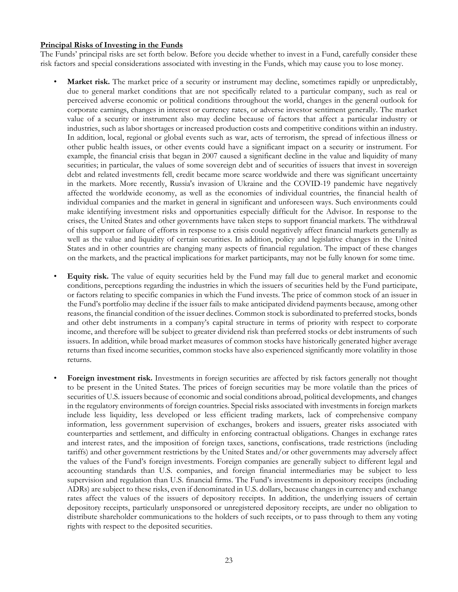# **Principal Risks of Investing in the Funds**

The Funds' principal risks are set forth below. Before you decide whether to invest in a Fund, carefully consider these risk factors and special considerations associated with investing in the Funds, which may cause you to lose money.

- **Market risk.** The market price of a security or instrument may decline, sometimes rapidly or unpredictably, due to general market conditions that are not specifically related to a particular company, such as real or perceived adverse economic or political conditions throughout the world, changes in the general outlook for corporate earnings, changes in interest or currency rates, or adverse investor sentiment generally. The market value of a security or instrument also may decline because of factors that affect a particular industry or industries, such as labor shortages or increased production costs and competitive conditions within an industry. In addition, local, regional or global events such as war, acts of terrorism, the spread of infectious illness or other public health issues, or other events could have a significant impact on a security or instrument. For example, the financial crisis that began in 2007 caused a significant decline in the value and liquidity of many securities; in particular, the values of some sovereign debt and of securities of issuers that invest in sovereign debt and related investments fell, credit became more scarce worldwide and there was significant uncertainty in the markets. More recently, Russia's invasion of Ukraine and the COVID-19 pandemic have negatively affected the worldwide economy, as well as the economies of individual countries, the financial health of individual companies and the market in general in significant and unforeseen ways. Such environments could make identifying investment risks and opportunities especially difficult for the Advisor. In response to the crises, the United States and other governments have taken steps to support financial markets. The withdrawal of this support or failure of efforts in response to a crisis could negatively affect financial markets generally as well as the value and liquidity of certain securities. In addition, policy and legislative changes in the United States and in other countries are changing many aspects of financial regulation. The impact of these changes on the markets, and the practical implications for market participants, may not be fully known for some time.
- **Equity risk.** The value of equity securities held by the Fund may fall due to general market and economic conditions, perceptions regarding the industries in which the issuers of securities held by the Fund participate, or factors relating to specific companies in which the Fund invests. The price of common stock of an issuer in the Fund's portfolio may decline if the issuer fails to make anticipated dividend payments because, among other reasons, the financial condition of the issuer declines. Common stock is subordinated to preferred stocks, bonds and other debt instruments in a company's capital structure in terms of priority with respect to corporate income, and therefore will be subject to greater dividend risk than preferred stocks or debt instruments of such issuers. In addition, while broad market measures of common stocks have historically generated higher average returns than fixed income securities, common stocks have also experienced significantly more volatility in those returns.
- **Foreign investment risk.** Investments in foreign securities are affected by risk factors generally not thought to be present in the United States. The prices of foreign securities may be more volatile than the prices of securities of U.S. issuers because of economic and social conditions abroad, political developments, and changes in the regulatory environments of foreign countries. Special risks associated with investments in foreign markets include less liquidity, less developed or less efficient trading markets, lack of comprehensive company information, less government supervision of exchanges, brokers and issuers, greater risks associated with counterparties and settlement, and difficulty in enforcing contractual obligations. Changes in exchange rates and interest rates, and the imposition of foreign taxes, sanctions, confiscations, trade restrictions (including tariffs) and other government restrictions by the United States and/or other governments may adversely affect the values of the Fund's foreign investments. Foreign companies are generally subject to different legal and accounting standards than U.S. companies, and foreign financial intermediaries may be subject to less supervision and regulation than U.S. financial firms. The Fund's investments in depository receipts (including ADRs) are subject to these risks, even if denominated in U.S. dollars, because changes in currency and exchange rates affect the values of the issuers of depository receipts. In addition, the underlying issuers of certain depository receipts, particularly unsponsored or unregistered depository receipts, are under no obligation to distribute shareholder communications to the holders of such receipts, or to pass through to them any voting rights with respect to the deposited securities.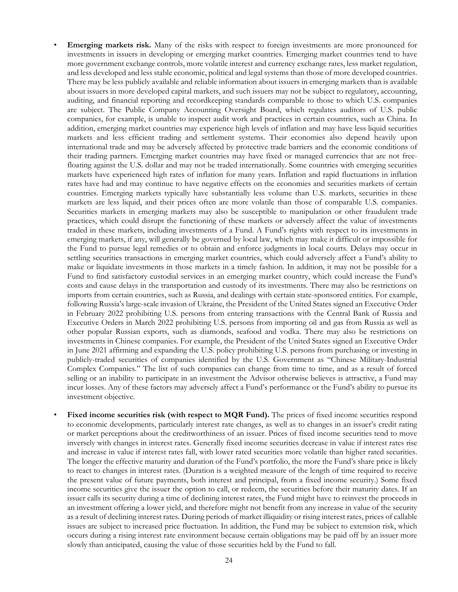- **Emerging markets risk.** Many of the risks with respect to foreign investments are more pronounced for investments in issuers in developing or emerging market countries. Emerging market countries tend to have more government exchange controls, more volatile interest and currency exchange rates, less market regulation, and less developed and less stable economic, political and legal systems than those of more developed countries. There may be less publicly available and reliable information about issuers in emerging markets than is available about issuers in more developed capital markets, and such issuers may not be subject to regulatory, accounting, auditing, and financial reporting and recordkeeping standards comparable to those to which U.S. companies are subject. The Public Company Accounting Oversight Board, which regulates auditors of U.S. public companies, for example, is unable to inspect audit work and practices in certain countries, such as China. In addition, emerging market countries may experience high levels of inflation and may have less liquid securities markets and less efficient trading and settlement systems. Their economies also depend heavily upon international trade and may be adversely affected by protective trade barriers and the economic conditions of their trading partners. Emerging market countries may have fixed or managed currencies that are not freefloating against the U.S. dollar and may not be traded internationally. Some countries with emerging securities markets have experienced high rates of inflation for many years. Inflation and rapid fluctuations in inflation rates have had and may continue to have negative effects on the economies and securities markets of certain countries. Emerging markets typically have substantially less volume than U.S. markets, securities in these markets are less liquid, and their prices often are more volatile than those of comparable U.S. companies. Securities markets in emerging markets may also be susceptible to manipulation or other fraudulent trade practices, which could disrupt the functioning of these markets or adversely affect the value of investments traded in these markets, including investments of a Fund. A Fund's rights with respect to its investments in emerging markets, if any, will generally be governed by local law, which may make it difficult or impossible for the Fund to pursue legal remedies or to obtain and enforce judgments in local courts. Delays may occur in settling securities transactions in emerging market countries, which could adversely affect a Fund's ability to make or liquidate investments in those markets in a timely fashion. In addition, it may not be possible for a Fund to find satisfactory custodial services in an emerging market country, which could increase the Fund's costs and cause delays in the transportation and custody of its investments. There may also be restrictions on imports from certain countries, such as Russia, and dealings with certain state-sponsored entities. For example, following Russia's large-scale invasion of Ukraine, the President of the United States signed an Executive Order in February 2022 prohibiting U.S. persons from entering transactions with the Central Bank of Russia and Executive Orders in March 2022 prohibiting U.S. persons from importing oil and gas from Russia as well as other popular Russian exports, such as diamonds, seafood and vodka. There may also be restrictions on investments in Chinese companies. For example, the President of the United States signed an Executive Order in June 2021 affirming and expanding the U.S. policy prohibiting U.S. persons from purchasing or investing in publicly-traded securities of companies identified by the U.S. Government as "Chinese Military-Industrial Complex Companies." The list of such companies can change from time to time, and as a result of forced selling or an inability to participate in an investment the Advisor otherwise believes is attractive, a Fund may incur losses. Any of these factors may adversely affect a Fund's performance or the Fund's ability to pursue its investment objective.
- **Fixed income securities risk (with respect to MQR Fund).** The prices of fixed income securities respond to economic developments, particularly interest rate changes, as well as to changes in an issuer's credit rating or market perceptions about the creditworthiness of an issuer. Prices of fixed income securities tend to move inversely with changes in interest rates. Generally fixed income securities decrease in value if interest rates rise and increase in value if interest rates fall, with lower rated securities more volatile than higher rated securities. The longer the effective maturity and duration of the Fund's portfolio, the more the Fund's share price is likely to react to changes in interest rates. (Duration is a weighted measure of the length of time required to receive the present value of future payments, both interest and principal, from a fixed income security.) Some fixed income securities give the issuer the option to call, or redeem, the securities before their maturity dates. If an issuer calls its security during a time of declining interest rates, the Fund might have to reinvest the proceeds in an investment offering a lower yield, and therefore might not benefit from any increase in value of the security as a result of declining interest rates. During periods of market illiquidity or rising interest rates, prices of callable issues are subject to increased price fluctuation. In addition, the Fund may be subject to extension risk, which occurs during a rising interest rate environment because certain obligations may be paid off by an issuer more slowly than anticipated, causing the value of those securities held by the Fund to fall.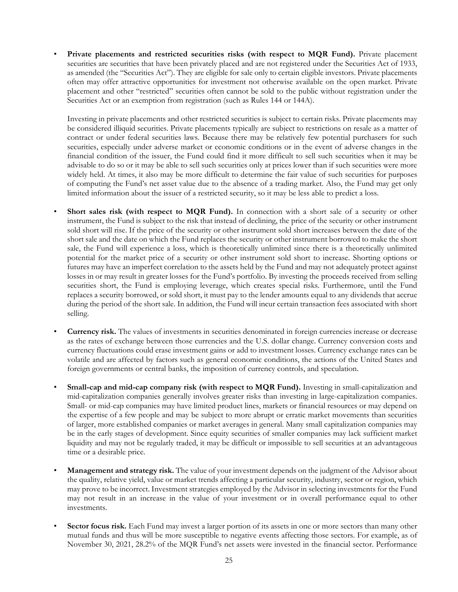**Private placements and restricted securities risks (with respect to MQR Fund).** Private placement securities are securities that have been privately placed and are not registered under the Securities Act of 1933, as amended (the "Securities Act"). They are eligible for sale only to certain eligible investors. Private placements often may offer attractive opportunities for investment not otherwise available on the open market. Private placement and other "restricted" securities often cannot be sold to the public without registration under the Securities Act or an exemption from registration (such as Rules 144 or 144A).

Investing in private placements and other restricted securities is subject to certain risks. Private placements may be considered illiquid securities. Private placements typically are subject to restrictions on resale as a matter of contract or under federal securities laws. Because there may be relatively few potential purchasers for such securities, especially under adverse market or economic conditions or in the event of adverse changes in the financial condition of the issuer, the Fund could find it more difficult to sell such securities when it may be advisable to do so or it may be able to sell such securities only at prices lower than if such securities were more widely held. At times, it also may be more difficult to determine the fair value of such securities for purposes of computing the Fund's net asset value due to the absence of a trading market. Also, the Fund may get only limited information about the issuer of a restricted security, so it may be less able to predict a loss.

- **Short sales risk (with respect to MQR Fund).** In connection with a short sale of a security or other instrument, the Fund is subject to the risk that instead of declining, the price of the security or other instrument sold short will rise. If the price of the security or other instrument sold short increases between the date of the short sale and the date on which the Fund replaces the security or other instrument borrowed to make the short sale, the Fund will experience a loss, which is theoretically unlimited since there is a theoretically unlimited potential for the market price of a security or other instrument sold short to increase. Shorting options or futures may have an imperfect correlation to the assets held by the Fund and may not adequately protect against losses in or may result in greater losses for the Fund's portfolio. By investing the proceeds received from selling securities short, the Fund is employing leverage, which creates special risks. Furthermore, until the Fund replaces a security borrowed, or sold short, it must pay to the lender amounts equal to any dividends that accrue during the period of the short sale. In addition, the Fund will incur certain transaction fees associated with short selling.
- **Currency risk.** The values of investments in securities denominated in foreign currencies increase or decrease as the rates of exchange between those currencies and the U.S. dollar change. Currency conversion costs and currency fluctuations could erase investment gains or add to investment losses. Currency exchange rates can be volatile and are affected by factors such as general economic conditions, the actions of the United States and foreign governments or central banks, the imposition of currency controls, and speculation.
- **Small-cap and mid-cap company risk (with respect to MQR Fund).** Investing in small-capitalization and mid-capitalization companies generally involves greater risks than investing in large-capitalization companies. Small- or mid-cap companies may have limited product lines, markets or financial resources or may depend on the expertise of a few people and may be subject to more abrupt or erratic market movements than securities of larger, more established companies or market averages in general. Many small capitalization companies may be in the early stages of development. Since equity securities of smaller companies may lack sufficient market liquidity and may not be regularly traded, it may be difficult or impossible to sell securities at an advantageous time or a desirable price.
- **Management and strategy risk.** The value of your investment depends on the judgment of the Advisor about the quality, relative yield, value or market trends affecting a particular security, industry, sector or region, which may prove to be incorrect. Investment strategies employed by the Advisor in selecting investments for the Fund may not result in an increase in the value of your investment or in overall performance equal to other investments.
- **Sector focus risk.** Each Fund may invest a larger portion of its assets in one or more sectors than many other mutual funds and thus will be more susceptible to negative events affecting those sectors. For example, as of November 30, 2021, 28.2% of the MQR Fund's net assets were invested in the financial sector. Performance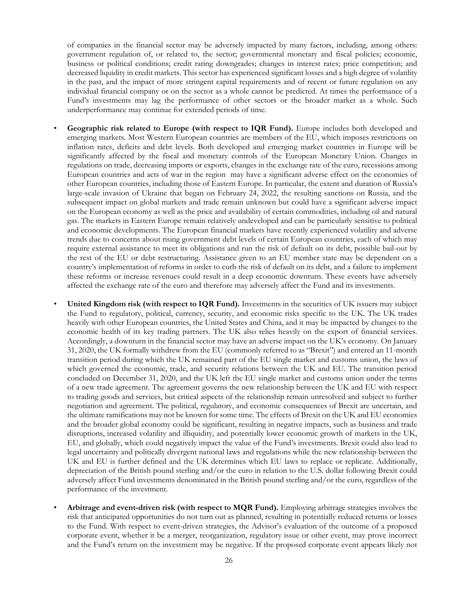of companies in the financial sector may be adversely impacted by many factors, including, among others: government regulation of, or related to, the sector; governmental monetary and fiscal policies; economic, business or political conditions; credit rating downgrades; changes in interest rates; price competition; and decreased liquidity in credit markets. This sector has experienced significant losses and a high degree of volatility in the past, and the impact of more stringent capital requirements and of recent or future regulation on any individual financial company or on the sector as a whole cannot be predicted. At times the performance of a Fund's investments may lag the performance of other sectors or the broader market as a whole. Such underperformance may continue for extended periods of time.

- **Geographic risk related to Europe (with respect to IQR Fund).** Europe includes both developed and emerging markets. Most Western European countries are members of the EU, which imposes restrictions on inflation rates, deficits and debt levels. Both developed and emerging market countries in Europe will be significantly affected by the fiscal and monetary controls of the European Monetary Union. Changes in regulations on trade, decreasing imports or exports, changes in the exchange rate of the euro, recessions among European countries and acts of war in the region may have a significant adverse effect on the economies of other European countries, including those of Eastern Europe. In particular, the extent and duration of Russia's large-scale invasion of Ukraine that began on February 24, 2022, the resulting sanctions on Russia, and the subsequent impact on global markets and trade remain unknown but could have a significant adverse impact on the European economy as well as the price and availability of certain commodities, including oil and natural gas. The markets in Eastern Europe remain relatively undeveloped and can be particularly sensitive to political and economic developments. The European financial markets have recently experienced volatility and adverse trends due to concerns about rising government debt levels of certain European countries, each of which may require external assistance to meet its obligations and run the risk of default on its debt, possible bail-out by the rest of the EU or debt restructuring. Assistance given to an EU member state may be dependent on a country's implementation of reforms in order to curb the risk of default on its debt, and a failure to implement these reforms or increase revenues could result in a deep economic downturn. These events have adversely affected the exchange rate of the euro and therefore may adversely affect the Fund and its investments.
- **United Kingdom risk (with respect to IQR Fund).** Investments in the securities of UK issuers may subject the Fund to regulatory, political, currency, security, and economic risks specific to the UK. The UK trades heavily with other European countries, the United States and China, and it may be impacted by changes to the economic health of its key trading partners. The UK also relies heavily on the export of financial services. Accordingly, a downturn in the financial sector may have an adverse impact on the UK's economy. On January 31, 2020, the UK formally withdrew from the EU (commonly referred to as "Brexit") and entered an 11-month transition period during which the UK remained part of the EU single market and customs union, the laws of which governed the economic, trade, and security relations between the UK and EU. The transition period concluded on December 31, 2020, and the UK left the EU single market and customs union under the terms of a new trade agreement. The agreement governs the new relationship between the UK and EU with respect to trading goods and services, but critical aspects of the relationship remain unresolved and subject to further negotiation and agreement. The political, regulatory, and economic consequences of Brexit are uncertain, and the ultimate ramifications may not be known for some time. The effects of Brexit on the UK and EU economies and the broader global economy could be significant, resulting in negative impacts, such as business and trade disruptions, increased volatility and illiquidity, and potentially lower economic growth of markets in the UK, EU, and globally, which could negatively impact the value of the Fund's investments. Brexit could also lead to legal uncertainty and politically divergent national laws and regulations while the new relationship between the UK and EU is further defined and the UK determines which EU laws to replace or replicate. Additionally, depreciation of the British pound sterling and/or the euro in relation to the U.S. dollar following Brexit could adversely affect Fund investments denominated in the British pound sterling and/or the euro, regardless of the performance of the investment.
- **Arbitrage and event-driven risk (with respect to MQR Fund).** Employing arbitrage strategies involves the risk that anticipated opportunities do not turn out as planned, resulting in potentially reduced returns or losses to the Fund. With respect to event-driven strategies, the Advisor's evaluation of the outcome of a proposed corporate event, whether it be a merger, reorganization, regulatory issue or other event, may prove incorrect and the Fund's return on the investment may be negative. If the proposed corporate event appears likely not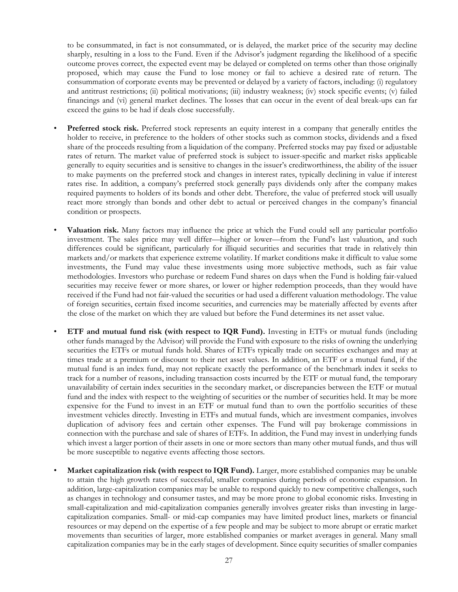to be consummated, in fact is not consummated, or is delayed, the market price of the security may decline sharply, resulting in a loss to the Fund. Even if the Advisor's judgment regarding the likelihood of a specific outcome proves correct, the expected event may be delayed or completed on terms other than those originally proposed, which may cause the Fund to lose money or fail to achieve a desired rate of return. The consummation of corporate events may be prevented or delayed by a variety of factors, including: (i) regulatory and antitrust restrictions; (ii) political motivations; (iii) industry weakness; (iv) stock specific events; (v) failed financings and (vi) general market declines. The losses that can occur in the event of deal break-ups can far exceed the gains to be had if deals close successfully.

- **Preferred stock risk.** Preferred stock represents an equity interest in a company that generally entitles the holder to receive, in preference to the holders of other stocks such as common stocks, dividends and a fixed share of the proceeds resulting from a liquidation of the company. Preferred stocks may pay fixed or adjustable rates of return. The market value of preferred stock is subject to issuer-specific and market risks applicable generally to equity securities and is sensitive to changes in the issuer's creditworthiness, the ability of the issuer to make payments on the preferred stock and changes in interest rates, typically declining in value if interest rates rise. In addition, a company's preferred stock generally pays dividends only after the company makes required payments to holders of its bonds and other debt. Therefore, the value of preferred stock will usually react more strongly than bonds and other debt to actual or perceived changes in the company's financial condition or prospects.
- **Valuation risk.** Many factors may influence the price at which the Fund could sell any particular portfolio investment. The sales price may well differ—higher or lower—from the Fund's last valuation, and such differences could be significant, particularly for illiquid securities and securities that trade in relatively thin markets and/or markets that experience extreme volatility. If market conditions make it difficult to value some investments, the Fund may value these investments using more subjective methods, such as fair value methodologies. Investors who purchase or redeem Fund shares on days when the Fund is holding fair-valued securities may receive fewer or more shares, or lower or higher redemption proceeds, than they would have received if the Fund had not fair-valued the securities or had used a different valuation methodology. The value of foreign securities, certain fixed income securities, and currencies may be materially affected by events after the close of the market on which they are valued but before the Fund determines its net asset value.
- **ETF and mutual fund risk (with respect to IQR Fund).** Investing in ETFs or mutual funds (including other funds managed by the Advisor) will provide the Fund with exposure to the risks of owning the underlying securities the ETFs or mutual funds hold. Shares of ETFs typically trade on securities exchanges and may at times trade at a premium or discount to their net asset values. In addition, an ETF or a mutual fund, if the mutual fund is an index fund, may not replicate exactly the performance of the benchmark index it seeks to track for a number of reasons, including transaction costs incurred by the ETF or mutual fund, the temporary unavailability of certain index securities in the secondary market, or discrepancies between the ETF or mutual fund and the index with respect to the weighting of securities or the number of securities held. It may be more expensive for the Fund to invest in an ETF or mutual fund than to own the portfolio securities of these investment vehicles directly. Investing in ETFs and mutual funds, which are investment companies, involves duplication of advisory fees and certain other expenses. The Fund will pay brokerage commissions in connection with the purchase and sale of shares of ETFs. In addition, the Fund may invest in underlying funds which invest a larger portion of their assets in one or more sectors than many other mutual funds, and thus will be more susceptible to negative events affecting those sectors.
- **Market capitalization risk (with respect to IQR Fund).** Larger, more established companies may be unable to attain the high growth rates of successful, smaller companies during periods of economic expansion. In addition, large-capitalization companies may be unable to respond quickly to new competitive challenges, such as changes in technology and consumer tastes, and may be more prone to global economic risks. Investing in small-capitalization and mid-capitalization companies generally involves greater risks than investing in largecapitalization companies. Small- or mid-cap companies may have limited product lines, markets or financial resources or may depend on the expertise of a few people and may be subject to more abrupt or erratic market movements than securities of larger, more established companies or market averages in general. Many small capitalization companies may be in the early stages of development. Since equity securities of smaller companies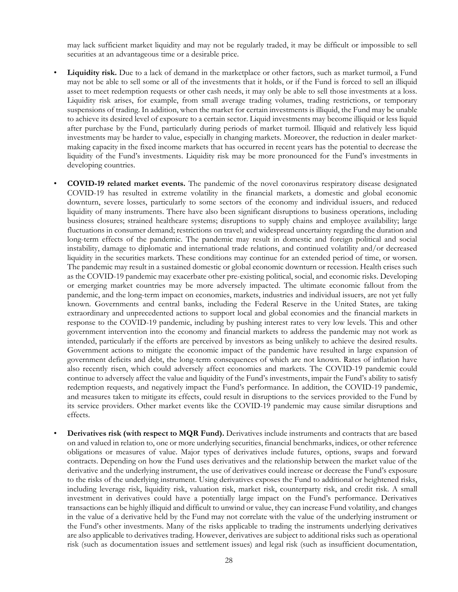may lack sufficient market liquidity and may not be regularly traded, it may be difficult or impossible to sell securities at an advantageous time or a desirable price.

- **Liquidity risk.** Due to a lack of demand in the marketplace or other factors, such as market turmoil, a Fund may not be able to sell some or all of the investments that it holds, or if the Fund is forced to sell an illiquid asset to meet redemption requests or other cash needs, it may only be able to sell those investments at a loss. Liquidity risk arises, for example, from small average trading volumes, trading restrictions, or temporary suspensions of trading. In addition, when the market for certain investments is illiquid, the Fund may be unable to achieve its desired level of exposure to a certain sector. Liquid investments may become illiquid or less liquid after purchase by the Fund, particularly during periods of market turmoil. Illiquid and relatively less liquid investments may be harder to value, especially in changing markets. Moreover, the reduction in dealer marketmaking capacity in the fixed income markets that has occurred in recent years has the potential to decrease the liquidity of the Fund's investments. Liquidity risk may be more pronounced for the Fund's investments in developing countries.
- **COVID-19 related market events.** The pandemic of the novel coronavirus respiratory disease designated COVID-19 has resulted in extreme volatility in the financial markets, a domestic and global economic downturn, severe losses, particularly to some sectors of the economy and individual issuers, and reduced liquidity of many instruments. There have also been significant disruptions to business operations, including business closures; strained healthcare systems; disruptions to supply chains and employee availability; large fluctuations in consumer demand; restrictions on travel; and widespread uncertainty regarding the duration and long-term effects of the pandemic. The pandemic may result in domestic and foreign political and social instability, damage to diplomatic and international trade relations, and continued volatility and/or decreased liquidity in the securities markets. These conditions may continue for an extended period of time, or worsen. The pandemic may result in a sustained domestic or global economic downturn or recession. Health crises such as the COVID-19 pandemic may exacerbate other pre-existing political, social, and economic risks. Developing or emerging market countries may be more adversely impacted. The ultimate economic fallout from the pandemic, and the long-term impact on economies, markets, industries and individual issuers, are not yet fully known. Governments and central banks, including the Federal Reserve in the United States, are taking extraordinary and unprecedented actions to support local and global economies and the financial markets in response to the COVID-19 pandemic, including by pushing interest rates to very low levels. This and other government intervention into the economy and financial markets to address the pandemic may not work as intended, particularly if the efforts are perceived by investors as being unlikely to achieve the desired results. Government actions to mitigate the economic impact of the pandemic have resulted in large expansion of government deficits and debt, the long-term consequences of which are not known. Rates of inflation have also recently risen, which could adversely affect economies and markets. The COVID-19 pandemic could continue to adversely affect the value and liquidity of the Fund's investments, impair the Fund's ability to satisfy redemption requests, and negatively impact the Fund's performance. In addition, the COVID-19 pandemic, and measures taken to mitigate its effects, could result in disruptions to the services provided to the Fund by its service providers. Other market events like the COVID-19 pandemic may cause similar disruptions and effects.
- **Derivatives risk (with respect to MQR Fund).** Derivatives include instruments and contracts that are based on and valued in relation to, one or more underlying securities, financial benchmarks, indices, or other reference obligations or measures of value. Major types of derivatives include futures, options, swaps and forward contracts. Depending on how the Fund uses derivatives and the relationship between the market value of the derivative and the underlying instrument, the use of derivatives could increase or decrease the Fund's exposure to the risks of the underlying instrument. Using derivatives exposes the Fund to additional or heightened risks, including leverage risk, liquidity risk, valuation risk, market risk, counterparty risk, and credit risk. A small investment in derivatives could have a potentially large impact on the Fund's performance. Derivatives transactions can be highly illiquid and difficult to unwind or value, they can increase Fund volatility, and changes in the value of a derivative held by the Fund may not correlate with the value of the underlying instrument or the Fund's other investments. Many of the risks applicable to trading the instruments underlying derivatives are also applicable to derivatives trading. However, derivatives are subject to additional risks such as operational risk (such as documentation issues and settlement issues) and legal risk (such as insufficient documentation,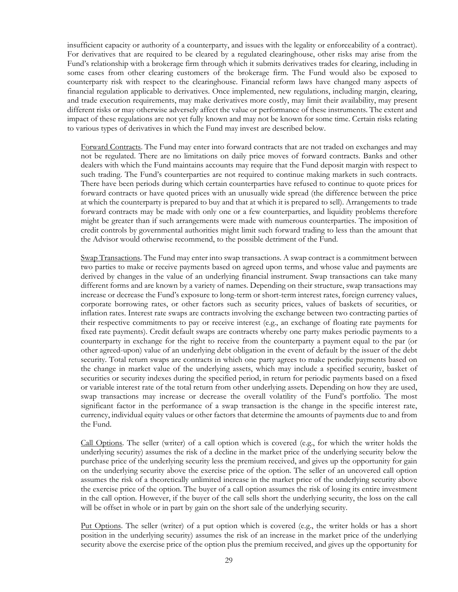insufficient capacity or authority of a counterparty, and issues with the legality or enforceability of a contract). For derivatives that are required to be cleared by a regulated clearinghouse, other risks may arise from the Fund's relationship with a brokerage firm through which it submits derivatives trades for clearing, including in some cases from other clearing customers of the brokerage firm. The Fund would also be exposed to counterparty risk with respect to the clearinghouse. Financial reform laws have changed many aspects of financial regulation applicable to derivatives. Once implemented, new regulations, including margin, clearing, and trade execution requirements, may make derivatives more costly, may limit their availability, may present different risks or may otherwise adversely affect the value or performance of these instruments. The extent and impact of these regulations are not yet fully known and may not be known for some time. Certain risks relating to various types of derivatives in which the Fund may invest are described below.

Forward Contracts. The Fund may enter into forward contracts that are not traded on exchanges and may not be regulated. There are no limitations on daily price moves of forward contracts. Banks and other dealers with which the Fund maintains accounts may require that the Fund deposit margin with respect to such trading. The Fund's counterparties are not required to continue making markets in such contracts. There have been periods during which certain counterparties have refused to continue to quote prices for forward contracts or have quoted prices with an unusually wide spread (the difference between the price at which the counterparty is prepared to buy and that at which it is prepared to sell). Arrangements to trade forward contracts may be made with only one or a few counterparties, and liquidity problems therefore might be greater than if such arrangements were made with numerous counterparties. The imposition of credit controls by governmental authorities might limit such forward trading to less than the amount that the Advisor would otherwise recommend, to the possible detriment of the Fund.

Swap Transactions. The Fund may enter into swap transactions. A swap contract is a commitment between two parties to make or receive payments based on agreed upon terms, and whose value and payments are derived by changes in the value of an underlying financial instrument. Swap transactions can take many different forms and are known by a variety of names. Depending on their structure, swap transactions may increase or decrease the Fund's exposure to long-term or short-term interest rates, foreign currency values, corporate borrowing rates, or other factors such as security prices, values of baskets of securities, or inflation rates. Interest rate swaps are contracts involving the exchange between two contracting parties of their respective commitments to pay or receive interest (e.g., an exchange of floating rate payments for fixed rate payments). Credit default swaps are contracts whereby one party makes periodic payments to a counterparty in exchange for the right to receive from the counterparty a payment equal to the par (or other agreed-upon) value of an underlying debt obligation in the event of default by the issuer of the debt security. Total return swaps are contracts in which one party agrees to make periodic payments based on the change in market value of the underlying assets, which may include a specified security, basket of securities or security indexes during the specified period, in return for periodic payments based on a fixed or variable interest rate of the total return from other underlying assets. Depending on how they are used, swap transactions may increase or decrease the overall volatility of the Fund's portfolio. The most significant factor in the performance of a swap transaction is the change in the specific interest rate, currency, individual equity values or other factors that determine the amounts of payments due to and from the Fund.

Call Options. The seller (writer) of a call option which is covered (e.g., for which the writer holds the underlying security) assumes the risk of a decline in the market price of the underlying security below the purchase price of the underlying security less the premium received, and gives up the opportunity for gain on the underlying security above the exercise price of the option. The seller of an uncovered call option assumes the risk of a theoretically unlimited increase in the market price of the underlying security above the exercise price of the option. The buyer of a call option assumes the risk of losing its entire investment in the call option. However, if the buyer of the call sells short the underlying security, the loss on the call will be offset in whole or in part by gain on the short sale of the underlying security.

Put Options. The seller (writer) of a put option which is covered (e.g., the writer holds or has a short position in the underlying security) assumes the risk of an increase in the market price of the underlying security above the exercise price of the option plus the premium received, and gives up the opportunity for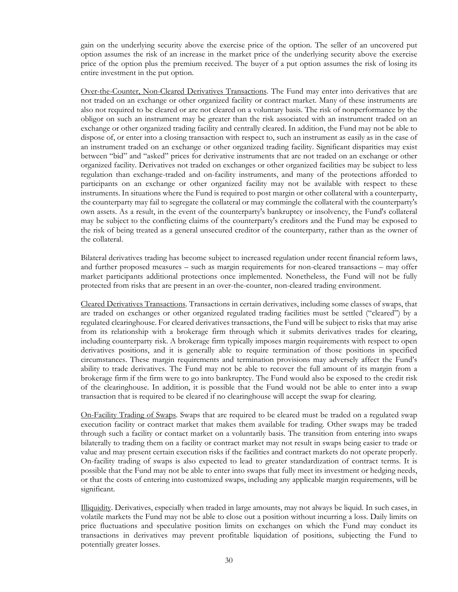gain on the underlying security above the exercise price of the option. The seller of an uncovered put option assumes the risk of an increase in the market price of the underlying security above the exercise price of the option plus the premium received. The buyer of a put option assumes the risk of losing its entire investment in the put option.

Over-the-Counter, Non-Cleared Derivatives Transactions. The Fund may enter into derivatives that are not traded on an exchange or other organized facility or contract market. Many of these instruments are also not required to be cleared or are not cleared on a voluntary basis. The risk of nonperformance by the obligor on such an instrument may be greater than the risk associated with an instrument traded on an exchange or other organized trading facility and centrally cleared. In addition, the Fund may not be able to dispose of, or enter into a closing transaction with respect to, such an instrument as easily as in the case of an instrument traded on an exchange or other organized trading facility. Significant disparities may exist between "bid" and "asked" prices for derivative instruments that are not traded on an exchange or other organized facility. Derivatives not traded on exchanges or other organized facilities may be subject to less regulation than exchange-traded and on-facility instruments, and many of the protections afforded to participants on an exchange or other organized facility may not be available with respect to these instruments. In situations where the Fund is required to post margin or other collateral with a counterparty, the counterparty may fail to segregate the collateral or may commingle the collateral with the counterparty's own assets. As a result, in the event of the counterparty's bankruptcy or insolvency, the Fund's collateral may be subject to the conflicting claims of the counterparty's creditors and the Fund may be exposed to the risk of being treated as a general unsecured creditor of the counterparty, rather than as the owner of the collateral.

Bilateral derivatives trading has become subject to increased regulation under recent financial reform laws, and further proposed measures – such as margin requirements for non-cleared transactions – may offer market participants additional protections once implemented. Nonetheless, the Fund will not be fully protected from risks that are present in an over-the-counter, non-cleared trading environment.

Cleared Derivatives Transactions. Transactions in certain derivatives, including some classes of swaps, that are traded on exchanges or other organized regulated trading facilities must be settled ("cleared") by a regulated clearinghouse. For cleared derivatives transactions, the Fund will be subject to risks that may arise from its relationship with a brokerage firm through which it submits derivatives trades for clearing, including counterparty risk. A brokerage firm typically imposes margin requirements with respect to open derivatives positions, and it is generally able to require termination of those positions in specified circumstances. These margin requirements and termination provisions may adversely affect the Fund's ability to trade derivatives. The Fund may not be able to recover the full amount of its margin from a brokerage firm if the firm were to go into bankruptcy. The Fund would also be exposed to the credit risk of the clearinghouse. In addition, it is possible that the Fund would not be able to enter into a swap transaction that is required to be cleared if no clearinghouse will accept the swap for clearing.

On-Facility Trading of Swaps. Swaps that are required to be cleared must be traded on a regulated swap execution facility or contract market that makes them available for trading. Other swaps may be traded through such a facility or contact market on a voluntarily basis. The transition from entering into swaps bilaterally to trading them on a facility or contract market may not result in swaps being easier to trade or value and may present certain execution risks if the facilities and contract markets do not operate properly. On-facility trading of swaps is also expected to lead to greater standardization of contract terms. It is possible that the Fund may not be able to enter into swaps that fully meet its investment or hedging needs, or that the costs of entering into customized swaps, including any applicable margin requirements, will be significant.

Illiquidity. Derivatives, especially when traded in large amounts, may not always be liquid. In such cases, in volatile markets the Fund may not be able to close out a position without incurring a loss. Daily limits on price fluctuations and speculative position limits on exchanges on which the Fund may conduct its transactions in derivatives may prevent profitable liquidation of positions, subjecting the Fund to potentially greater losses.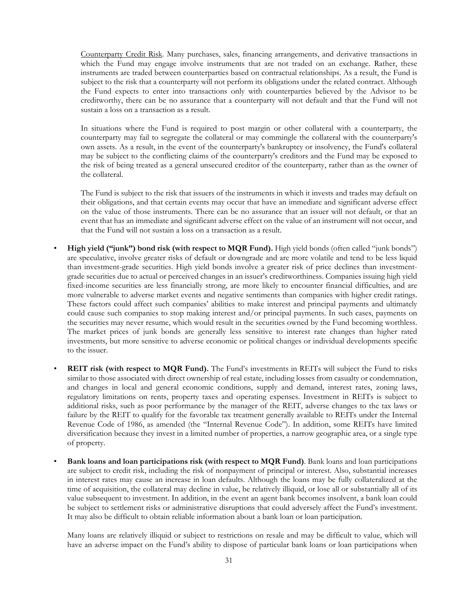Counterparty Credit Risk. Many purchases, sales, financing arrangements, and derivative transactions in which the Fund may engage involve instruments that are not traded on an exchange. Rather, these instruments are traded between counterparties based on contractual relationships. As a result, the Fund is subject to the risk that a counterparty will not perform its obligations under the related contract. Although the Fund expects to enter into transactions only with counterparties believed by the Advisor to be creditworthy, there can be no assurance that a counterparty will not default and that the Fund will not sustain a loss on a transaction as a result.

In situations where the Fund is required to post margin or other collateral with a counterparty, the counterparty may fail to segregate the collateral or may commingle the collateral with the counterparty's own assets. As a result, in the event of the counterparty's bankruptcy or insolvency, the Fund's collateral may be subject to the conflicting claims of the counterparty's creditors and the Fund may be exposed to the risk of being treated as a general unsecured creditor of the counterparty, rather than as the owner of the collateral.

The Fund is subject to the risk that issuers of the instruments in which it invests and trades may default on their obligations, and that certain events may occur that have an immediate and significant adverse effect on the value of those instruments. There can be no assurance that an issuer will not default, or that an event that has an immediate and significant adverse effect on the value of an instrument will not occur, and that the Fund will not sustain a loss on a transaction as a result.

- **High yield ("junk") bond risk (with respect to MQR Fund).** High yield bonds (often called "junk bonds") are speculative, involve greater risks of default or downgrade and are more volatile and tend to be less liquid than investment-grade securities. High yield bonds involve a greater risk of price declines than investmentgrade securities due to actual or perceived changes in an issuer's creditworthiness. Companies issuing high yield fixed-income securities are less financially strong, are more likely to encounter financial difficulties, and are more vulnerable to adverse market events and negative sentiments than companies with higher credit ratings. These factors could affect such companies' abilities to make interest and principal payments and ultimately could cause such companies to stop making interest and/or principal payments. In such cases, payments on the securities may never resume, which would result in the securities owned by the Fund becoming worthless. The market prices of junk bonds are generally less sensitive to interest rate changes than higher rated investments, but more sensitive to adverse economic or political changes or individual developments specific to the issuer.
- **REIT risk (with respect to MQR Fund).** The Fund's investments in REITs will subject the Fund to risks similar to those associated with direct ownership of real estate, including losses from casualty or condemnation, and changes in local and general economic conditions, supply and demand, interest rates, zoning laws, regulatory limitations on rents, property taxes and operating expenses. Investment in REITs is subject to additional risks, such as poor performance by the manager of the REIT, adverse changes to the tax laws or failure by the REIT to qualify for the favorable tax treatment generally available to REITs under the Internal Revenue Code of 1986, as amended (the "Internal Revenue Code"). In addition, some REITs have limited diversification because they invest in a limited number of properties, a narrow geographic area, or a single type of property.
- **Bank loans and loan participations risk (with respect to MQR Fund)**. Bank loans and loan participations are subject to credit risk, including the risk of nonpayment of principal or interest. Also, substantial increases in interest rates may cause an increase in loan defaults. Although the loans may be fully collateralized at the time of acquisition, the collateral may decline in value, be relatively illiquid, or lose all or substantially all of its value subsequent to investment. In addition, in the event an agent bank becomes insolvent, a bank loan could be subject to settlement risks or administrative disruptions that could adversely affect the Fund's investment. It may also be difficult to obtain reliable information about a bank loan or loan participation.

Many loans are relatively illiquid or subject to restrictions on resale and may be difficult to value, which will have an adverse impact on the Fund's ability to dispose of particular bank loans or loan participations when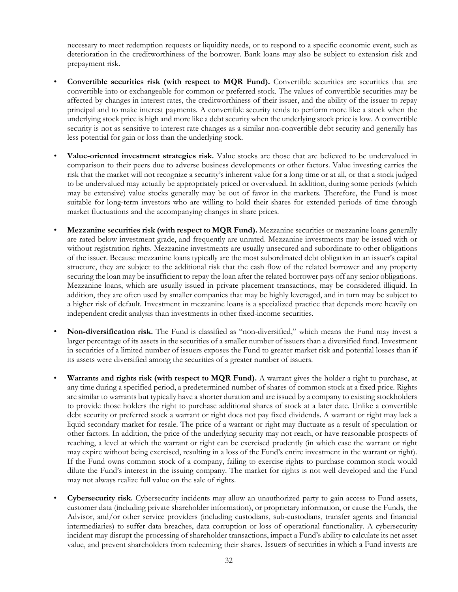necessary to meet redemption requests or liquidity needs, or to respond to a specific economic event, such as deterioration in the creditworthiness of the borrower. Bank loans may also be subject to extension risk and prepayment risk.

- **Convertible securities risk (with respect to MQR Fund).** Convertible securities are securities that are convertible into or exchangeable for common or preferred stock. The values of convertible securities may be affected by changes in interest rates, the creditworthiness of their issuer, and the ability of the issuer to repay principal and to make interest payments. A convertible security tends to perform more like a stock when the underlying stock price is high and more like a debt security when the underlying stock price is low. A convertible security is not as sensitive to interest rate changes as a similar non-convertible debt security and generally has less potential for gain or loss than the underlying stock.
- **Value-oriented investment strategies risk.** Value stocks are those that are believed to be undervalued in comparison to their peers due to adverse business developments or other factors. Value investing carries the risk that the market will not recognize a security's inherent value for a long time or at all, or that a stock judged to be undervalued may actually be appropriately priced or overvalued. In addition, during some periods (which may be extensive) value stocks generally may be out of favor in the markets. Therefore, the Fund is most suitable for long-term investors who are willing to hold their shares for extended periods of time through market fluctuations and the accompanying changes in share prices.
- **Mezzanine securities risk (with respect to MQR Fund).** Mezzanine securities or mezzanine loans generally are rated below investment grade, and frequently are unrated. Mezzanine investments may be issued with or without registration rights. Mezzanine investments are usually unsecured and subordinate to other obligations of the issuer. Because mezzanine loans typically are the most subordinated debt obligation in an issuer's capital structure, they are subject to the additional risk that the cash flow of the related borrower and any property securing the loan may be insufficient to repay the loan after the related borrower pays off any senior obligations. Mezzanine loans, which are usually issued in private placement transactions, may be considered illiquid. In addition, they are often used by smaller companies that may be highly leveraged, and in turn may be subject to a higher risk of default. Investment in mezzanine loans is a specialized practice that depends more heavily on independent credit analysis than investments in other fixed-income securities.
- **Non-diversification risk.** The Fund is classified as "non-diversified," which means the Fund may invest a larger percentage of its assets in the securities of a smaller number of issuers than a diversified fund. Investment in securities of a limited number of issuers exposes the Fund to greater market risk and potential losses than if its assets were diversified among the securities of a greater number of issuers.
- **Warrants and rights risk (with respect to MQR Fund).** A warrant gives the holder a right to purchase, at any time during a specified period, a predetermined number of shares of common stock at a fixed price. Rights are similar to warrants but typically have a shorter duration and are issued by a company to existing stockholders to provide those holders the right to purchase additional shares of stock at a later date. Unlike a convertible debt security or preferred stock a warrant or right does not pay fixed dividends. A warrant or right may lack a liquid secondary market for resale. The price of a warrant or right may fluctuate as a result of speculation or other factors. In addition, the price of the underlying security may not reach, or have reasonable prospects of reaching, a level at which the warrant or right can be exercised prudently (in which case the warrant or right may expire without being exercised, resulting in a loss of the Fund's entire investment in the warrant or right). If the Fund owns common stock of a company, failing to exercise rights to purchase common stock would dilute the Fund's interest in the issuing company. The market for rights is not well developed and the Fund may not always realize full value on the sale of rights.
- **Cybersecurity risk.** Cybersecurity incidents may allow an unauthorized party to gain access to Fund assets, customer data (including private shareholder information), or proprietary information, or cause the Funds, the Advisor, and/or other service providers (including custodians, sub-custodians, transfer agents and financial intermediaries) to suffer data breaches, data corruption or loss of operational functionality. A cybersecurity incident may disrupt the processing of shareholder transactions, impact a Fund's ability to calculate its net asset value, and prevent shareholders from redeeming their shares. Issuers of securities in which a Fund invests are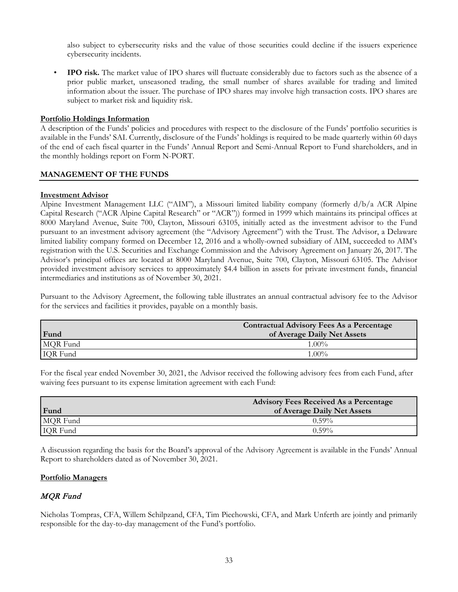also subject to cybersecurity risks and the value of those securities could decline if the issuers experience cybersecurity incidents.

• **IPO risk.** The market value of IPO shares will fluctuate considerably due to factors such as the absence of a prior public market, unseasoned trading, the small number of shares available for trading and limited information about the issuer. The purchase of IPO shares may involve high transaction costs. IPO shares are subject to market risk and liquidity risk.

# **Portfolio Holdings Information**

A description of the Funds' policies and procedures with respect to the disclosure of the Funds' portfolio securities is available in the Funds' SAI. Currently, disclosure of the Funds' holdings is required to be made quarterly within 60 days of the end of each fiscal quarter in the Funds' Annual Report and Semi-Annual Report to Fund shareholders, and in the monthly holdings report on Form N-PORT.

#### **MANAGEMENT OF THE FUNDS**

#### **Investment Advisor**

Alpine Investment Management LLC ("AIM"), a Missouri limited liability company (formerly d/b/a ACR Alpine Capital Research ("ACR Alpine Capital Research" or "ACR")) formed in 1999 which maintains its principal offices at 8000 Maryland Avenue, Suite 700, Clayton, Missouri 63105, initially acted as the investment advisor to the Fund pursuant to an investment advisory agreement (the "Advisory Agreement") with the Trust. The Advisor, a Delaware limited liability company formed on December 12, 2016 and a wholly-owned subsidiary of AIM, succeeded to AIM's registration with the U.S. Securities and Exchange Commission and the Advisory Agreement on January 26, 2017. The Advisor's principal offices are located at 8000 Maryland Avenue, Suite 700, Clayton, Missouri 63105. The Advisor provided investment advisory services to approximately \$4.4 billion in assets for private investment funds, financial intermediaries and institutions as of November 30, 2021.

Pursuant to the Advisory Agreement, the following table illustrates an annual contractual advisory fee to the Advisor for the services and facilities it provides, payable on a monthly basis.

|                 | <b>Contractual Advisory Fees As a Percentage</b> |
|-----------------|--------------------------------------------------|
| Fund            | of Average Daily Net Assets                      |
| MQR Fund        | $1.00\%$                                         |
| <b>IQR</b> Fund | $1.00\%$                                         |

For the fiscal year ended November 30, 2021, the Advisor received the following advisory fees from each Fund, after waiving fees pursuant to its expense limitation agreement with each Fund:

|                 | <b>Advisory Fees Received As a Percentage</b> |
|-----------------|-----------------------------------------------|
| Fund            | of Average Daily Net Assets                   |
| MQR Fund        | $0.59\%$                                      |
| <b>IQR</b> Fund | $0.59\%$                                      |

A discussion regarding the basis for the Board's approval of the Advisory Agreement is available in the Funds' Annual Report to shareholders dated as of November 30, 2021.

#### **Portfolio Managers**

# MQR Fund

Nicholas Tompras, CFA, Willem Schilpzand, CFA, Tim Piechowski, CFA, and Mark Unferth are jointly and primarily responsible for the day-to-day management of the Fund's portfolio.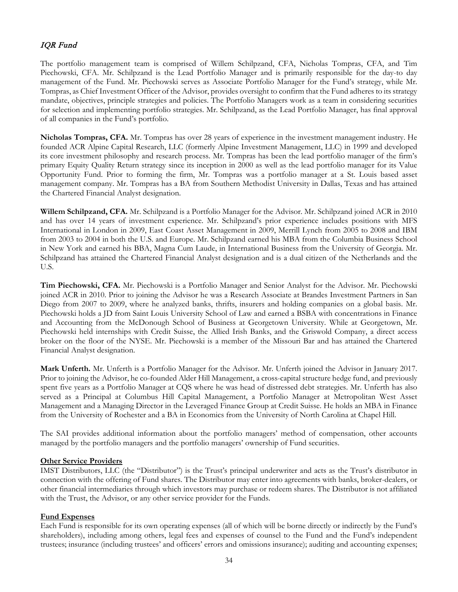# IQR Fund

The portfolio management team is comprised of Willem Schilpzand, CFA, Nicholas Tompras, CFA, and Tim Piechowski, CFA. Mr. Schilpzand is the Lead Portfolio Manager and is primarily responsible for the day-to day management of the Fund. Mr. Piechowski serves as Associate Portfolio Manager for the Fund's strategy, while Mr. Tompras, as Chief Investment Officer of the Advisor, provides oversight to confirm that the Fund adheres to its strategy mandate, objectives, principle strategies and policies. The Portfolio Managers work as a team in considering securities for selection and implementing portfolio strategies. Mr. Schilpzand, as the Lead Portfolio Manager, has final approval of all companies in the Fund's portfolio.

**Nicholas Tompras, CFA.** Mr. Tompras has over 28 years of experience in the investment management industry. He founded ACR Alpine Capital Research, LLC (formerly Alpine Investment Management, LLC) in 1999 and developed its core investment philosophy and research process. Mr. Tompras has been the lead portfolio manager of the firm's primary Equity Quality Return strategy since its inception in 2000 as well as the lead portfolio manager for its Value Opportunity Fund. Prior to forming the firm, Mr. Tompras was a portfolio manager at a St. Louis based asset management company. Mr. Tompras has a BA from Southern Methodist University in Dallas, Texas and has attained the Chartered Financial Analyst designation.

**Willem Schilpzand, CFA.** Mr. Schilpzand is a Portfolio Manager for the Advisor. Mr. Schilpzand joined ACR in 2010 and has over 14 years of investment experience. Mr. Schilpzand's prior experience includes positions with MFS International in London in 2009, East Coast Asset Management in 2009, Merrill Lynch from 2005 to 2008 and IBM from 2003 to 2004 in both the U.S. and Europe. Mr. Schilpzand earned his MBA from the Columbia Business School in New York and earned his BBA, Magna Cum Laude, in International Business from the University of Georgia. Mr. Schilpzand has attained the Chartered Financial Analyst designation and is a dual citizen of the Netherlands and the U.S.

**Tim Piechowski, CFA.** Mr. Piechowski is a Portfolio Manager and Senior Analyst for the Advisor. Mr. Piechowski joined ACR in 2010. Prior to joining the Advisor he was a Research Associate at Brandes Investment Partners in San Diego from 2007 to 2009, where he analyzed banks, thrifts, insurers and holding companies on a global basis. Mr. Piechowski holds a JD from Saint Louis University School of Law and earned a BSBA with concentrations in Finance and Accounting from the McDonough School of Business at Georgetown University. While at Georgetown, Mr. Piechowski held internships with Credit Suisse, the Allied Irish Banks, and the Griswold Company, a direct access broker on the floor of the NYSE. Mr. Piechowski is a member of the Missouri Bar and has attained the Chartered Financial Analyst designation.

**Mark Unferth.** Mr. Unferth is a Portfolio Manager for the Advisor. Mr. Unferth joined the Advisor in January 2017. Prior to joining the Advisor, he co-founded Alder Hill Management, a cross-capital structure hedge fund, and previously spent five years as a Portfolio Manager at CQS where he was head of distressed debt strategies. Mr. Unferth has also served as a Principal at Columbus Hill Capital Management, a Portfolio Manager at Metropolitan West Asset Management and a Managing Director in the Leveraged Finance Group at Credit Suisse. He holds an MBA in Finance from the University of Rochester and a BA in Economics from the University of North Carolina at Chapel Hill.

The SAI provides additional information about the portfolio managers' method of compensation, other accounts managed by the portfolio managers and the portfolio managers' ownership of Fund securities.

# **Other Service Providers**

IMST Distributors, LLC (the "Distributor") is the Trust's principal underwriter and acts as the Trust's distributor in connection with the offering of Fund shares. The Distributor may enter into agreements with banks, broker-dealers, or other financial intermediaries through which investors may purchase or redeem shares. The Distributor is not affiliated with the Trust, the Advisor, or any other service provider for the Funds.

# **Fund Expenses**

Each Fund is responsible for its own operating expenses (all of which will be borne directly or indirectly by the Fund's shareholders), including among others, legal fees and expenses of counsel to the Fund and the Fund's independent trustees; insurance (including trustees' and officers' errors and omissions insurance); auditing and accounting expenses;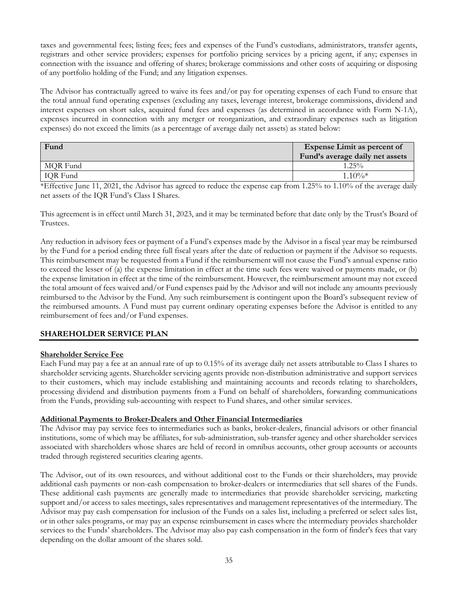taxes and governmental fees; listing fees; fees and expenses of the Fund's custodians, administrators, transfer agents, registrars and other service providers; expenses for portfolio pricing services by a pricing agent, if any; expenses in connection with the issuance and offering of shares; brokerage commissions and other costs of acquiring or disposing of any portfolio holding of the Fund; and any litigation expenses.

The Advisor has contractually agreed to waive its fees and/or pay for operating expenses of each Fund to ensure that the total annual fund operating expenses (excluding any taxes, leverage interest, brokerage commissions, dividend and interest expenses on short sales, acquired fund fees and expenses (as determined in accordance with Form N-1A), expenses incurred in connection with any merger or reorganization, and extraordinary expenses such as litigation expenses) do not exceed the limits (as a percentage of average daily net assets) as stated below:

| Fund     | <b>Expense Limit as percent of</b> |  |  |  |  |  |  |
|----------|------------------------------------|--|--|--|--|--|--|
|          | Fund's average daily net assets    |  |  |  |  |  |  |
| MOR Fund | $1.25\%$                           |  |  |  |  |  |  |
| IQR Fund | $1.10\%*$                          |  |  |  |  |  |  |

\*Effective June 11, 2021, the Advisor has agreed to reduce the expense cap from 1.25% to 1.10% of the average daily net assets of the IQR Fund's Class I Shares.

This agreement is in effect until March 31, 2023, and it may be terminated before that date only by the Trust's Board of Trustees.

Any reduction in advisory fees or payment of a Fund's expenses made by the Advisor in a fiscal year may be reimbursed by the Fund for a period ending three full fiscal years after the date of reduction or payment if the Advisor so requests. This reimbursement may be requested from a Fund if the reimbursement will not cause the Fund's annual expense ratio to exceed the lesser of (a) the expense limitation in effect at the time such fees were waived or payments made, or (b) the expense limitation in effect at the time of the reimbursement. However, the reimbursement amount may not exceed the total amount of fees waived and/or Fund expenses paid by the Advisor and will not include any amounts previously reimbursed to the Advisor by the Fund. Any such reimbursement is contingent upon the Board's subsequent review of the reimbursed amounts. A Fund must pay current ordinary operating expenses before the Advisor is entitled to any reimbursement of fees and/or Fund expenses.

# **SHAREHOLDER SERVICE PLAN**

# **Shareholder Service Fee**

Each Fund may pay a fee at an annual rate of up to 0.15% of its average daily net assets attributable to Class I shares to shareholder servicing agents. Shareholder servicing agents provide non-distribution administrative and support services to their customers, which may include establishing and maintaining accounts and records relating to shareholders, processing dividend and distribution payments from a Fund on behalf of shareholders, forwarding communications from the Funds, providing sub-accounting with respect to Fund shares, and other similar services.

#### **Additional Payments to Broker-Dealers and Other Financial Intermediaries**

The Advisor may pay service fees to intermediaries such as banks, broker-dealers, financial advisors or other financial institutions, some of which may be affiliates, for sub-administration, sub-transfer agency and other shareholder services associated with shareholders whose shares are held of record in omnibus accounts, other group accounts or accounts traded through registered securities clearing agents.

The Advisor, out of its own resources, and without additional cost to the Funds or their shareholders, may provide additional cash payments or non-cash compensation to broker-dealers or intermediaries that sell shares of the Funds. These additional cash payments are generally made to intermediaries that provide shareholder servicing, marketing support and/or access to sales meetings, sales representatives and management representatives of the intermediary. The Advisor may pay cash compensation for inclusion of the Funds on a sales list, including a preferred or select sales list, or in other sales programs, or may pay an expense reimbursement in cases where the intermediary provides shareholder services to the Funds' shareholders. The Advisor may also pay cash compensation in the form of finder's fees that vary depending on the dollar amount of the shares sold.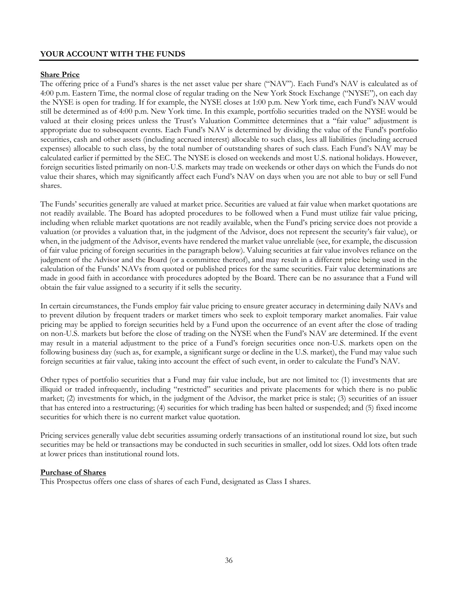# **YOUR ACCOUNT WITH THE FUNDS**

#### **Share Price**

The offering price of a Fund's shares is the net asset value per share ("NAV"). Each Fund's NAV is calculated as of 4:00 p.m. Eastern Time, the normal close of regular trading on the New York Stock Exchange ("NYSE"), on each day the NYSE is open for trading. If for example, the NYSE closes at 1:00 p.m. New York time, each Fund's NAV would still be determined as of 4:00 p.m. New York time. In this example, portfolio securities traded on the NYSE would be valued at their closing prices unless the Trust's Valuation Committee determines that a "fair value" adjustment is appropriate due to subsequent events. Each Fund's NAV is determined by dividing the value of the Fund's portfolio securities, cash and other assets (including accrued interest) allocable to such class, less all liabilities (including accrued expenses) allocable to such class, by the total number of outstanding shares of such class. Each Fund's NAV may be calculated earlier if permitted by the SEC. The NYSE is closed on weekends and most U.S. national holidays. However, foreign securities listed primarily on non-U.S. markets may trade on weekends or other days on which the Funds do not value their shares, which may significantly affect each Fund's NAV on days when you are not able to buy or sell Fund shares.

The Funds' securities generally are valued at market price. Securities are valued at fair value when market quotations are not readily available. The Board has adopted procedures to be followed when a Fund must utilize fair value pricing, including when reliable market quotations are not readily available, when the Fund's pricing service does not provide a valuation (or provides a valuation that, in the judgment of the Advisor, does not represent the security's fair value), or when, in the judgment of the Advisor, events have rendered the market value unreliable (see, for example, the discussion of fair value pricing of foreign securities in the paragraph below). Valuing securities at fair value involves reliance on the judgment of the Advisor and the Board (or a committee thereof), and may result in a different price being used in the calculation of the Funds' NAVs from quoted or published prices for the same securities. Fair value determinations are made in good faith in accordance with procedures adopted by the Board. There can be no assurance that a Fund will obtain the fair value assigned to a security if it sells the security.

In certain circumstances, the Funds employ fair value pricing to ensure greater accuracy in determining daily NAVs and to prevent dilution by frequent traders or market timers who seek to exploit temporary market anomalies. Fair value pricing may be applied to foreign securities held by a Fund upon the occurrence of an event after the close of trading on non-U.S. markets but before the close of trading on the NYSE when the Fund's NAV are determined. If the event may result in a material adjustment to the price of a Fund's foreign securities once non-U.S. markets open on the following business day (such as, for example, a significant surge or decline in the U.S. market), the Fund may value such foreign securities at fair value, taking into account the effect of such event, in order to calculate the Fund's NAV.

Other types of portfolio securities that a Fund may fair value include, but are not limited to: (1) investments that are illiquid or traded infrequently, including "restricted" securities and private placements for which there is no public market; (2) investments for which, in the judgment of the Advisor, the market price is stale; (3) securities of an issuer that has entered into a restructuring; (4) securities for which trading has been halted or suspended; and (5) fixed income securities for which there is no current market value quotation.

Pricing services generally value debt securities assuming orderly transactions of an institutional round lot size, but such securities may be held or transactions may be conducted in such securities in smaller, odd lot sizes. Odd lots often trade at lower prices than institutional round lots.

#### **Purchase of Shares**

This Prospectus offers one class of shares of each Fund, designated as Class I shares.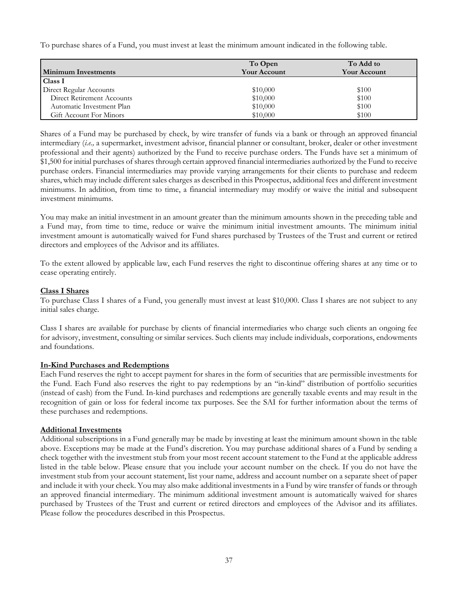To purchase shares of a Fund, you must invest at least the minimum amount indicated in the following table.

| <b>Minimum Investments</b> | To Open<br><b>Your Account</b> | To Add to<br><b>Your Account</b> |
|----------------------------|--------------------------------|----------------------------------|
| Class I                    |                                |                                  |
| Direct Regular Accounts    | \$10,000                       | \$100                            |
| Direct Retirement Accounts | \$10,000                       | \$100                            |
| Automatic Investment Plan  | \$10,000                       | \$100                            |
| Gift Account For Minors    | \$10,000                       | \$100                            |

Shares of a Fund may be purchased by check, by wire transfer of funds via a bank or through an approved financial intermediary (*i.e.,* a supermarket, investment advisor, financial planner or consultant, broker, dealer or other investment professional and their agents) authorized by the Fund to receive purchase orders. The Funds have set a minimum of \$1,500 for initial purchases of shares through certain approved financial intermediaries authorized by the Fund to receive purchase orders. Financial intermediaries may provide varying arrangements for their clients to purchase and redeem shares, which may include different sales charges as described in this Prospectus, additional fees and different investment minimums. In addition, from time to time, a financial intermediary may modify or waive the initial and subsequent investment minimums.

You may make an initial investment in an amount greater than the minimum amounts shown in the preceding table and a Fund may, from time to time, reduce or waive the minimum initial investment amounts. The minimum initial investment amount is automatically waived for Fund shares purchased by Trustees of the Trust and current or retired directors and employees of the Advisor and its affiliates.

To the extent allowed by applicable law, each Fund reserves the right to discontinue offering shares at any time or to cease operating entirely.

# **Class I Shares**

To purchase Class I shares of a Fund, you generally must invest at least \$10,000. Class I shares are not subject to any initial sales charge.

Class I shares are available for purchase by clients of financial intermediaries who charge such clients an ongoing fee for advisory, investment, consulting or similar services. Such clients may include individuals, corporations, endowments and foundations.

#### **In-Kind Purchases and Redemptions**

Each Fund reserves the right to accept payment for shares in the form of securities that are permissible investments for the Fund. Each Fund also reserves the right to pay redemptions by an "in-kind" distribution of portfolio securities (instead of cash) from the Fund. In-kind purchases and redemptions are generally taxable events and may result in the recognition of gain or loss for federal income tax purposes. See the SAI for further information about the terms of these purchases and redemptions.

#### **Additional Investments**

Additional subscriptions in a Fund generally may be made by investing at least the minimum amount shown in the table above. Exceptions may be made at the Fund's discretion. You may purchase additional shares of a Fund by sending a check together with the investment stub from your most recent account statement to the Fund at the applicable address listed in the table below. Please ensure that you include your account number on the check. If you do not have the investment stub from your account statement, list your name, address and account number on a separate sheet of paper and include it with your check. You may also make additional investments in a Fund by wire transfer of funds or through an approved financial intermediary. The minimum additional investment amount is automatically waived for shares purchased by Trustees of the Trust and current or retired directors and employees of the Advisor and its affiliates. Please follow the procedures described in this Prospectus.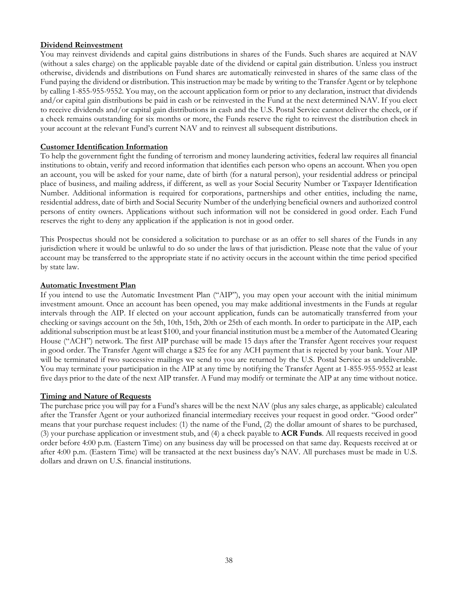# **Dividend Reinvestment**

You may reinvest dividends and capital gains distributions in shares of the Funds. Such shares are acquired at NAV (without a sales charge) on the applicable payable date of the dividend or capital gain distribution. Unless you instruct otherwise, dividends and distributions on Fund shares are automatically reinvested in shares of the same class of the Fund paying the dividend or distribution. This instruction may be made by writing to the Transfer Agent or by telephone by calling 1-855-955-9552. You may, on the account application form or prior to any declaration, instruct that dividends and/or capital gain distributions be paid in cash or be reinvested in the Fund at the next determined NAV. If you elect to receive dividends and/or capital gain distributions in cash and the U.S. Postal Service cannot deliver the check, or if a check remains outstanding for six months or more, the Funds reserve the right to reinvest the distribution check in your account at the relevant Fund's current NAV and to reinvest all subsequent distributions.

#### **Customer Identification Information**

To help the government fight the funding of terrorism and money laundering activities, federal law requires all financial institutions to obtain, verify and record information that identifies each person who opens an account. When you open an account, you will be asked for your name, date of birth (for a natural person), your residential address or principal place of business, and mailing address, if different, as well as your Social Security Number or Taxpayer Identification Number. Additional information is required for corporations, partnerships and other entities, including the name, residential address, date of birth and Social Security Number of the underlying beneficial owners and authorized control persons of entity owners. Applications without such information will not be considered in good order. Each Fund reserves the right to deny any application if the application is not in good order.

This Prospectus should not be considered a solicitation to purchase or as an offer to sell shares of the Funds in any jurisdiction where it would be unlawful to do so under the laws of that jurisdiction. Please note that the value of your account may be transferred to the appropriate state if no activity occurs in the account within the time period specified by state law.

#### **Automatic Investment Plan**

If you intend to use the Automatic Investment Plan ("AIP"), you may open your account with the initial minimum investment amount. Once an account has been opened, you may make additional investments in the Funds at regular intervals through the AIP. If elected on your account application, funds can be automatically transferred from your checking or savings account on the 5th, 10th, 15th, 20th or 25th of each month. In order to participate in the AIP, each additional subscription must be at least \$100, and your financial institution must be a member of the Automated Clearing House ("ACH") network. The first AIP purchase will be made 15 days after the Transfer Agent receives your request in good order. The Transfer Agent will charge a \$25 fee for any ACH payment that is rejected by your bank. Your AIP will be terminated if two successive mailings we send to you are returned by the U.S. Postal Service as undeliverable. You may terminate your participation in the AIP at any time by notifying the Transfer Agent at 1-855-955-9552 at least five days prior to the date of the next AIP transfer. A Fund may modify or terminate the AIP at any time without notice.

#### **Timing and Nature of Requests**

The purchase price you will pay for a Fund's shares will be the next NAV (plus any sales charge, as applicable) calculated after the Transfer Agent or your authorized financial intermediary receives your request in good order. "Good order" means that your purchase request includes: (1) the name of the Fund, (2) the dollar amount of shares to be purchased, (3) your purchase application or investment stub, and (4) a check payable to **ACR Funds**. All requests received in good order before 4:00 p.m. (Eastern Time) on any business day will be processed on that same day. Requests received at or after 4:00 p.m. (Eastern Time) will be transacted at the next business day's NAV. All purchases must be made in U.S. dollars and drawn on U.S. financial institutions.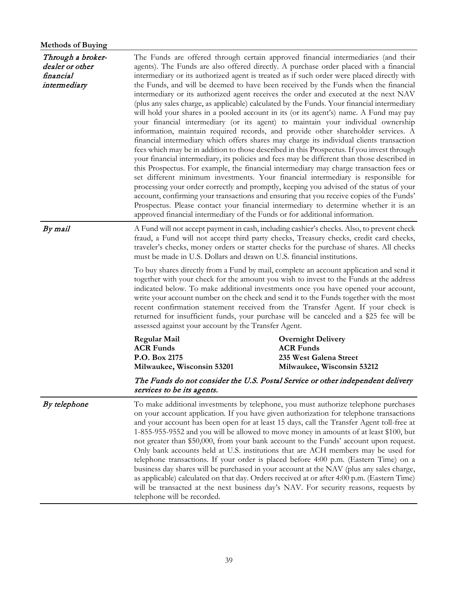# **Methods of Buying**

| Through a broker-<br>dealer or other<br>financial<br>intermediary | The Funds are offered through certain approved financial intermediaries (and their<br>agents). The Funds are also offered directly. A purchase order placed with a financial<br>intermediary or its authorized agent is treated as if such order were placed directly with<br>the Funds, and will be deemed to have been received by the Funds when the financial<br>intermediary or its authorized agent receives the order and executed at the next NAV<br>(plus any sales charge, as applicable) calculated by the Funds. Your financial intermediary<br>will hold your shares in a pooled account in its (or its agent's) name. A Fund may pay<br>your financial intermediary (or its agent) to maintain your individual ownership<br>information, maintain required records, and provide other shareholder services. A<br>financial intermediary which offers shares may charge its individual clients transaction<br>fees which may be in addition to those described in this Prospectus. If you invest through<br>your financial intermediary, its policies and fees may be different than those described in<br>this Prospectus. For example, the financial intermediary may charge transaction fees or<br>set different minimum investments. Your financial intermediary is responsible for<br>processing your order correctly and promptly, keeping you advised of the status of your<br>account, confirming your transactions and ensuring that you receive copies of the Funds'<br>Prospectus. Please contact your financial intermediary to determine whether it is an<br>approved financial intermediary of the Funds or for additional information. |                                                                                                                                                                            |  |  |  |  |  |
|-------------------------------------------------------------------|--------------------------------------------------------------------------------------------------------------------------------------------------------------------------------------------------------------------------------------------------------------------------------------------------------------------------------------------------------------------------------------------------------------------------------------------------------------------------------------------------------------------------------------------------------------------------------------------------------------------------------------------------------------------------------------------------------------------------------------------------------------------------------------------------------------------------------------------------------------------------------------------------------------------------------------------------------------------------------------------------------------------------------------------------------------------------------------------------------------------------------------------------------------------------------------------------------------------------------------------------------------------------------------------------------------------------------------------------------------------------------------------------------------------------------------------------------------------------------------------------------------------------------------------------------------------------------------------------------------------------------------------------------------------|----------------------------------------------------------------------------------------------------------------------------------------------------------------------------|--|--|--|--|--|
| By mail                                                           | A Fund will not accept payment in cash, including cashier's checks. Also, to prevent check<br>fraud, a Fund will not accept third party checks, Treasury checks, credit card checks,<br>traveler's checks, money orders or starter checks for the purchase of shares. All checks<br>must be made in U.S. Dollars and drawn on U.S. financial institutions.<br>To buy shares directly from a Fund by mail, complete an account application and send it<br>together with your check for the amount you wish to invest to the Funds at the address<br>indicated below. To make additional investments once you have opened your account,<br>write your account number on the check and send it to the Funds together with the most                                                                                                                                                                                                                                                                                                                                                                                                                                                                                                                                                                                                                                                                                                                                                                                                                                                                                                                                    |                                                                                                                                                                            |  |  |  |  |  |
|                                                                   | assessed against your account by the Transfer Agent.                                                                                                                                                                                                                                                                                                                                                                                                                                                                                                                                                                                                                                                                                                                                                                                                                                                                                                                                                                                                                                                                                                                                                                                                                                                                                                                                                                                                                                                                                                                                                                                                               | recent confirmation statement received from the Transfer Agent. If your check is<br>returned for insufficient funds, your purchase will be canceled and a \$25 fee will be |  |  |  |  |  |
|                                                                   | Regular Mail<br><b>ACR Funds</b><br>P.O. Box 2175<br>Milwaukee, Wisconsin 53201                                                                                                                                                                                                                                                                                                                                                                                                                                                                                                                                                                                                                                                                                                                                                                                                                                                                                                                                                                                                                                                                                                                                                                                                                                                                                                                                                                                                                                                                                                                                                                                    | <b>Overnight Delivery</b><br><b>ACR Funds</b><br>235 West Galena Street<br>Milwaukee, Wisconsin 53212                                                                      |  |  |  |  |  |
|                                                                   | services to be its agents.                                                                                                                                                                                                                                                                                                                                                                                                                                                                                                                                                                                                                                                                                                                                                                                                                                                                                                                                                                                                                                                                                                                                                                                                                                                                                                                                                                                                                                                                                                                                                                                                                                         | The Funds do not consider the U.S. Postal Service or other independent delivery                                                                                            |  |  |  |  |  |
| By telephone                                                      | To make additional investments by telephone, you must authorize telephone purchases<br>on your account application. If you have given authorization for telephone transactions<br>and your account has been open for at least 15 days, call the Transfer Agent toll-free at<br>1-855-955-9552 and you will be allowed to move money in amounts of at least \$100, but<br>not greater than \$50,000, from your bank account to the Funds' account upon request.<br>Only bank accounts held at U.S. institutions that are ACH members may be used for<br>telephone transactions. If your order is placed before 4:00 p.m. (Eastern Time) on a<br>business day shares will be purchased in your account at the NAV (plus any sales charge,<br>as applicable) calculated on that day. Orders received at or after 4:00 p.m. (Eastern Time)<br>will be transacted at the next business day's NAV. For security reasons, requests by<br>telephone will be recorded.                                                                                                                                                                                                                                                                                                                                                                                                                                                                                                                                                                                                                                                                                                      |                                                                                                                                                                            |  |  |  |  |  |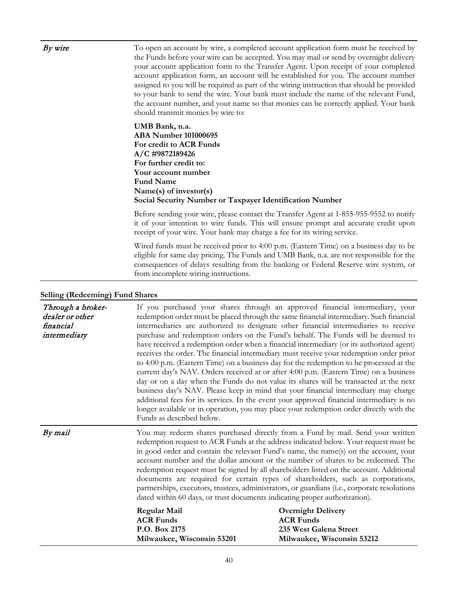| By wire | To open an account by wire, a completed account application form must be received by<br>the Funds before your wire can be accepted. You may mail or send by overnight delivery<br>your account application form to the Transfer Agent. Upon receipt of your completed<br>account application form, an account will be established for you. The account number<br>assigned to you will be required as part of the wiring instruction that should be provided<br>to your bank to send the wire. Your bank must include the name of the relevant Fund,<br>the account number, and your name so that monies can be correctly applied. Your bank<br>should transmit monies by wire to: |
|---------|-----------------------------------------------------------------------------------------------------------------------------------------------------------------------------------------------------------------------------------------------------------------------------------------------------------------------------------------------------------------------------------------------------------------------------------------------------------------------------------------------------------------------------------------------------------------------------------------------------------------------------------------------------------------------------------|
|         | UMB Bank, n.a.<br><b>ABA Number 101000695</b><br>For credit to ACR Funds<br>A/C #9872189426<br>For further credit to:<br>Your account number<br><b>Fund Name</b><br>Name(s) of investor(s)<br>Social Security Number or Taxpayer Identification Number                                                                                                                                                                                                                                                                                                                                                                                                                            |
|         | Before sending your wire, please contact the Transfer Agent at 1-855-955-9552 to notify<br>it of your intention to wire funds. This will ensure prompt and accurate credit upon<br>receipt of your wire. Your bank may charge a fee for its wiring service.                                                                                                                                                                                                                                                                                                                                                                                                                       |
|         | Wired funds must be received prior to 4:00 p.m. (Eastern Time) on a business day to be<br>eligible for same day pricing. The Funds and UMB Bank, n.a. are not responsible for the<br>consequences of delays resulting from the banking or Federal Reserve wire system, or<br>from incomplete wiring instructions.                                                                                                                                                                                                                                                                                                                                                                 |

# **Selling (Redeeming) Fund Shares**

| Through a broker-<br>dealer or other<br>financial<br>intermediary | If you purchased your shares through an approved financial intermediary, your<br>redemption order must be placed through the same financial intermediary. Such financial<br>intermediaries are authorized to designate other financial intermediaries to receive<br>purchase and redemption orders on the Fund's behalf. The Funds will be deemed to<br>have received a redemption order when a financial intermediary (or its authorized agent)<br>receives the order. The financial intermediary must receive your redemption order prior<br>to 4:00 p.m. (Eastern Time) on a business day for the redemption to be processed at the<br>current day's NAV. Orders received at or after 4:00 p.m. (Eastern Time) on a business<br>day or on a day when the Funds do not value its shares will be transacted at the next<br>business day's NAV. Please keep in mind that your financial intermediary may charge<br>additional fees for its services. In the event your approved financial intermediary is no<br>longer available or in operation, you may place your redemption order directly with the<br>Funds as described below. |                                                                                                                                                                                                                                                                                                                                                                                                                                                                                                                                                                                                                                                                                                                                            |  |  |  |  |
|-------------------------------------------------------------------|--------------------------------------------------------------------------------------------------------------------------------------------------------------------------------------------------------------------------------------------------------------------------------------------------------------------------------------------------------------------------------------------------------------------------------------------------------------------------------------------------------------------------------------------------------------------------------------------------------------------------------------------------------------------------------------------------------------------------------------------------------------------------------------------------------------------------------------------------------------------------------------------------------------------------------------------------------------------------------------------------------------------------------------------------------------------------------------------------------------------------------------|--------------------------------------------------------------------------------------------------------------------------------------------------------------------------------------------------------------------------------------------------------------------------------------------------------------------------------------------------------------------------------------------------------------------------------------------------------------------------------------------------------------------------------------------------------------------------------------------------------------------------------------------------------------------------------------------------------------------------------------------|--|--|--|--|
| By mail                                                           | dated within 60 days, or trust documents indicating proper authorization).<br><b>Regular Mail</b><br><b>ACR Funds</b><br>P.O. Box 2175<br>Milwaukee, Wisconsin 53201                                                                                                                                                                                                                                                                                                                                                                                                                                                                                                                                                                                                                                                                                                                                                                                                                                                                                                                                                                 | You may redeem shares purchased directly from a Fund by mail. Send your written<br>redemption request to ACR Funds at the address indicated below. Your request must be<br>in good order and contain the relevant Fund's name, the name(s) on the account, your<br>account number and the dollar amount or the number of shares to be redeemed. The<br>redemption request must be signed by all shareholders listed on the account. Additional<br>documents are required for certain types of shareholders, such as corporations,<br>partnerships, executors, trustees, administrators, or guardians (i.e., corporate resolutions<br><b>Overnight Delivery</b><br><b>ACR Funds</b><br>235 West Galena Street<br>Milwaukee, Wisconsin 53212 |  |  |  |  |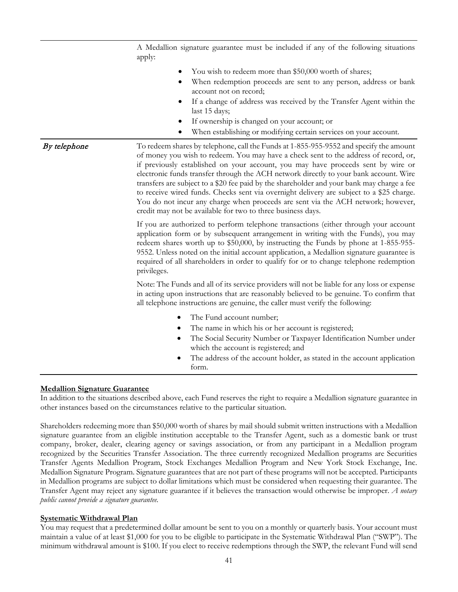|              | A Medallion signature guarantee must be included if any of the following situations<br>apply:                                                                                                                                                                                                                                                                                                                                                                                                                                                                                                                                                                                                            |  |  |  |  |  |  |
|--------------|----------------------------------------------------------------------------------------------------------------------------------------------------------------------------------------------------------------------------------------------------------------------------------------------------------------------------------------------------------------------------------------------------------------------------------------------------------------------------------------------------------------------------------------------------------------------------------------------------------------------------------------------------------------------------------------------------------|--|--|--|--|--|--|
|              | You wish to redeem more than \$50,000 worth of shares;<br>When redemption proceeds are sent to any person, address or bank<br>account not on record;<br>If a change of address was received by the Transfer Agent within the<br>last 15 days;<br>If ownership is changed on your account; or<br>When establishing or modifying certain services on your account.                                                                                                                                                                                                                                                                                                                                         |  |  |  |  |  |  |
| By telephone | To redeem shares by telephone, call the Funds at 1-855-955-9552 and specify the amount<br>of money you wish to redeem. You may have a check sent to the address of record, or,<br>if previously established on your account, you may have proceeds sent by wire or<br>electronic funds transfer through the ACH network directly to your bank account. Wire<br>transfers are subject to a \$20 fee paid by the shareholder and your bank may charge a fee<br>to receive wired funds. Checks sent via overnight delivery are subject to a \$25 charge.<br>You do not incur any charge when proceeds are sent via the ACH network; however,<br>credit may not be available for two to three business days. |  |  |  |  |  |  |
|              | If you are authorized to perform telephone transactions (either through your account<br>application form or by subsequent arrangement in writing with the Funds), you may<br>redeem shares worth up to \$50,000, by instructing the Funds by phone at 1-855-955-<br>9552. Unless noted on the initial account application, a Medallion signature guarantee is<br>required of all shareholders in order to qualify for or to change telephone redemption<br>privileges.                                                                                                                                                                                                                                   |  |  |  |  |  |  |
|              | Note: The Funds and all of its service providers will not be liable for any loss or expense<br>in acting upon instructions that are reasonably believed to be genuine. To confirm that<br>all telephone instructions are genuine, the caller must verify the following:                                                                                                                                                                                                                                                                                                                                                                                                                                  |  |  |  |  |  |  |
|              | The Fund account number;<br>٠<br>The name in which his or her account is registered;<br>٠<br>The Social Security Number or Taxpayer Identification Number under<br>which the account is registered; and<br>The address of the account holder, as stated in the account application<br>form.                                                                                                                                                                                                                                                                                                                                                                                                              |  |  |  |  |  |  |

# **Medallion Signature Guarantee**

In addition to the situations described above, each Fund reserves the right to require a Medallion signature guarantee in other instances based on the circumstances relative to the particular situation.

Shareholders redeeming more than \$50,000 worth of shares by mail should submit written instructions with a Medallion signature guarantee from an eligible institution acceptable to the Transfer Agent, such as a domestic bank or trust company, broker, dealer, clearing agency or savings association, or from any participant in a Medallion program recognized by the Securities Transfer Association. The three currently recognized Medallion programs are Securities Transfer Agents Medallion Program, Stock Exchanges Medallion Program and New York Stock Exchange, Inc. Medallion Signature Program. Signature guarantees that are not part of these programs will not be accepted. Participants in Medallion programs are subject to dollar limitations which must be considered when requesting their guarantee. The Transfer Agent may reject any signature guarantee if it believes the transaction would otherwise be improper. *A notary public cannot provide a signature guarantee.*

# **Systematic Withdrawal Plan**

You may request that a predetermined dollar amount be sent to you on a monthly or quarterly basis. Your account must maintain a value of at least \$1,000 for you to be eligible to participate in the Systematic Withdrawal Plan ("SWP"). The minimum withdrawal amount is \$100. If you elect to receive redemptions through the SWP, the relevant Fund will send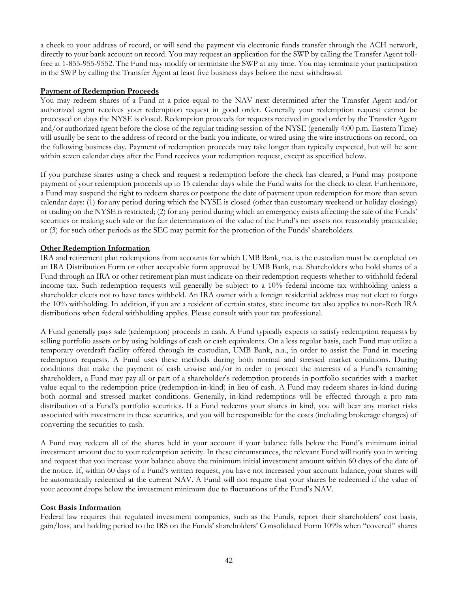a check to your address of record, or will send the payment via electronic funds transfer through the ACH network, directly to your bank account on record. You may request an application for the SWP by calling the Transfer Agent tollfree at 1-855-955-9552. The Fund may modify or terminate the SWP at any time. You may terminate your participation in the SWP by calling the Transfer Agent at least five business days before the next withdrawal.

## **Payment of Redemption Proceeds**

You may redeem shares of a Fund at a price equal to the NAV next determined after the Transfer Agent and/or authorized agent receives your redemption request in good order. Generally your redemption request cannot be processed on days the NYSE is closed. Redemption proceeds for requests received in good order by the Transfer Agent and/or authorized agent before the close of the regular trading session of the NYSE (generally 4:00 p.m. Eastern Time) will usually be sent to the address of record or the bank you indicate, or wired using the wire instructions on record, on the following business day. Payment of redemption proceeds may take longer than typically expected, but will be sent within seven calendar days after the Fund receives your redemption request, except as specified below.

If you purchase shares using a check and request a redemption before the check has cleared, a Fund may postpone payment of your redemption proceeds up to 15 calendar days while the Fund waits for the check to clear. Furthermore, a Fund may suspend the right to redeem shares or postpone the date of payment upon redemption for more than seven calendar days: (1) for any period during which the NYSE is closed (other than customary weekend or holiday closings) or trading on the NYSE is restricted; (2) for any period during which an emergency exists affecting the sale of the Funds' securities or making such sale or the fair determination of the value of the Fund's net assets not reasonably practicable; or (3) for such other periods as the SEC may permit for the protection of the Funds' shareholders.

# **Other Redemption Information**

IRA and retirement plan redemptions from accounts for which UMB Bank, n.a. is the custodian must be completed on an IRA Distribution Form or other acceptable form approved by UMB Bank, n.a. Shareholders who hold shares of a Fund through an IRA or other retirement plan must indicate on their redemption requests whether to withhold federal income tax. Such redemption requests will generally be subject to a 10% federal income tax withholding unless a shareholder elects not to have taxes withheld. An IRA owner with a foreign residential address may not elect to forgo the 10% withholding. In addition, if you are a resident of certain states, state income tax also applies to non-Roth IRA distributions when federal withholding applies. Please consult with your tax professional.

A Fund generally pays sale (redemption) proceeds in cash. A Fund typically expects to satisfy redemption requests by selling portfolio assets or by using holdings of cash or cash equivalents. On a less regular basis, each Fund may utilize a temporary overdraft facility offered through its custodian, UMB Bank, n.a., in order to assist the Fund in meeting redemption requests. A Fund uses these methods during both normal and stressed market conditions. During conditions that make the payment of cash unwise and/or in order to protect the interests of a Fund's remaining shareholders, a Fund may pay all or part of a shareholder's redemption proceeds in portfolio securities with a market value equal to the redemption price (redemption-in-kind) in lieu of cash. A Fund may redeem shares in-kind during both normal and stressed market conditions. Generally, in-kind redemptions will be effected through a pro rata distribution of a Fund's portfolio securities. If a Fund redeems your shares in kind, you will bear any market risks associated with investment in these securities, and you will be responsible for the costs (including brokerage charges) of converting the securities to cash.

A Fund may redeem all of the shares held in your account if your balance falls below the Fund's minimum initial investment amount due to your redemption activity. In these circumstances, the relevant Fund will notify you in writing and request that you increase your balance above the minimum initial investment amount within 60 days of the date of the notice. If, within 60 days of a Fund's written request, you have not increased your account balance, your shares will be automatically redeemed at the current NAV. A Fund will not require that your shares be redeemed if the value of your account drops below the investment minimum due to fluctuations of the Fund's NAV.

#### **Cost Basis Information**

Federal law requires that regulated investment companies, such as the Funds, report their shareholders' cost basis, gain/loss, and holding period to the IRS on the Funds' shareholders' Consolidated Form 1099s when "covered" shares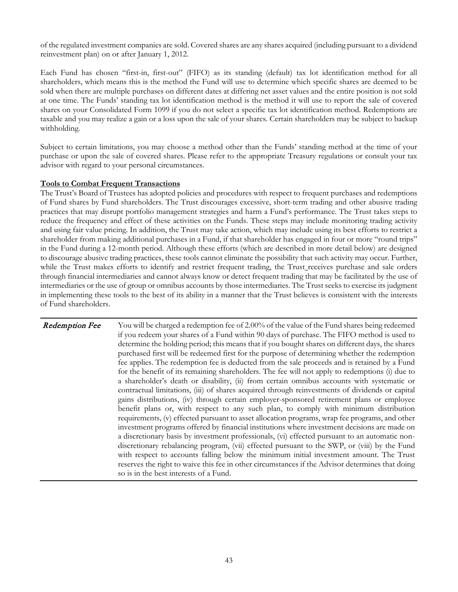of the regulated investment companies are sold. Covered shares are any shares acquired (including pursuant to a dividend reinvestment plan) on or after January 1, 2012.

Each Fund has chosen "first-in, first-out" (FIFO) as its standing (default) tax lot identification method for all shareholders, which means this is the method the Fund will use to determine which specific shares are deemed to be sold when there are multiple purchases on different dates at differing net asset values and the entire position is not sold at one time. The Funds' standing tax lot identification method is the method it will use to report the sale of covered shares on your Consolidated Form 1099 if you do not select a specific tax lot identification method. Redemptions are taxable and you may realize a gain or a loss upon the sale of your shares. Certain shareholders may be subject to backup withholding.

Subject to certain limitations, you may choose a method other than the Funds' standing method at the time of your purchase or upon the sale of covered shares. Please refer to the appropriate Treasury regulations or consult your tax advisor with regard to your personal circumstances.

#### **Tools to Combat Frequent Transactions**

The Trust's Board of Trustees has adopted policies and procedures with respect to frequent purchases and redemptions of Fund shares by Fund shareholders. The Trust discourages excessive, short-term trading and other abusive trading practices that may disrupt portfolio management strategies and harm a Fund's performance. The Trust takes steps to reduce the frequency and effect of these activities on the Funds. These steps may include monitoring trading activity and using fair value pricing. In addition, the Trust may take action, which may include using its best efforts to restrict a shareholder from making additional purchases in a Fund, if that shareholder has engaged in four or more "round trips" in the Fund during a 12-month period. Although these efforts (which are described in more detail below) are designed to discourage abusive trading practices, these tools cannot eliminate the possibility that such activity may occur. Further, while the Trust makes efforts to identify and restrict frequent trading, the Trust\_receives purchase and sale orders through financial intermediaries and cannot always know or detect frequent trading that may be facilitated by the use of intermediaries or the use of group or omnibus accounts by those intermediaries. The Trust seeks to exercise its judgment in implementing these tools to the best of its ability in a manner that the Trust believes is consistent with the interests of Fund shareholders.

**Redemption Fee** You will be charged a redemption fee of 2.00% of the value of the Fund shares being redeemed if you redeem your shares of a Fund within 90 days of purchase. The FIFO method is used to determine the holding period; this means that if you bought shares on different days, the shares purchased first will be redeemed first for the purpose of determining whether the redemption fee applies. The redemption fee is deducted from the sale proceeds and is retained by a Fund for the benefit of its remaining shareholders. The fee will not apply to redemptions (i) due to a shareholder's death or disability, (ii) from certain omnibus accounts with systematic or contractual limitations, (iii) of shares acquired through reinvestments of dividends or capital gains distributions, (iv) through certain employer-sponsored retirement plans or employee benefit plans or, with respect to any such plan, to comply with minimum distribution requirements, (v) effected pursuant to asset allocation programs, wrap fee programs, and other investment programs offered by financial institutions where investment decisions are made on a discretionary basis by investment professionals, (vi) effected pursuant to an automatic nondiscretionary rebalancing program, (vii) effected pursuant to the SWP, or (viii) by the Fund with respect to accounts falling below the minimum initial investment amount. The Trust reserves the right to waive this fee in other circumstances if the Advisor determines that doing so is in the best interests of a Fund.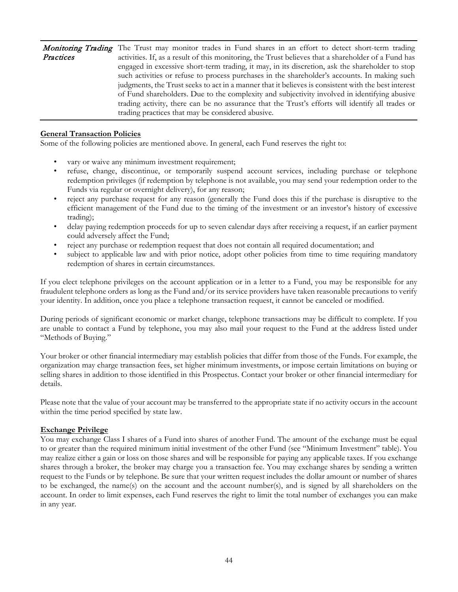|           | <b>Monitoring Trading</b> The Trust may monitor trades in Fund shares in an effort to detect short-term trading |
|-----------|-----------------------------------------------------------------------------------------------------------------|
| Practices | activities. If, as a result of this monitoring, the Trust believes that a shareholder of a Fund has             |
|           | engaged in excessive short-term trading, it may, in its discretion, ask the shareholder to stop                 |
|           | such activities or refuse to process purchases in the shareholder's accounts. In making such                    |
|           | judgments, the Trust seeks to act in a manner that it believes is consistent with the best interest             |
|           | of Fund shareholders. Due to the complexity and subjectivity involved in identifying abusive                    |
|           | trading activity, there can be no assurance that the Trust's efforts will identify all trades or                |
|           | trading practices that may be considered abusive.                                                               |

#### **General Transaction Policies**

Some of the following policies are mentioned above. In general, each Fund reserves the right to:

- vary or waive any minimum investment requirement;
- refuse, change, discontinue, or temporarily suspend account services, including purchase or telephone redemption privileges (if redemption by telephone is not available, you may send your redemption order to the Funds via regular or overnight delivery), for any reason;
- reject any purchase request for any reason (generally the Fund does this if the purchase is disruptive to the efficient management of the Fund due to the timing of the investment or an investor's history of excessive trading);
- delay paying redemption proceeds for up to seven calendar days after receiving a request, if an earlier payment could adversely affect the Fund;
- reject any purchase or redemption request that does not contain all required documentation; and
- subject to applicable law and with prior notice, adopt other policies from time to time requiring mandatory redemption of shares in certain circumstances.

If you elect telephone privileges on the account application or in a letter to a Fund, you may be responsible for any fraudulent telephone orders as long as the Fund and/or its service providers have taken reasonable precautions to verify your identity. In addition, once you place a telephone transaction request, it cannot be canceled or modified.

During periods of significant economic or market change, telephone transactions may be difficult to complete. If you are unable to contact a Fund by telephone, you may also mail your request to the Fund at the address listed under "Methods of Buying."

Your broker or other financial intermediary may establish policies that differ from those of the Funds. For example, the organization may charge transaction fees, set higher minimum investments, or impose certain limitations on buying or selling shares in addition to those identified in this Prospectus. Contact your broker or other financial intermediary for details.

Please note that the value of your account may be transferred to the appropriate state if no activity occurs in the account within the time period specified by state law.

#### **Exchange Privilege**

You may exchange Class I shares of a Fund into shares of another Fund. The amount of the exchange must be equal to or greater than the required minimum initial investment of the other Fund (see "Minimum Investment" table). You may realize either a gain or loss on those shares and will be responsible for paying any applicable taxes. If you exchange shares through a broker, the broker may charge you a transaction fee. You may exchange shares by sending a written request to the Funds or by telephone. Be sure that your written request includes the dollar amount or number of shares to be exchanged, the name(s) on the account and the account number(s), and is signed by all shareholders on the account. In order to limit expenses, each Fund reserves the right to limit the total number of exchanges you can make in any year.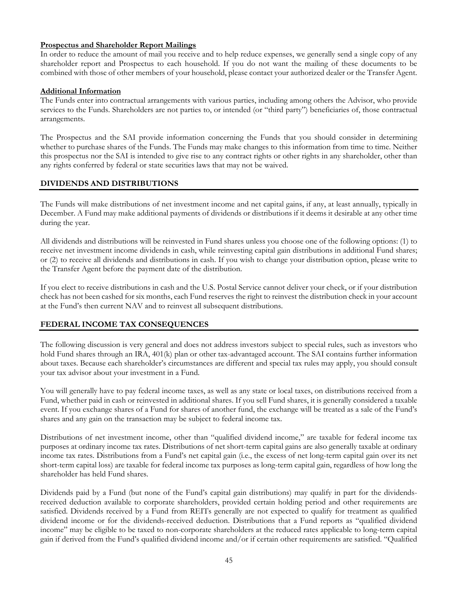# **Prospectus and Shareholder Report Mailings**

In order to reduce the amount of mail you receive and to help reduce expenses, we generally send a single copy of any shareholder report and Prospectus to each household. If you do not want the mailing of these documents to be combined with those of other members of your household, please contact your authorized dealer or the Transfer Agent.

# **Additional Information**

The Funds enter into contractual arrangements with various parties, including among others the Advisor, who provide services to the Funds. Shareholders are not parties to, or intended (or "third party") beneficiaries of, those contractual arrangements.

The Prospectus and the SAI provide information concerning the Funds that you should consider in determining whether to purchase shares of the Funds. The Funds may make changes to this information from time to time. Neither this prospectus nor the SAI is intended to give rise to any contract rights or other rights in any shareholder, other than any rights conferred by federal or state securities laws that may not be waived.

# **DIVIDENDS AND DISTRIBUTIONS**

The Funds will make distributions of net investment income and net capital gains, if any, at least annually, typically in December. A Fund may make additional payments of dividends or distributions if it deems it desirable at any other time during the year.

All dividends and distributions will be reinvested in Fund shares unless you choose one of the following options: (1) to receive net investment income dividends in cash, while reinvesting capital gain distributions in additional Fund shares; or (2) to receive all dividends and distributions in cash. If you wish to change your distribution option, please write to the Transfer Agent before the payment date of the distribution.

If you elect to receive distributions in cash and the U.S. Postal Service cannot deliver your check, or if your distribution check has not been cashed for six months, each Fund reserves the right to reinvest the distribution check in your account at the Fund's then current NAV and to reinvest all subsequent distributions.

# **FEDERAL INCOME TAX CONSEQUENCES**

The following discussion is very general and does not address investors subject to special rules, such as investors who hold Fund shares through an IRA, 401(k) plan or other tax-advantaged account. The SAI contains further information about taxes. Because each shareholder's circumstances are different and special tax rules may apply, you should consult your tax advisor about your investment in a Fund.

You will generally have to pay federal income taxes, as well as any state or local taxes, on distributions received from a Fund, whether paid in cash or reinvested in additional shares. If you sell Fund shares, it is generally considered a taxable event. If you exchange shares of a Fund for shares of another fund, the exchange will be treated as a sale of the Fund's shares and any gain on the transaction may be subject to federal income tax.

Distributions of net investment income, other than "qualified dividend income," are taxable for federal income tax purposes at ordinary income tax rates. Distributions of net short-term capital gains are also generally taxable at ordinary income tax rates. Distributions from a Fund's net capital gain (i.e., the excess of net long-term capital gain over its net short-term capital loss) are taxable for federal income tax purposes as long-term capital gain, regardless of how long the shareholder has held Fund shares.

Dividends paid by a Fund (but none of the Fund's capital gain distributions) may qualify in part for the dividendsreceived deduction available to corporate shareholders, provided certain holding period and other requirements are satisfied. Dividends received by a Fund from REITs generally are not expected to qualify for treatment as qualified dividend income or for the dividends-received deduction. Distributions that a Fund reports as "qualified dividend income" may be eligible to be taxed to non-corporate shareholders at the reduced rates applicable to long-term capital gain if derived from the Fund's qualified dividend income and/or if certain other requirements are satisfied. "Qualified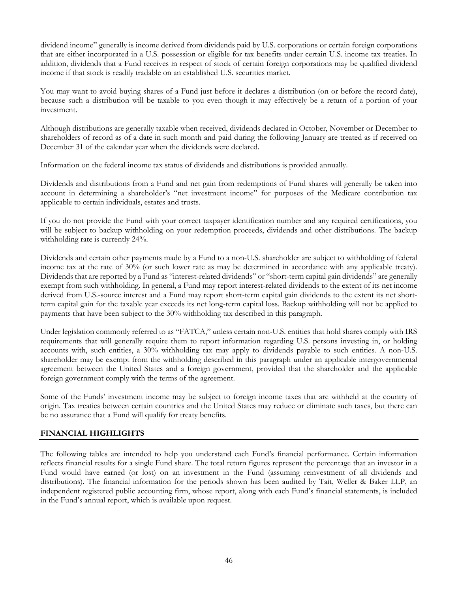dividend income" generally is income derived from dividends paid by U.S. corporations or certain foreign corporations that are either incorporated in a U.S. possession or eligible for tax benefits under certain U.S. income tax treaties. In addition, dividends that a Fund receives in respect of stock of certain foreign corporations may be qualified dividend income if that stock is readily tradable on an established U.S. securities market.

You may want to avoid buying shares of a Fund just before it declares a distribution (on or before the record date), because such a distribution will be taxable to you even though it may effectively be a return of a portion of your investment.

Although distributions are generally taxable when received, dividends declared in October, November or December to shareholders of record as of a date in such month and paid during the following January are treated as if received on December 31 of the calendar year when the dividends were declared.

Information on the federal income tax status of dividends and distributions is provided annually.

Dividends and distributions from a Fund and net gain from redemptions of Fund shares will generally be taken into account in determining a shareholder's "net investment income" for purposes of the Medicare contribution tax applicable to certain individuals, estates and trusts.

If you do not provide the Fund with your correct taxpayer identification number and any required certifications, you will be subject to backup withholding on your redemption proceeds, dividends and other distributions. The backup withholding rate is currently 24%.

Dividends and certain other payments made by a Fund to a non-U.S. shareholder are subject to withholding of federal income tax at the rate of 30% (or such lower rate as may be determined in accordance with any applicable treaty). Dividends that are reported by a Fund as "interest-related dividends" or "short-term capital gain dividends" are generally exempt from such withholding. In general, a Fund may report interest-related dividends to the extent of its net income derived from U.S.-source interest and a Fund may report short-term capital gain dividends to the extent its net shortterm capital gain for the taxable year exceeds its net long-term capital loss. Backup withholding will not be applied to payments that have been subject to the 30% withholding tax described in this paragraph.

Under legislation commonly referred to as "FATCA," unless certain non-U.S. entities that hold shares comply with IRS requirements that will generally require them to report information regarding U.S. persons investing in, or holding accounts with, such entities, a 30% withholding tax may apply to dividends payable to such entities. A non-U.S. shareholder may be exempt from the withholding described in this paragraph under an applicable intergovernmental agreement between the United States and a foreign government, provided that the shareholder and the applicable foreign government comply with the terms of the agreement.

Some of the Funds' investment income may be subject to foreign income taxes that are withheld at the country of origin. Tax treaties between certain countries and the United States may reduce or eliminate such taxes, but there can be no assurance that a Fund will qualify for treaty benefits.

# **FINANCIAL HIGHLIGHTS**

The following tables are intended to help you understand each Fund's financial performance. Certain information reflects financial results for a single Fund share. The total return figures represent the percentage that an investor in a Fund would have earned (or lost) on an investment in the Fund (assuming reinvestment of all dividends and distributions). The financial information for the periods shown has been audited by Tait, Weller & Baker LLP, an independent registered public accounting firm, whose report, along with each Fund's financial statements, is included in the Fund's annual report, which is available upon request.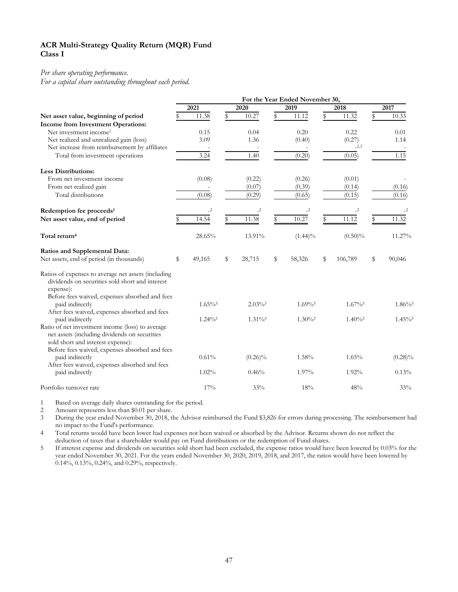# **ACR Multi-Strategy Quality Return (MQR) Fund Class I**

# *Per share operating performance.*

*For a capital share outstanding throughout each period.*

|                                                                                                                                                                       | For the Year Ended November 30, |                       |    |                       |    |                       |    |                       |    |            |
|-----------------------------------------------------------------------------------------------------------------------------------------------------------------------|---------------------------------|-----------------------|----|-----------------------|----|-----------------------|----|-----------------------|----|------------|
|                                                                                                                                                                       |                                 | 2021                  |    | 2020                  |    | 2019                  |    | 2018                  |    | 2017       |
| Net asset value, beginning of period                                                                                                                                  |                                 | 11.38                 | \$ | 10.27                 | S  | 11.12                 | \$ | 11.32                 | \$ | 10.33      |
| Income from Investment Operations:                                                                                                                                    |                                 |                       |    |                       |    |                       |    |                       |    |            |
| Net investment income <sup>1</sup>                                                                                                                                    |                                 | 0.15                  |    | 0.04                  |    | 0.20                  |    | 0.22                  |    | 0.01       |
| Net realized and unrealized gain (loss)                                                                                                                               |                                 | 3.09                  |    | 1.36                  |    | (0.40)                |    | (0.27)                |    | 1.14       |
| Net increase from reimbursement by affiliates                                                                                                                         |                                 |                       |    |                       |    |                       |    | $-2,3$                |    |            |
| Total from investment operations                                                                                                                                      |                                 | 3.24                  |    | 1.40                  |    | (0.20)                |    | (0.05)                |    | 1.15       |
| <b>Less Distributions:</b>                                                                                                                                            |                                 |                       |    |                       |    |                       |    |                       |    |            |
| From net investment income                                                                                                                                            |                                 | (0.08)                |    | (0.22)                |    | (0.26)                |    | (0.01)                |    |            |
| From net realized gain                                                                                                                                                |                                 |                       |    | (0.07)                |    | (0.39)                |    | (0.14)                |    | (0.16)     |
| Total distributions                                                                                                                                                   |                                 | (0.08)                |    | (0.29)                |    | (0.65)                |    | (0.15)                |    | (0.16)     |
| Redemption fee proceeds <sup>1</sup>                                                                                                                                  |                                 | $\mathbf{-2}$         |    | $-2$                  |    | $\mathbf{-2}$         |    | $-2$                  |    | $-2$       |
| Net asset value, end of period                                                                                                                                        |                                 | 14.54                 | S  | 11.38                 |    | 10.27                 | \$ | 11.12                 |    | 11.32      |
| Total return <sup>4</sup>                                                                                                                                             |                                 | 28.65%                |    | 13.91%                |    | $(1.44)\%$            |    | $(0.50)\%$            |    | 11.27%     |
| Ratios and Supplemental Data:                                                                                                                                         |                                 |                       |    |                       |    |                       |    |                       |    |            |
| Net assets, end of period (in thousands)                                                                                                                              | \$                              | 49,165                | \$ | 28,715                | \$ | 58,326                | \$ | 106,789               | \$ | 90,046     |
| Ratios of expenses to average net assets (including<br>dividends on securities sold short and interest<br>expense):<br>Before fees waived, expenses absorbed and fees |                                 |                       |    |                       |    |                       |    |                       |    |            |
| paid indirectly                                                                                                                                                       |                                 | $1.65\%$              |    | $2.03\%$ <sup>5</sup> |    | $1.69\%$ <sup>5</sup> |    | $1.67\%$ <sup>5</sup> |    | $1.86\%$   |
| After fees waived, expenses absorbed and fees                                                                                                                         |                                 |                       |    |                       |    |                       |    |                       |    |            |
| paid indirectly                                                                                                                                                       |                                 | $1.24\%$ <sup>5</sup> |    | $1.31\%$ <sup>5</sup> |    | $1.30\%$ <sup>5</sup> |    | $1.40\%$ <sup>5</sup> |    | $1.45\%$   |
| Ratio of net investment income (loss) to average<br>net assets (including dividends on securities                                                                     |                                 |                       |    |                       |    |                       |    |                       |    |            |
| sold short and interest expense):                                                                                                                                     |                                 |                       |    |                       |    |                       |    |                       |    |            |
| Before fees waived, expenses absorbed and fees                                                                                                                        |                                 |                       |    |                       |    |                       |    |                       |    |            |
| paid indirectly                                                                                                                                                       |                                 | 0.61%                 |    | $(0.26)\%$            |    | 1.58%                 |    | 1.65%                 |    | $(0.28)\%$ |
| After fees waived, expenses absorbed and fees                                                                                                                         |                                 |                       |    |                       |    |                       |    |                       |    |            |
| paid indirectly                                                                                                                                                       |                                 | 1.02%                 |    | 0.46%                 |    | 1.97%                 |    | 1.92%                 |    | 0.13%      |
| Portfolio turnover rate                                                                                                                                               |                                 | 17%                   |    | 33%                   |    | 18%                   |    | 48%                   |    | 33%        |

1 Based on average daily shares outstanding for the period.

2 Amount represents less than \$0.01 per share.

3 During the year ended November 30, 2018, the Advisor reimbursed the Fund \$3,826 for errors during processing. The reimbursement had no impact to the Fund's performance.

4 Total returns would have been lower had expenses not been waived or absorbed by the Advisor. Returns shown do not reflect the deduction of taxes that a shareholder would pay on Fund distributions or the redemption of Fund shares.

5 If interest expense and dividends on securities sold short had been excluded, the expense ratios would have been lowered by 0.03% for the year ended November 30, 2021. For the years ended November 30, 2020, 2019, 2018, and 2017, the ratios would have been lowered by 0.14%, 0.13%, 0.24%, and 0.29%, respectively.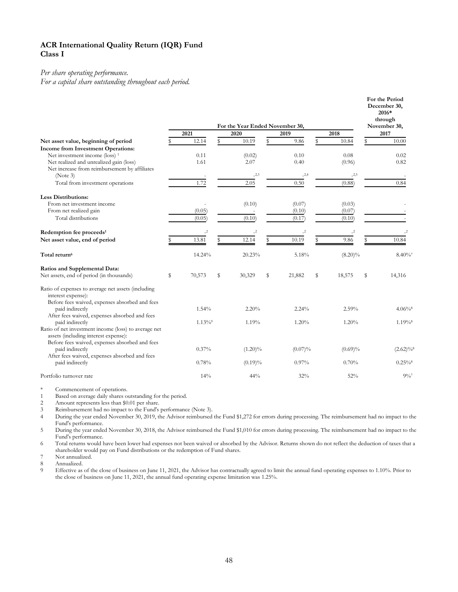# **ACR International Quality Return (IQR) Fund Class I**

#### *Per share operating performance.*

*For a capital share outstanding throughout each period.*

|                                                                          |   |               |                                                 |               |    |            |               | For the Period<br>December 30,<br>2016*<br>through |
|--------------------------------------------------------------------------|---|---------------|-------------------------------------------------|---------------|----|------------|---------------|----------------------------------------------------|
|                                                                          |   | 2021          | For the Year Ended November 30,<br>2020<br>2019 |               |    |            | 2018          | November 30,<br>2017                               |
| Net asset value, beginning of period                                     |   | 12.14         | S                                               | 10.19         | \$ | 9.86       | \$<br>10.84   | \$<br>10.00                                        |
| Income from Investment Operations:                                       |   |               |                                                 |               |    |            |               |                                                    |
| Net investment income (loss) <sup>1</sup>                                |   | 0.11          |                                                 | (0.02)        |    | 0.10       | 0.08          | 0.02                                               |
| Net realized and unrealized gain (loss)                                  |   | 1.61          |                                                 | 2.07          |    | 0.40       | (0.96)        | 0.82                                               |
| Net increase from reimbursement by affiliates                            |   |               |                                                 |               |    |            |               |                                                    |
| (Note 3)                                                                 |   |               |                                                 | $-2,3$        |    | $-2,4$     | $-2,5$        |                                                    |
| Total from investment operations                                         |   | 1.72          |                                                 | 2.05          |    | 0.50       | (0.88)        | 0.84                                               |
| <b>Less Distributions:</b>                                               |   |               |                                                 |               |    |            |               |                                                    |
| From net investment income                                               |   |               |                                                 | (0.10)        |    | (0.07)     | (0.03)        |                                                    |
| From net realized gain                                                   |   | (0.05)        |                                                 |               |    | (0.10)     | (0.07)        |                                                    |
| Total distributions                                                      |   | (0.05)        |                                                 | (0.10)        |    | (0.17)     | (0.10)        |                                                    |
| Redemption fee proceeds <sup>1</sup>                                     |   | $\mathbf{-2}$ |                                                 | $\mathbf{-2}$ |    | $-2$       | $\mathbf{-2}$ |                                                    |
| Net asset value, end of period                                           |   | 13.81         |                                                 | 12.14         | \$ | 10.19      | 9.86          | 10.84                                              |
| Total return <sup>6</sup>                                                |   | 14.24%        |                                                 | 20.23%        |    | 5.18%      | $(8.20)\%$    | $8.40\%$                                           |
| Ratios and Supplemental Data:                                            |   |               |                                                 |               |    |            |               |                                                    |
| Net assets, end of period (in thousands)                                 | S | 70,573        | S                                               | 30,329        | \$ | 21,882     | \$<br>18,575  | \$<br>14,316                                       |
| Ratio of expenses to average net assets (including<br>interest expense): |   |               |                                                 |               |    |            |               |                                                    |
| Before fees waived, expenses absorbed and fees                           |   |               |                                                 |               |    |            |               |                                                    |
| paid indirectly                                                          |   | 1.54%         |                                                 | 2.20%         |    | 2.24%      | 2.59%         | $4.06\%$                                           |
| After fees waived, expenses absorbed and fees<br>paid indirectly         |   | $1.13\%$      |                                                 | 1.19%         |    | 1.20%      | 1.20%         | $1.19\%$ <sup>8</sup>                              |
| Ratio of net investment income (loss) to average net                     |   |               |                                                 |               |    |            |               |                                                    |
| assets (including interest expense):                                     |   |               |                                                 |               |    |            |               |                                                    |
| Before fees waived, expenses absorbed and fees                           |   |               |                                                 |               |    |            |               |                                                    |
| paid indirectly                                                          |   | 0.37%         |                                                 | $(1.20)\%$    |    | $(0.07)\%$ | $(0.69)\%$    | $(2.62)\%$                                         |
| After fees waived, expenses absorbed and fees                            |   |               |                                                 |               |    |            |               |                                                    |
| paid indirectly                                                          |   | 0.78%         |                                                 | $(0.19)\%$    |    | 0.97%      | 0.70%         | $0.25\%$ <sup>8</sup>                              |
| Portfolio turnover rate                                                  |   | 14%           |                                                 | 44%           |    | 32%        | 52%           | $9\%$                                              |

\* Commencement of operations.

1 Based on average daily shares outstanding for the period.<br>2 Amount represents less than \$0.01 per share.

Amount represents less than \$0.01 per share.

3 Reimbursement had no impact to the Fund's performance (Note 3).<br>4 During the year ended November 30, 2019, the Advisor reimbursed During the year ended November 30, 2019, the Advisor reimbursed the Fund \$1,272 for errors during processing. The reimbursement had no impact to the Fund's performance.

5 During the year ended November 30, 2018, the Advisor reimbursed the Fund \$1,010 for errors during processing. The reimbursement had no impact to the Fund's performance.

6 Total returns would have been lower had expenses not been waived or absorbed by the Advisor. Returns shown do not reflect the deduction of taxes that a shareholder would pay on Fund distributions or the redemption of Fund shares.

7 Not annualized.<br>8 Annualized.

8 Annualized.<br>9 Effective as

9 Effective as of the close of business on June 11, 2021, the Advisor has contractually agreed to limit the annual fund operating expenses to 1.10%. Prior to the close of business on June 11, 2021, the annual fund operating expense limitation was 1.25%.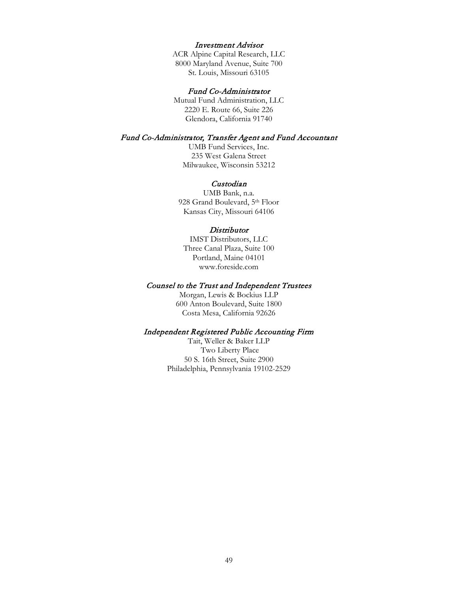#### Investment Advisor

ACR Alpine Capital Research, LLC 8000 Maryland Avenue, Suite 700 St. Louis, Missouri 63105

# Fund Co-Administrator

Mutual Fund Administration, LLC 2220 E. Route 66, Suite 226 Glendora, California 91740

# Fund Co-Administrator, Transfer Agent and Fund Accountant

UMB Fund Services, Inc. 235 West Galena Street Milwaukee, Wisconsin 53212

#### Custodian

UMB Bank, n.a. 928 Grand Boulevard, 5th Floor Kansas City, Missouri 64106

#### **Distributor**

IMST Distributors, LLC Three Canal Plaza, Suite 100 Portland, Maine 04101 www.foreside.com

#### Counsel to the Trust and Independent Trustees

Morgan, Lewis & Bockius LLP 600 Anton Boulevard, Suite 1800 Costa Mesa, California 92626

#### Independent Registered Public Accounting Firm

Tait, Weller & Baker LLP Two Liberty Place 50 S. 16th Street, Suite 2900 Philadelphia, Pennsylvania 19102-2529